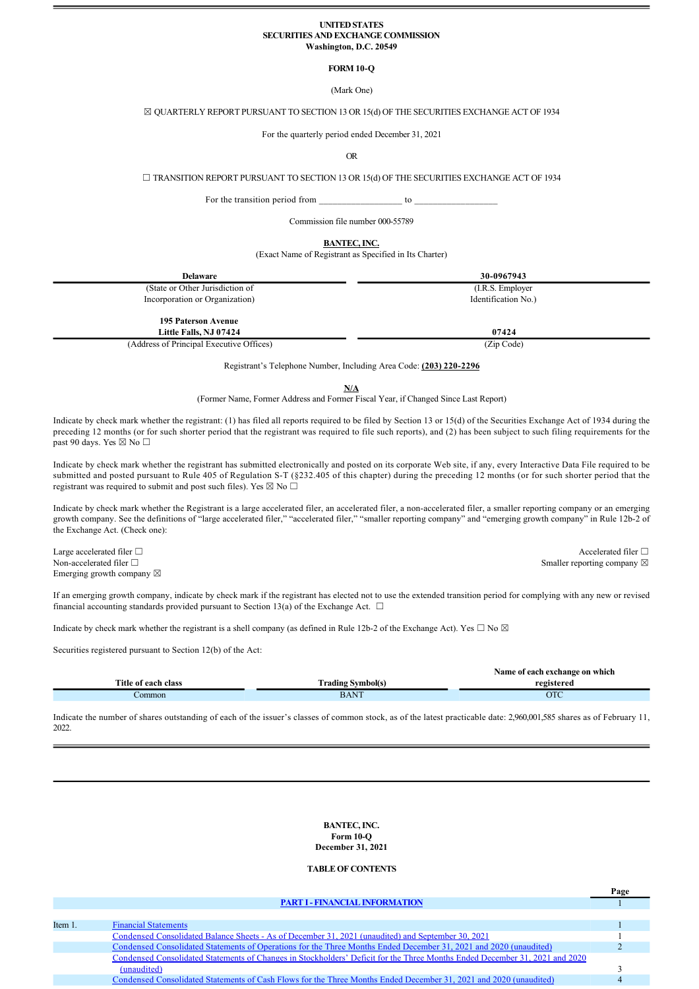#### **UNITED STATES SECURITIES AND EXCHANGE COMMISSION Washington, D.C. 20549**

# **FORM 10-Q**

(Mark One)

# ☒ QUARTERLY REPORT PURSUANT TO SECTION 13 OR 15(d) OF THE SECURITIES EXCHANGE ACT OF 1934

For the quarterly period ended December 31, 2021

OR

☐ TRANSITION REPORT PURSUANT TO SECTION 13 OR 15(d) OF THE SECURITIES EXCHANGE ACT OF 1934

For the transition period from to  $\sim$ 

Commission file number 000-55789

**BANTEC, INC.**

(Exact Name of Registrant as Specified in Its Charter)

| <b>Delaware</b>                                      | 30-0967943          |
|------------------------------------------------------|---------------------|
| (State or Other Jurisdiction of                      | (I.R.S. Employer)   |
| Incorporation or Organization)                       | Identification No.) |
| <b>195 Paterson Avenue</b><br>Little Falls, NJ 07424 | 07424               |
| (Address of Principal Executive Offices)             | (Zip Code)          |

Registrant's Telephone Number, Including Area Code: **(203)** 220-2296

**N/A**

(Former Name, Former Address and Former Fiscal Year, if Changed Since Last Report)

Indicate by check mark whether the registrant: (1) has filed all reports required to be filed by Section 13 or 15(d) of the Securities Exchange Act of 1934 during the preceding 12 months (or for such shorter period that the registrant was required to file such reports), and (2) has been subject to such filing requirements for the past 90 days. Yes  $\boxtimes$  No  $\Box$ 

Indicate by check mark whether the registrant has submitted electronically and posted on its corporate Web site, if any, every Interactive Data File required to be submitted and posted pursuant to Rule 405 of Regulation S-T (§232.405 of this chapter) during the preceding 12 months (or for such shorter period that the registrant was required to submit and post such files). Yes  $\boxtimes$  No  $\Box$ 

Indicate by check mark whether the Registrant is a large accelerated filer, an accelerated filer, a non-accelerated filer, a smaller reporting company or an emerging growth company. See the definitions of "large accelerated filer," "accelerated filer," "smaller reporting company" and "emerging growth company" in Rule 12b2 of the Exchange Act. (Check one):

Large accelerated filer □ <br>
Accelerated filer □ <br>
Accelerated filer □ Non-accelerated filer □ Smaller reporting company ⊠ Emerging growth company  $\boxtimes$ 

If an emerging growth company, indicate by check mark if the registrant has elected not to use the extended transition period for complying with any new or revised financial accounting standards provided pursuant to Section 13(a) of the Exchange Act.  $\Box$ 

Indicate by check mark whether the registrant is a shell company (as defined in Rule 12b-2 of the Exchange Act). Yes  $\Box$  No  $\boxtimes$ 

Securities registered pursuant to Section 12(b) of the Act:

|                          | Name of each exchange on which |
|--------------------------|--------------------------------|
| <b>Trading Symbol(s)</b> | registered                     |
| <b>BANT</b>              | OTC                            |
|                          |                                |

Indicate the number of shares outstanding of each of the issuer's classes of common stock, as of the latest practicable date: 2,960,001,585 shares as of February 11, 2022.

> **BANTEC, INC. Form 10-O December 31, 2021**

# **TABLE OF CONTENTS**

|         | <b>PART I - FINANCIAL INFORMATION</b>                                                                                       |  |
|---------|-----------------------------------------------------------------------------------------------------------------------------|--|
|         |                                                                                                                             |  |
| Item 1. | <b>Financial Statements</b>                                                                                                 |  |
|         | Condensed Consolidated Balance Sheets - As of December 31, 2021 (unaudited) and September 30, 2021                          |  |
|         | Condensed Consolidated Statements of Operations for the Three Months Ended December 31, 2021 and 2020 (unaudited)           |  |
|         | Condensed Consolidated Statements of Changes in Stockholders' Deficit for the Three Months Ended December 31, 2021 and 2020 |  |
|         | (unaudited)                                                                                                                 |  |
|         | Condensed Consolidated Statements of Cash Flows for the Three Months Ended December 31, 2021 and 2020 (unaudited)           |  |
|         |                                                                                                                             |  |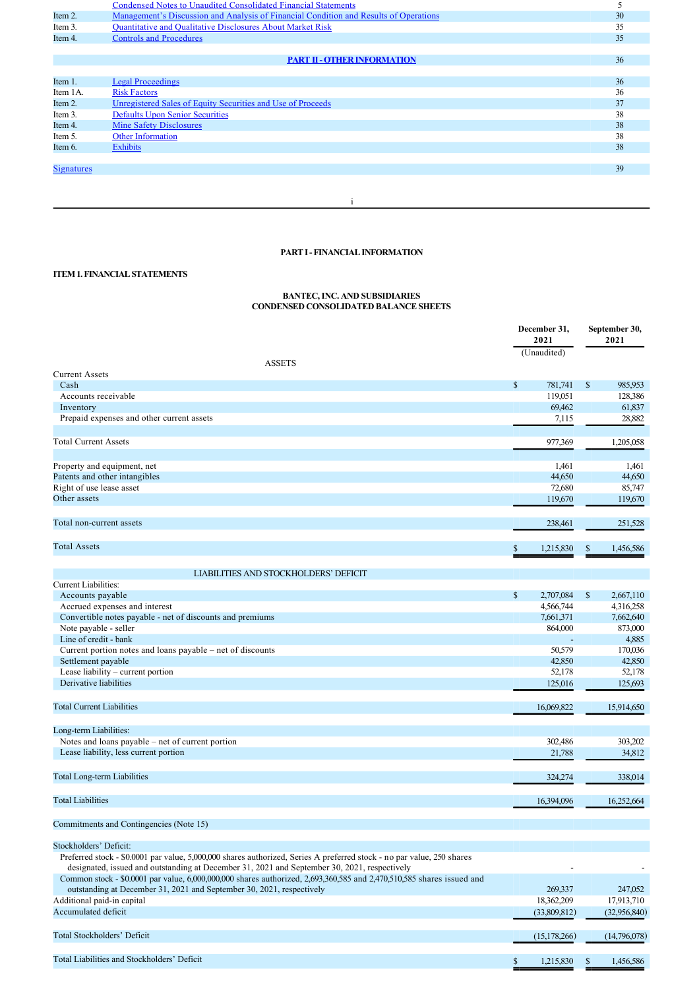|                   | <b>Condensed Notes to Unaudited Consolidated Financial Statements</b>                 |    |
|-------------------|---------------------------------------------------------------------------------------|----|
| Item 2.           | Management's Discussion and Analysis of Financial Condition and Results of Operations | 30 |
| Item 3.           | <b>Quantitative and Qualitative Disclosures About Market Risk</b>                     | 35 |
| Item 4.           | <b>Controls and Procedures</b>                                                        | 35 |
|                   |                                                                                       |    |
|                   | <b>PART II - OTHER INFORMATION</b>                                                    | 36 |
|                   |                                                                                       |    |
| Item 1.           | <b>Legal Proceedings</b>                                                              | 36 |
| Item 1A.          | <b>Risk Factors</b>                                                                   | 36 |
| Item 2.           | Unregistered Sales of Equity Securities and Use of Proceeds                           | 37 |
| Item 3.           | <b>Defaults Upon Senior Securities</b>                                                | 38 |
| Item 4.           | <b>Mine Safety Disclosures</b>                                                        | 38 |
| Item 5.           | Other Information                                                                     | 38 |
| Item 6.           | <b>Exhibits</b>                                                                       | 38 |
|                   |                                                                                       |    |
| <b>Signatures</b> |                                                                                       | 39 |
|                   |                                                                                       |    |
|                   |                                                                                       |    |

# **PART I FINANCIAL INFORMATION**

i

# **ITEM 1. FINANCIAL STATEMENTS**

# **BANTEC, INC. AND SUBSIDIARIES CONDENSED CONSOLIDATED BALANCE SHEETS**

|                                                                                                                        |              | December 31,<br>2021 |               | September 30,<br>2021 |
|------------------------------------------------------------------------------------------------------------------------|--------------|----------------------|---------------|-----------------------|
|                                                                                                                        |              | (Unaudited)          |               |                       |
| <b>ASSETS</b><br><b>Current Assets</b>                                                                                 |              |                      |               |                       |
| Cash                                                                                                                   | $\mathbb{S}$ | 781,741              | \$            | 985,953               |
| Accounts receivable                                                                                                    |              | 119.051              |               | 128,386               |
|                                                                                                                        |              | 69,462               |               | 61,837                |
| Inventory<br>Prepaid expenses and other current assets                                                                 |              |                      |               |                       |
|                                                                                                                        |              | 7,115                |               | 28,882                |
| <b>Total Current Assets</b>                                                                                            |              | 977,369              |               | 1,205,058             |
| Property and equipment, net                                                                                            |              | 1,461                |               | 1,461                 |
| Patents and other intangibles                                                                                          |              | 44,650               |               | 44,650                |
| Right of use lease asset                                                                                               |              | 72,680               |               | 85,747                |
| Other assets                                                                                                           |              |                      |               |                       |
|                                                                                                                        |              | 119,670              |               | 119,670               |
| Total non-current assets                                                                                               |              | 238,461              |               | 251,528               |
| <b>Total Assets</b>                                                                                                    |              |                      |               |                       |
|                                                                                                                        | \$           | 1,215,830            | \$            | 1,456,586             |
| LIABILITIES AND STOCKHOLDERS' DEFICIT                                                                                  |              |                      |               |                       |
| <b>Current Liabilities:</b>                                                                                            |              |                      |               |                       |
| Accounts payable                                                                                                       | $\mathbb{S}$ | 2,707,084            | \$            | 2,667,110             |
| Accrued expenses and interest                                                                                          |              | 4,566,744            |               | 4,316,258             |
| Convertible notes payable - net of discounts and premiums                                                              |              | 7,661,371            |               | 7,662,640             |
| Note payable - seller                                                                                                  |              | 864,000              |               | 873,000               |
| Line of credit - bank                                                                                                  |              |                      |               | 4,885                 |
| Current portion notes and loans payable – net of discounts                                                             |              | 50.579               |               | 170,036               |
| Settlement payable                                                                                                     |              | 42,850               |               | 42,850                |
|                                                                                                                        |              |                      |               |                       |
| Lease liability – current portion                                                                                      |              | 52,178               |               | 52,178                |
| Derivative liabilities                                                                                                 |              | 125,016              |               | 125,693               |
| <b>Total Current Liabilities</b>                                                                                       |              | 16,069,822           |               | 15,914,650            |
|                                                                                                                        |              |                      |               |                       |
| Long-term Liabilities:                                                                                                 |              |                      |               |                       |
| Notes and loans payable – net of current portion                                                                       |              | 302,486              |               | 303,202               |
| Lease liability, less current portion                                                                                  |              | 21,788               |               | 34,812                |
|                                                                                                                        |              |                      |               |                       |
| <b>Total Long-term Liabilities</b>                                                                                     |              | 324,274              |               | 338,014               |
| <b>Total Liabilities</b>                                                                                               |              | 16,394,096           |               | 16,252,664            |
|                                                                                                                        |              |                      |               |                       |
| Commitments and Contingencies (Note 15)                                                                                |              |                      |               |                       |
| Stockholders' Deficit:                                                                                                 |              |                      |               |                       |
| Preferred stock - \$0.0001 par value, 5,000,000 shares authorized, Series A preferred stock - no par value, 250 shares |              |                      |               |                       |
| designated, issued and outstanding at December 31, 2021 and September 30, 2021, respectively                           |              |                      |               |                       |
| Common stock - \$0.0001 par value, 6,000,000,000 shares authorized, 2,693,360,585 and 2,470,510,585 shares issued and  |              |                      |               |                       |
| outstanding at December 31, 2021 and September 30, 2021, respectively                                                  |              | 269,337              |               | 247,052               |
| Additional paid-in capital                                                                                             |              | 18,362,209           |               | 17,913,710            |
| Accumulated deficit                                                                                                    |              | (33,809,812)         |               | (32,956,840)          |
|                                                                                                                        |              |                      |               |                       |
| Total Stockholders' Deficit                                                                                            |              | (15, 178, 266)       |               | (14,796,078)          |
|                                                                                                                        |              |                      |               |                       |
| Total Liabilities and Stockholders' Deficit                                                                            | \$           | 1,215,830            | <sup>\$</sup> | 1,456,586             |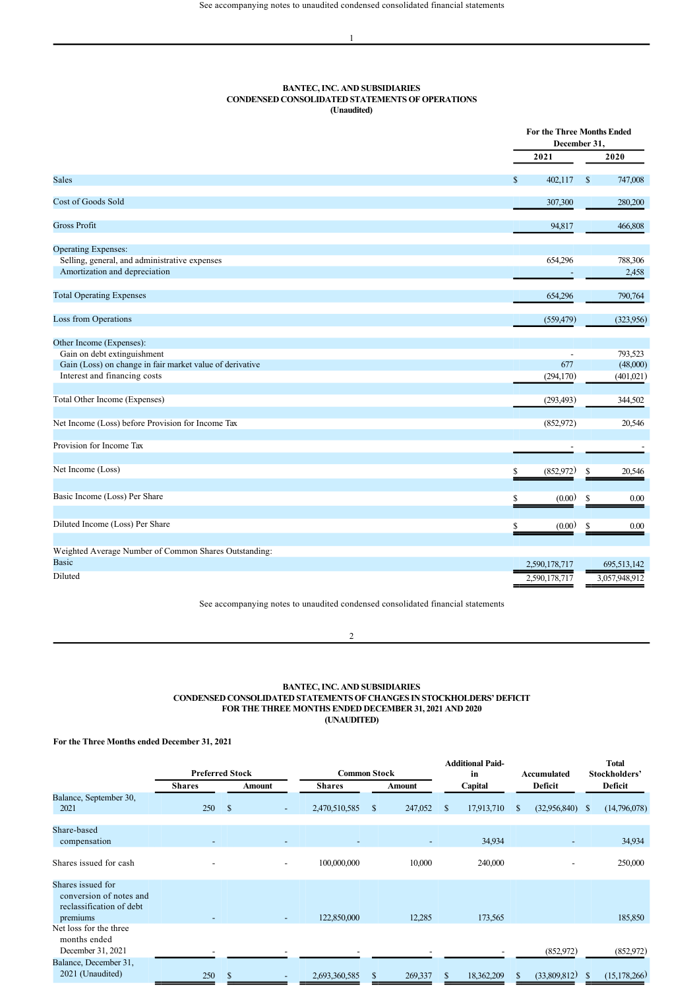# **BANTEC, INC. AND SUBSIDIARIES CONDENSED CONSOLIDATED STATEMENTS OF OPERATIONS (Unaudited)**

|                                                                                |                 | <b>For the Three Months Ended</b><br>December 31. |
|--------------------------------------------------------------------------------|-----------------|---------------------------------------------------|
|                                                                                | 2021            | 2020                                              |
| <b>Sales</b>                                                                   | \$<br>402,117   | \$<br>747,008                                     |
| <b>Cost of Goods Sold</b>                                                      | 307,300         | 280,200                                           |
| <b>Gross Profit</b>                                                            | 94,817          | 466,808                                           |
| <b>Operating Expenses:</b>                                                     |                 |                                                   |
| Selling, general, and administrative expenses<br>Amortization and depreciation | 654,296         | 788,306<br>2,458                                  |
| <b>Total Operating Expenses</b>                                                | 654,296         | 790,764                                           |
| <b>Loss from Operations</b>                                                    | (559, 479)      | (323,956)                                         |
| Other Income (Expenses):                                                       |                 |                                                   |
| Gain on debt extinguishment                                                    |                 | 793,523                                           |
| Gain (Loss) on change in fair market value of derivative                       | 677             | (48,000)                                          |
| Interest and financing costs                                                   | (294, 170)      | (401, 021)                                        |
| Total Other Income (Expenses)                                                  | (293, 493)      | 344,502                                           |
| Net Income (Loss) before Provision for Income Tax                              | (852,972)       | 20,546                                            |
| Provision for Income Tax                                                       |                 |                                                   |
| Net Income (Loss)                                                              | (852,972)<br>\$ | 20,546<br>\$                                      |
| Basic Income (Loss) Per Share                                                  | \$<br>(0.00)    | <sup>\$</sup><br>0.00                             |
| Diluted Income (Loss) Per Share                                                | (0.00)<br>\$    | \$<br>0.00                                        |
| Weighted Average Number of Common Shares Outstanding:                          |                 |                                                   |
| <b>Basic</b>                                                                   | 2,590,178,717   | 695,513,142                                       |
| Diluted                                                                        | 2,590,178,717   | 3,057,948,912                                     |

See accompanying notes to unaudited condensed consolidated financial statements

2

# **BANTEC, INC. AND SUBSIDIARIES CONDENSED CONSOLIDATED STATEMENTS OF CHANGES IN STOCKHOLDERS' DEFICIT FOR THE THREE MONTHS ENDED DECEMBER 31, 2021 AND 2020 (UNAUDITED)**

# **For the Three Months ended December 31, 2021**

|                                                                                      | <b>Preferred Stock</b>   |               |                          | <b>Common Stock</b> |    |                          | <b>Additional Paid-</b><br>in |            | Accumulated |              | Total<br>Stockholders' |                |
|--------------------------------------------------------------------------------------|--------------------------|---------------|--------------------------|---------------------|----|--------------------------|-------------------------------|------------|-------------|--------------|------------------------|----------------|
|                                                                                      | <b>Shares</b>            |               | Amount                   | <b>Shares</b>       |    | Amount                   |                               | Capital    |             | Deficit      |                        | Deficit        |
| Balance, September 30,<br>2021                                                       | 250                      | $\mathcal{S}$ | $\overline{\phantom{a}}$ | 2,470,510,585       | \$ | 247,052                  | <sup>\$</sup>                 | 17,913,710 | S           | (32,956,840) | -S                     | (14,796,078)   |
| Share-based<br>compensation                                                          | -                        |               |                          |                     |    | $\overline{\phantom{a}}$ |                               | 34,934     |             | ٠            |                        | 34,934         |
| Shares issued for cash                                                               |                          |               | $\overline{\phantom{a}}$ | 100,000,000         |    | 10,000                   |                               | 240,000    |             |              |                        | 250,000        |
| Shares issued for<br>conversion of notes and<br>reclassification of debt<br>premiums | $\overline{\phantom{a}}$ |               | ٠                        | 122,850,000         |    | 12,285                   |                               | 173,565    |             |              |                        | 185,850        |
| Net loss for the three<br>months ended<br>December 31, 2021                          |                          |               |                          |                     |    |                          |                               |            |             | (852,972)    |                        | (852,972)      |
| Balance, December 31,<br>2021 (Unaudited)                                            | 250                      | \$.           |                          | 2,693,360,585       | S  | 269,337                  |                               | 18,362,209 | S.          | (33,809,812) | $\mathcal{S}$          | (15, 178, 266) |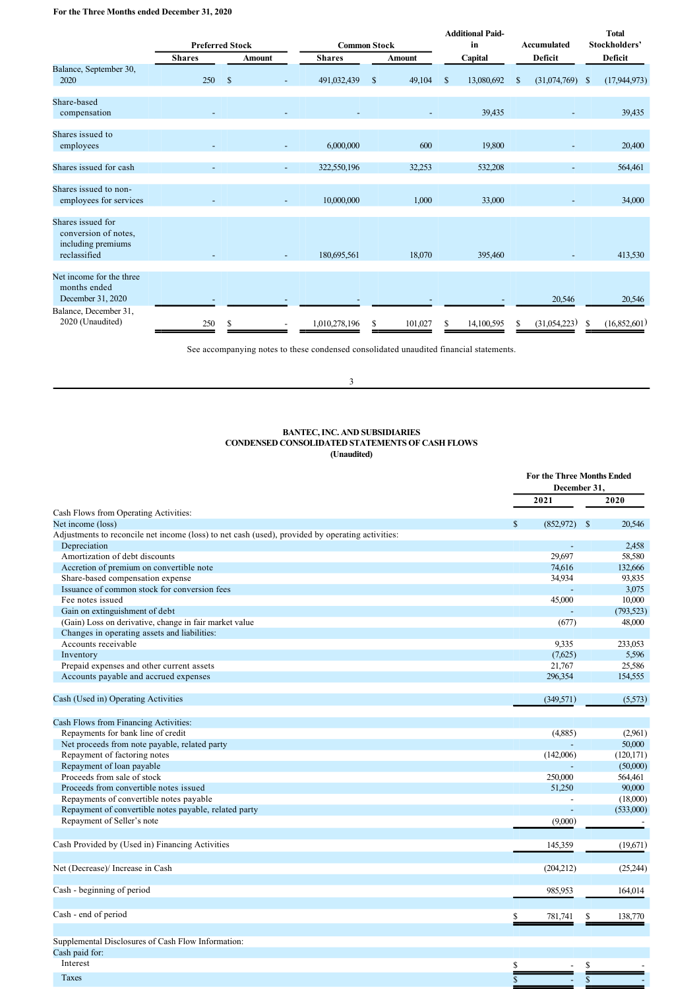# **For the Three Months ended December 31, 2020**

|                                                                                 | <b>Preferred Stock</b>   |               | <b>Common Stock</b>      |               |               | <b>Additional Paid-</b><br>in |   | <b>Accumulated</b> |   | <b>Total</b><br>Stockholders' |               |                |
|---------------------------------------------------------------------------------|--------------------------|---------------|--------------------------|---------------|---------------|-------------------------------|---|--------------------|---|-------------------------------|---------------|----------------|
|                                                                                 | <b>Shares</b>            |               | <b>Amount</b>            | <b>Shares</b> |               | <b>Amount</b>                 |   | Capital            |   | Deficit                       |               | Deficit        |
| Balance, September 30,<br>2020                                                  | 250                      | <sup>\$</sup> |                          | 491,032,439   | $\mathcal{S}$ | 49,104                        | S | 13,080,692         | S | (31,074,769)                  | <sup>\$</sup> | (17, 944, 973) |
| Share-based<br>compensation                                                     |                          |               |                          |               |               |                               |   | 39,435             |   |                               |               | 39,435         |
| Shares issued to<br>employees                                                   |                          |               |                          | 6,000,000     |               | 600                           |   | 19,800             |   |                               |               | 20,400         |
| Shares issued for cash                                                          | $\overline{\phantom{a}}$ |               | $\overline{\phantom{a}}$ | 322,550,196   |               | 32,253                        |   | 532,208            |   | ٠                             |               | 564,461        |
| Shares issued to non-<br>employees for services                                 |                          |               | $\overline{\phantom{a}}$ | 10,000,000    |               | 1,000                         |   | 33,000             |   |                               |               | 34,000         |
| Shares issued for<br>conversion of notes,<br>including premiums<br>reclassified |                          |               |                          | 180,695,561   |               | 18,070                        |   | 395,460            |   |                               |               | 413,530        |
| Net income for the three<br>months ended<br>December 31, 2020                   |                          |               |                          |               |               |                               |   |                    |   | 20,546                        |               | 20,546         |
| Balance, December 31,<br>2020 (Unaudited)                                       | 250                      |               |                          | 1,010,278,196 | S.            | 101,027                       |   | 14,100,595         | S | (31,054,223)                  | S             | (16,852,601)   |

See accompanying notes to these condensed consolidated unaudited financial statements.

3

# **BANTEC, INC. AND SUBSIDIARIES CONDENSED CONSOLIDATED STATEMENTS OF CASH FLOWS (Unaudited)**

|                                                                                                  |              | <b>For the Three Months Ended</b><br>December 31. |               |            |
|--------------------------------------------------------------------------------------------------|--------------|---------------------------------------------------|---------------|------------|
|                                                                                                  |              | 2021                                              |               | 2020       |
| Cash Flows from Operating Activities:                                                            |              |                                                   |               |            |
| Net income (loss)                                                                                | $\mathbf{s}$ | (852,972)                                         | <sup>\$</sup> | 20.546     |
| Adjustments to reconcile net income (loss) to net cash (used), provided by operating activities: |              |                                                   |               |            |
| Depreciation                                                                                     |              |                                                   |               | 2,458      |
| Amortization of debt discounts                                                                   |              | 29,697                                            |               | 58,580     |
| Accretion of premium on convertible note                                                         |              | 74,616                                            |               | 132,666    |
| Share-based compensation expense                                                                 |              | 34,934                                            |               | 93,835     |
| Issuance of common stock for conversion fees                                                     |              |                                                   |               | 3,075      |
| Fee notes issued                                                                                 |              | 45,000                                            |               | 10,000     |
| Gain on extinguishment of debt                                                                   |              |                                                   |               | (793, 523) |
| (Gain) Loss on derivative, change in fair market value                                           |              | (677)                                             |               | 48,000     |
| Changes in operating assets and liabilities:                                                     |              |                                                   |               |            |
| Accounts receivable                                                                              |              | 9,335                                             |               | 233,053    |
| Inventory                                                                                        |              | (7,625)                                           |               | 5,596      |
| Prepaid expenses and other current assets                                                        |              | 21,767                                            |               | 25,586     |
| Accounts payable and accrued expenses                                                            |              | 296,354                                           |               | 154,555    |
| Cash (Used in) Operating Activities                                                              |              | (349, 571)                                        |               | (5,573)    |
| Cash Flows from Financing Activities:                                                            |              |                                                   |               |            |
| Repayments for bank line of credit                                                               |              | (4,885)                                           |               | (2,961)    |
| Net proceeds from note payable, related party                                                    |              |                                                   |               | 50,000     |
| Repayment of factoring notes                                                                     |              | (142,006)                                         |               | (120, 171) |
| Repayment of loan payable                                                                        |              |                                                   |               | (50,000)   |
| Proceeds from sale of stock                                                                      |              | 250,000                                           |               | 564,461    |
| Proceeds from convertible notes issued                                                           |              | 51,250                                            |               | 90,000     |
| Repayments of convertible notes payable                                                          |              |                                                   |               | (18,000)   |
| Repayment of convertible notes payable, related party                                            |              |                                                   |               | (533,000)  |
| Repayment of Seller's note                                                                       |              | (9,000)                                           |               |            |
| Cash Provided by (Used in) Financing Activities                                                  |              | 145,359                                           |               | (19,671)   |
|                                                                                                  |              |                                                   |               |            |
| Net (Decrease)/ Increase in Cash                                                                 |              | (204,212)                                         |               | (25,244)   |
| Cash - beginning of period                                                                       |              | 985,953                                           |               | 164,014    |
| Cash - end of period                                                                             | \$           | 781,741                                           |               | 138,770    |
| Supplemental Disclosures of Cash Flow Information:                                               |              |                                                   |               |            |
| Cash paid for:                                                                                   |              |                                                   |               |            |
| Interest                                                                                         | \$           |                                                   | \$            |            |
| Taxes                                                                                            | $\mathbf S$  |                                                   | $\mathsf{\$}$ |            |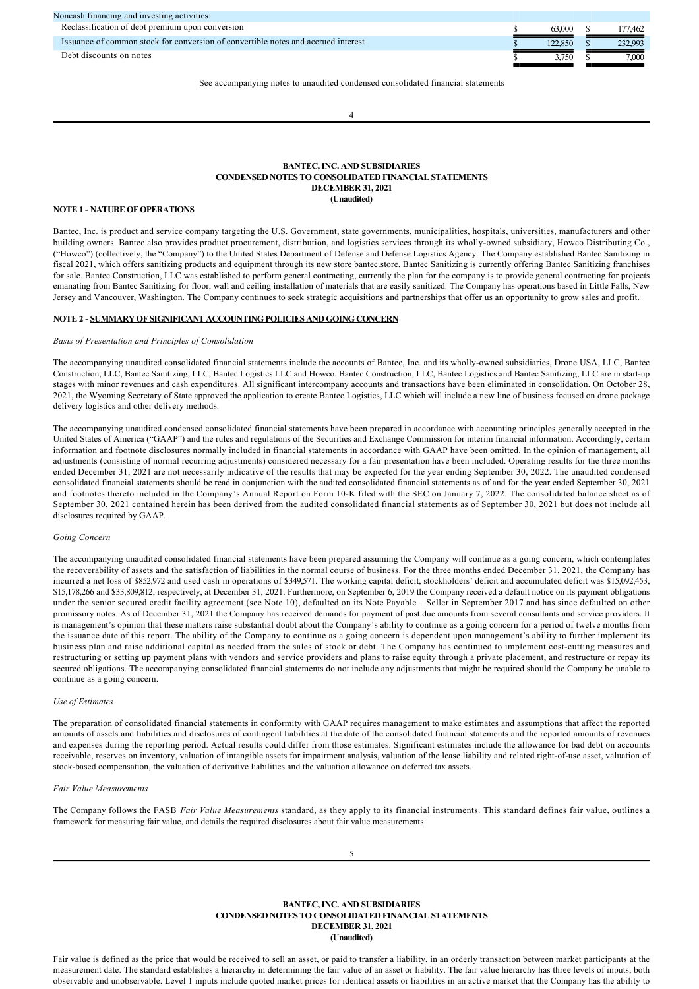| Reclassification of debt premium upon conversion<br>63,000<br>Issuance of common stock for conversion of convertible notes and accrued interest<br>122.850<br>Debt discounts on notes |         |
|---------------------------------------------------------------------------------------------------------------------------------------------------------------------------------------|---------|
|                                                                                                                                                                                       | 177.462 |
|                                                                                                                                                                                       | 232,993 |
| 3.750                                                                                                                                                                                 | 7.000   |

See accompanying notes to unaudited condensed consolidated financial statements

4

#### **BANTEC, INC. AND SUBSIDIARIES CONDENSED NOTES TO CONSOLIDATED FINANCIAL STATEMENTS DECEMBER 31, 2021 (Unaudited)**

# **NOTE 1 NATURE OF OPERATIONS**

Bantec, Inc. is product and service company targeting the U.S. Government, state governments, municipalities, hospitals, universities, manufacturers and other building owners. Bantec also provides product procurement, distribution, and logistics services through its wholly-owned subsidiary, Howco Distributing Co., ("Howco") (collectively, the "Company") to the United States Department of Defense and Defense Logistics Agency. The Company established Bantec Sanitizing in fiscal 2021, which offers sanitizing products and equipment through its new store bantec.store. Bantec Sanitizing is currently offering Bantec Sanitizing franchises for sale. Bantec Construction, LLC was established to perform general contracting, currently the plan for the company is to provide general contracting for projects emanating from Bantec Sanitizing for floor, wall and ceiling installation of materials that are easily sanitized. The Company has operations based in Little Falls, New Jersey and Vancouver, Washington. The Company continues to seek strategic acquisitions and partnerships that offer us an opportunity to grow sales and profit.

# **NOTE 2 SUMMARY OF SIGNIFICANT ACCOUNTING POLICIES AND GOING CONCERN**

#### *Basis of Presentation and Principles of Consolidation*

The accompanying unaudited consolidated financial statements include the accounts of Bantec, Inc. and its wholly-owned subsidiaries, Drone USA, LLC, Bantec Construction, LLC, Bantec Sanitizing, LLC, Bantec Logistics LLC and Howco. Bantec Construction, LLC, Bantec Logistics and Bantec Sanitizing, LLC are in startup stages with minor revenues and cash expenditures. All significant intercompany accounts and transactions have been eliminated in consolidation. On October 28, 2021, the Wyoming Secretary of State approved the application to create Bantec Logistics, LLC which will include a new line of business focused on drone package delivery logistics and other delivery methods.

The accompanying unaudited condensed consolidated financial statements have been prepared in accordance with accounting principles generally accepted in the United States of America ("GAAP") and the rules and regulations of the Securities and Exchange Commission for interim financial information. Accordingly, certain information and footnote disclosures normally included in financial statements in accordance with GAAP have been omitted. In the opinion of management, all adjustments (consisting of normal recurring adjustments) considered necessary for a fair presentation have been included. Operating results for the three months ended December 31, 2021 are not necessarily indicative of the results that may be expected for the year ending September 30, 2022. The unaudited condensed consolidated financial statements should be read in conjunction with the audited consolidated financial statements as of and for the year ended September 30, 2021 and footnotes thereto included in the Company's Annual Report on Form 10-K filed with the SEC on January 7, 2022. The consolidated balance sheet as of September 30, 2021 contained herein has been derived from the audited consolidated financial statements as of September 30, 2021 but does not include all disclosures required by GAAP.

# *Going Concern*

The accompanying unaudited consolidated financial statements have been prepared assuming the Company will continue as a going concern, which contemplates the recoverability of assets and the satisfaction of liabilities in the normal course of business. For the three months ended December 31, 2021, the Company has incurred a net loss of \$852,972 and used cash in operations of \$349,571. The working capital deficit, stockholders' deficit and accumulated deficit was \$15,092,453, \$15,178,266 and \$33,809,812, respectively, at December 31, 2021. Furthermore, on September 6, 2019 the Company received a default notice on its payment obligations under the senior secured credit facility agreement (see Note 10), defaulted on its Note Payable – Seller in September 2017 and has since defaulted on other promissory notes. As of December 31, 2021 the Company has received demands for payment of past due amounts from several consultants and service providers. It is management's opinion that these matters raise substantial doubt about the Company's ability to continue as a going concern for a period of twelve months from the issuance date of this report. The ability of the Company to continue as a going concern is dependent upon management's ability to further implement its business plan and raise additional capital as needed from the sales of stock or debt. The Company has continued to implement cost-cutting measures and restructuring or setting up payment plans with vendors and service providers and plans to raise equity through a private placement, and restructure or repay its secured obligations. The accompanying consolidated financial statements do not include any adjustments that might be required should the Company be unable to continue as a going concern.

# *Use of Estimates*

The preparation of consolidated financial statements in conformity with GAAP requires management to make estimates and assumptions that affect the reported amounts of assets and liabilities and disclosures of contingent liabilities at the date of the consolidated financial statements and the reported amounts of revenues and expenses during the reporting period. Actual results could differ from those estimates. Significant estimates include the allowance for bad debt on accounts receivable, reserves on inventory, valuation of intangible assets for impairment analysis, valuation of the lease liability and related right-of-use asset, valuation of stock-based compensation, the valuation of derivative liabilities and the valuation allowance on deferred tax assets.

#### *Fair Value Measurements*

The Company follows the FASB *Fair Value Measurements* standard, as they apply to its financial instruments. This standard defines fair value, outlines a framework for measuring fair value, and details the required disclosures about fair value measurements.

| <b>BANTEC, INC. AND SUBSIDIARIES</b>                                                      |
|-------------------------------------------------------------------------------------------|
| <b>CONDENSED NOTES TO CONSOLIDATED FINANCIAL STATEMENTS</b>                               |
| <b>DECEMBER 31, 2021</b>                                                                  |
| (Unaudited)                                                                               |
|                                                                                           |
| er i rie i al rai litulo di riu di la litulo e trittorio il il controllo di la vita di la |

Fair value is defined as the price that would be received to sell an asset, or paid to transfer a liability, in an orderly transaction between market participants at the measurement date. The standard establishes a hierarchy in determining the fair value of an asset or liability. The fair value hierarchy has three levels of inputs, both observable and unobservable. Level 1 inputs include quoted market prices for identical assets or liabilities in an active market that the Company has the ability to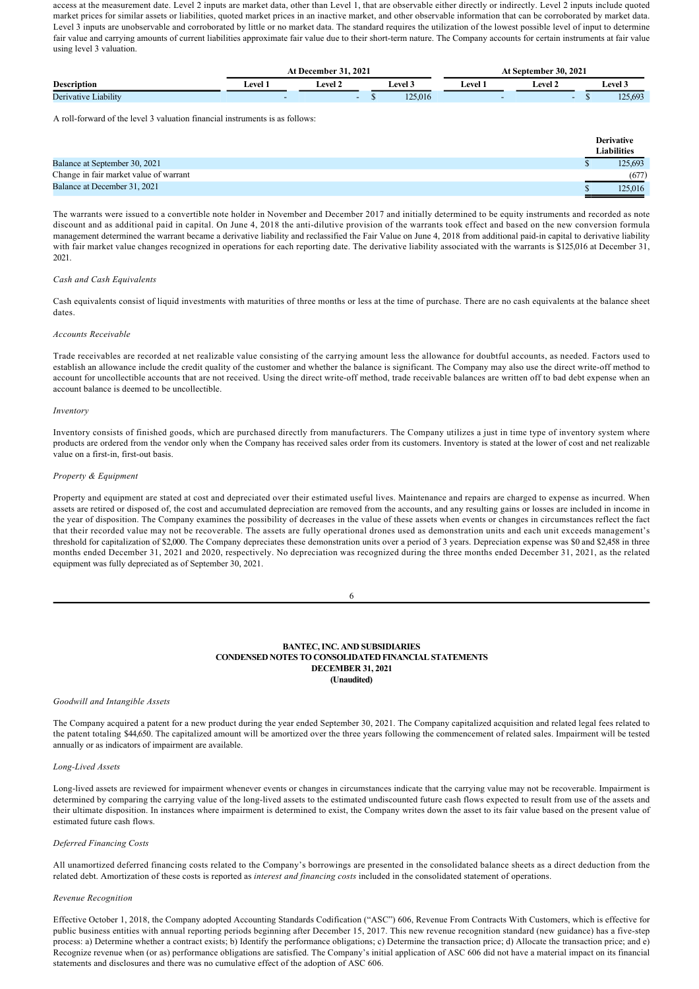access at the measurement date. Level 2 inputs are market data, other than Level 1, that are observable either directly or indirectly. Level 2 inputs include quoted market prices for similar assets or liabilities, quoted market prices in an inactive market, and other observable information that can be corroborated by market data. Level 3 inputs are unobservable and corroborated by little or no market data. The standard requires the utilization of the lowest possible level of input to determine fair value and carrying amounts of current liabilities approximate fair value due to their short-term nature. The Company accounts for certain instruments at fair value using level 3 valuation.

|                      |       | 2021<br>December 31 - |         | <b>At September 30, 2021</b> |         |         |  |  |  |  |
|----------------------|-------|-----------------------|---------|------------------------------|---------|---------|--|--|--|--|
| <b>Description</b>   | Level | <b>Level</b> :        | Level 3 | Level                        | ∟evel 2 | ∟evel 3 |  |  |  |  |
| Derivative Liability |       |                       | 125,016 |                              |         | 125,693 |  |  |  |  |

A roll-forward of the level 3 valuation financial instruments is as follows:

|                                        | <b>Derivative</b>  |
|----------------------------------------|--------------------|
|                                        | <b>Liabilities</b> |
| Balance at September 30, 2021          | 125,693            |
| Change in fair market value of warrant | (677)              |
| Balance at December 31, 2021           | 125,016            |

The warrants were issued to a convertible note holder in November and December 2017 and initially determined to be equity instruments and recorded as note discount and as additional paid in capital. On June 4, 2018 the anti-dilutive provision of the warrants took effect and based on the new conversion formula management determined the warrant became a derivative liability and reclassified the Fair Value on June 4, 2018 from additional paid-in capital to derivative liability with fair market value changes recognized in operations for each reporting date. The derivative liability associated with the warrants is \$125,016 at December 31, 2021.

# *Cash and Cash Equivalents*

Cash equivalents consist of liquid investments with maturities of three months or less at the time of purchase. There are no cash equivalents at the balance sheet dates.

#### *Accounts Receivable*

Trade receivables are recorded at net realizable value consisting of the carrying amount less the allowance for doubtful accounts, as needed. Factors used to establish an allowance include the credit quality of the customer and whether the balance is significant. The Company may also use the direct write-off method to account for uncollectible accounts that are not received. Using the direct write-off method, trade receivable balances are written off to bad debt expense when an account balance is deemed to be uncollectible.

#### *Inventory*

Inventory consists of finished goods, which are purchased directly from manufacturers. The Company utilizes a just in time type of inventory system where products are ordered from the vendor only when the Company has received sales order from its customers. Inventory is stated at the lower of cost and net realizable value on a first-in, first-out basis.

#### *Property & Equipment*

Property and equipment are stated at cost and depreciated over their estimated useful lives. Maintenance and repairs are charged to expense as incurred. When assets are retired or disposed of, the cost and accumulated depreciation are removed from the accounts, and any resulting gains or losses are included in income in the year of disposition. The Company examines the possibility of decreases in the value of these assets when events or changes in circumstances reflect the fact that their recorded value may not be recoverable. The assets are fully operational drones used as demonstration units and each unit exceeds management's threshold for capitalization of \$2,000. The Company depreciates these demonstration units over a period of 3 years. Depreciation expense was \$0 and \$2,458 in three months ended December 31, 2021 and 2020, respectively. No depreciation was recognized during the three months ended December 31, 2021, as the related equipment was fully depreciated as of September 30, 2021.

6

## **BANTEC, INC. AND SUBSIDIARIES CONDENSED NOTES TO CONSOLIDATED FINANCIAL STATEMENTS DECEMBER 31, 2021 (Unaudited)**

# *Goodwill and Intangible Assets*

The Company acquired a patent for a new product during the year ended September 30, 2021. The Company capitalized acquisition and related legal fees related to the patent totaling \$44,650. The capitalized amount will be amortized over the three years following the commencement of related sales. Impairment will be tested annually or as indicators of impairment are available.

#### Long-Lived Assets

Long-lived assets are reviewed for impairment whenever events or changes in circumstances indicate that the carrying value may not be recoverable. Impairment is determined by comparing the carrying value of the long-lived assets to the estimated undiscounted future cash flows expected to result from use of the assets and their ultimate disposition. In instances where impairment is determined to exist, the Company writes down the asset to its fair value based on the present value of estimated future cash flows.

#### *Deferred Financing Costs*

All unamortized deferred financing costs related to the Company's borrowings are presented in the consolidated balance sheets as a direct deduction from the related debt. Amortization of these costs is reported as *interest and financing costs* included in the consolidated statement of operations.

#### *Revenue Recognition*

Effective October 1, 2018, the Company adopted Accounting Standards Codification ("ASC") 606, Revenue From Contracts With Customers, which is effective for public business entities with annual reporting periods beginning after December 15, 2017. This new revenue recognition standard (new guidance) has a five-step process: a) Determine whether a contract exists; b) Identify the performance obligations; c) Determine the transaction price; d) Allocate the transaction price; and e) Recognize revenue when (or as) performance obligations are satisfied. The Company's initial application of ASC 606 did not have a material impact on its financial statements and disclosures and there was no cumulative effect of the adoption of ASC 606.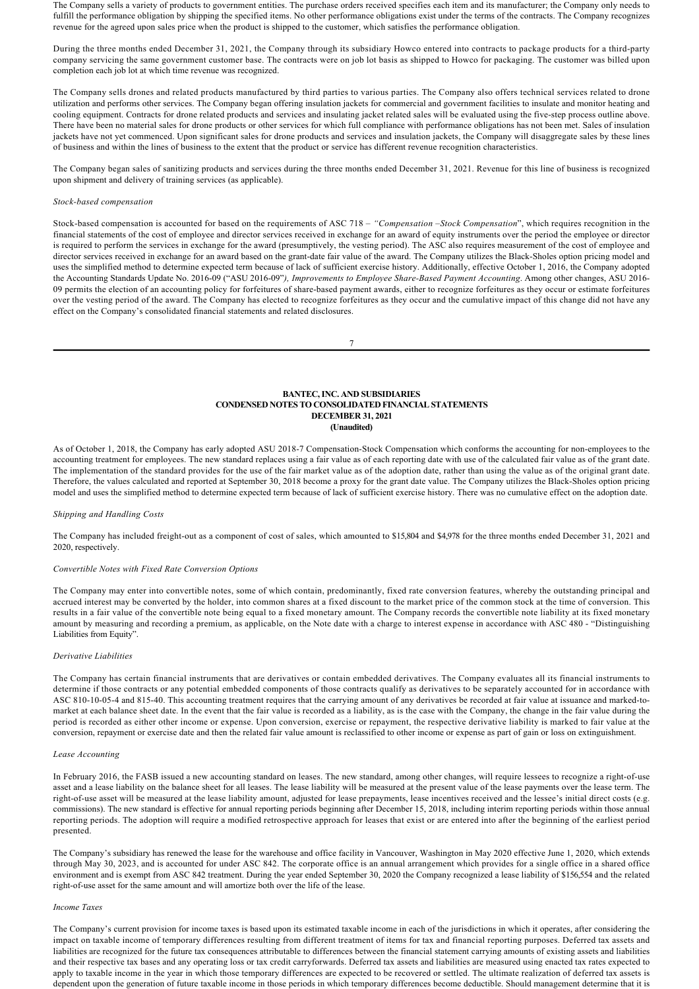The Company sells a variety of products to government entities. The purchase orders received specifies each item and its manufacturer; the Company only needs to fulfill the performance obligation by shipping the specified items. No other performance obligations exist under the terms of the contracts. The Company recognizes revenue for the agreed upon sales price when the product is shipped to the customer, which satisfies the performance obligation.

During the three months ended December 31, 2021, the Company through its subsidiary Howco entered into contracts to package products for a third-party company servicing the same government customer base. The contracts were on job lot basis as shipped to Howco for packaging. The customer was billed upon completion each job lot at which time revenue was recognized.

The Company sells drones and related products manufactured by third parties to various parties. The Company also offers technical services related to drone utilization and performs other services. The Company began offering insulation jackets for commercial and government facilities to insulate and monitor heating and cooling equipment. Contracts for drone related products and services and insulating jacket related sales will be evaluated using the fivestep process outline above. There have been no material sales for drone products or other services for which full compliance with performance obligations has not been met. Sales of insulation jackets have not yet commenced. Upon significant sales for drone products and services and insulation jackets, the Company will disaggregate sales by these lines of business and within the lines of business to the extent that the product or service has different revenue recognition characteristics.

The Company began sales of sanitizing products and services during the three months ended December 31, 2021. Revenue for this line of business is recognized upon shipment and delivery of training services (as applicable).

# *Stock-based compensation*

Stock-based compensation is accounted for based on the requirements of ASC 718 - "Compensation -Stock Compensation", which requires recognition in the financial statements of the cost of employee and director services received in exchange for an award of equity instruments over the period the employee or director is required to perform the services in exchange for the award (presumptively, the vesting period). The ASC also requires measurement of the cost of employee and director services received in exchange for an award based on the grant-date fair value of the award. The Company utilizes the Black-Sholes option pricing model and uses the simplified method to determine expected term because of lack of sufficient exercise history. Additionally, effective October 1, 2016, the Company adopted the Accounting Standards Update No. 2016-09 ("ASU 2016-09"), Improvements to Employee Share-Based Payment Accounting. Among other changes, ASU 2016-09 permits the election of an accounting policy for forfeitures of share-based payment awards, either to recognize forfeitures as they occur or estimate forfeitures over the vesting period of the award. The Company has elected to recognize forfeitures as they occur and the cumulative impact of this change did not have any effect on the Company's consolidated financial statements and related disclosures.

7

#### **BANTEC, INC. AND SUBSIDIARIES CONDENSED NOTES TO CONSOLIDATED FINANCIAL STATEMENTS DECEMBER 31, 2021 (Unaudited)**

As of October 1, 2018, the Company has early adopted ASU 2018-7 Compensation-Stock Compensation which conforms the accounting for non-employees to the accounting treatment for employees. The new standard replaces using a fair value as of each reporting date with use of the calculated fair value as of the grant date. The implementation of the standard provides for the use of the fair market value as of the adoption date, rather than using the value as of the original grant date. Therefore, the values calculated and reported at September 30, 2018 become a proxy for the grant date value. The Company utilizes the Black-Sholes option pricing model and uses the simplified method to determine expected term because of lack of sufficient exercise history. There was no cumulative effect on the adoption date.

#### *Shipping and Handling Costs*

The Company has included freight-out as a component of cost of sales, which amounted to \$15,804 and \$4,978 for the three months ended December 31, 2021 and 2020, respectively.

#### *Convertible Notes with Fixed Rate Conversion Options*

The Company may enter into convertible notes, some of which contain, predominantly, fixed rate conversion features, whereby the outstanding principal and accrued interest may be converted by the holder, into common shares at a fixed discount to the market price of the common stock at the time of conversion. This results in a fair value of the convertible note being equal to a fixed monetary amount. The Company records the convertible note liability at its fixed monetary amount by measuring and recording a premium, as applicable, on the Note date with a charge to interest expense in accordance with ASC 480 "Distinguishing Liabilities from Equity".

#### *Derivative Liabilities*

The Company has certain financial instruments that are derivatives or contain embedded derivatives. The Company evaluates all its financial instruments to determine if those contracts or any potential embedded components of those contracts qualify as derivatives to be separately accounted for in accordance with ASC 810-10-05-4 and 815-40. This accounting treatment requires that the carrying amount of any derivatives be recorded at fair value at issuance and marked-tomarket at each balance sheet date. In the event that the fair value is recorded as a liability, as is the case with the Company, the change in the fair value during the period is recorded as either other income or expense. Upon conversion, exercise or repayment, the respective derivative liability is marked to fair value at the conversion, repayment or exercise date and then the related fair value amount is reclassified to other income or expense as part of gain or loss on extinguishment.

#### *Lease Accounting*

In February 2016, the FASB issued a new accounting standard on leases. The new standard, among other changes, will require lessees to recognize a right-of-use asset and a lease liability on the balance sheet for all leases. The lease liability will be measured at the present value of the lease payments over the lease term. The right-of-use asset will be measured at the lease liability amount, adjusted for lease prepayments, lease incentives received and the lessee's initial direct costs (e.g. commissions). The new standard is effective for annual reporting periods beginning after December 15, 2018, including interim reporting periods within those annual reporting periods. The adoption will require a modified retrospective approach for leases that exist or are entered into after the beginning of the earliest period presented.

The Company's subsidiary has renewed the lease for the warehouse and office facility in Vancouver, Washington in May 2020 effective June 1, 2020, which extends through May 30, 2023, and is accounted for under ASC 842. The corporate office is an annual arrangement which provides for a single office in a shared office environment and is exempt from ASC 842 treatment. During the year ended September 30, 2020 the Company recognized a lease liability of \$156,554 and the related right-of-use asset for the same amount and will amortize both over the life of the lease.

#### *Income Taxes*

The Company's current provision for income taxes is based upon its estimated taxable income in each of the jurisdictions in which it operates, after considering the impact on taxable income of temporary differences resulting from different treatment of items for tax and financial reporting purposes. Deferred tax assets and liabilities are recognized for the future tax consequences attributable to differences between the financial statement carrying amounts of existing assets and liabilities and their respective tax bases and any operating loss or tax credit carryforwards. Deferred tax assets and liabilities are measured using enacted tax rates expected to apply to taxable income in the year in which those temporary differences are expected to be recovered or settled. The ultimate realization of deferred tax assets is dependent upon the generation of future taxable income in those periods in which temporary differences become deductible. Should management determine that it is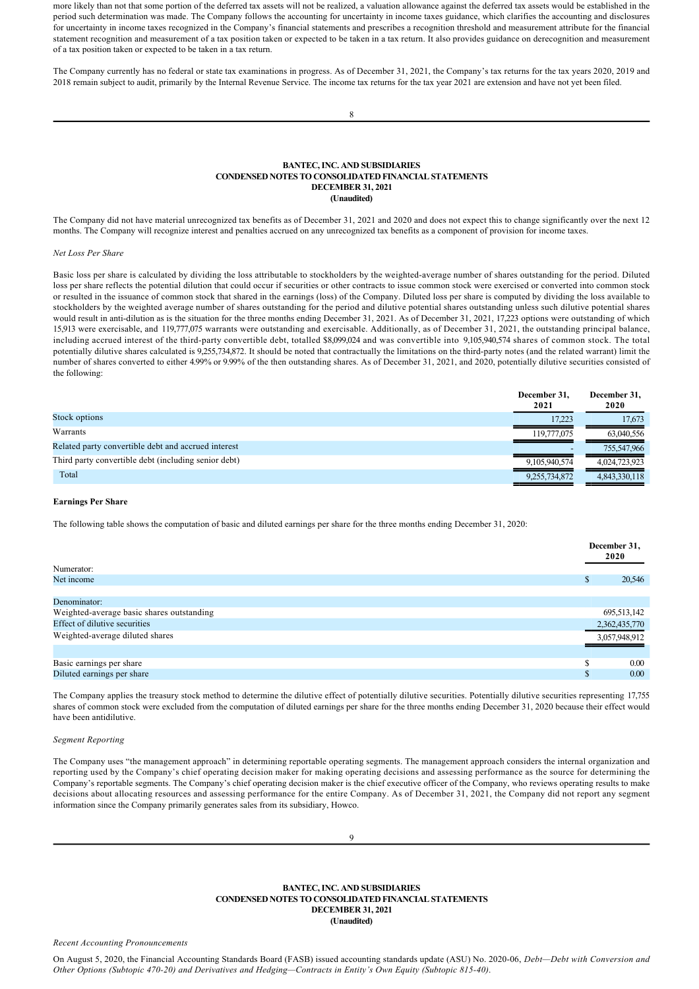more likely than not that some portion of the deferred tax assets will not be realized, a valuation allowance against the deferred tax assets would be established in the period such determination was made. The Company follows the accounting for uncertainty in income taxes guidance, which clarifies the accounting and disclosures for uncertainty in income taxes recognized in the Company's financial statements and prescribes a recognition threshold and measurement attribute for the financial statement recognition and measurement of a tax position taken or expected to be taken in a tax return. It also provides guidance on derecognition and measurement of a tax position taken or expected to be taken in a tax return.

The Company currently has no federal or state tax examinations in progress. As of December 31, 2021, the Company's tax returns for the tax years 2020, 2019 and 2018 remain subject to audit, primarily by the Internal Revenue Service. The income tax returns for the tax year 2021 are extension and have not yet been filed.

| ٧        |   |
|----------|---|
| I        |   |
|          |   |
| M.<br>۰, | I |

# **BANTEC, INC. AND SUBSIDIARIES CONDENSED NOTES TO CONSOLIDATED FINANCIAL STATEMENTS DECEMBER 31, 2021 (Unaudited)**

The Company did not have material unrecognized tax benefits as of December 31, 2021 and 2020 and does not expect this to change significantly over the next 12 months. The Company will recognize interest and penalties accrued on any unrecognized tax benefits as a component of provision for income taxes.

# *Net Loss Per Share*

Basic loss per share is calculated by dividing the loss attributable to stockholders by the weighted-average number of shares outstanding for the period. Diluted loss per share reflects the potential dilution that could occur if securities or other contracts to issue common stock were exercised or converted into common stock or resulted in the issuance of common stock that shared in the earnings (loss) of the Company. Diluted loss per share is computed by dividing the loss available to stockholders by the weighted average number of shares outstanding for the period and dilutive potential shares outstanding unless such dilutive potential shares would result in anti-dilution as is the situation for the three months ending December 31, 2021. As of December 31, 2021, 17,223 options were outstanding of which 15,913 were exercisable, and 119,777,075 warrants were outstanding and exercisable. Additionally, as of December 31, 2021, the outstanding principal balance, including accrued interest of the third-party convertible debt, totalled \$8,099,024 and was convertible into 9,105,940,574 shares of common stock. The total potentially dilutive shares calculated is 9,255,734,872. It should be noted that contractually the limitations on the third-party notes (and the related warrant) limit the number of shares converted to either 4.99% or 9.99% of the then outstanding shares. As of December 31, 2021, and 2020, potentially dilutive securities consisted of the following:

|                                                      | December 31,<br>2021 | December 31,<br>2020 |
|------------------------------------------------------|----------------------|----------------------|
| Stock options                                        | 17.223               | 17.673               |
| Warrants                                             | 119.777.075          | 63,040,556           |
| Related party convertible debt and accrued interest  |                      | 755,547,966          |
| Third party convertible debt (including senior debt) | 9.105.940.574        | 4,024,723,923        |
| Total                                                | 9,255,734,872        | 4,843,330,118        |

## **Earnings Per Share**

The following table shows the computation of basic and diluted earnings per share for the three months ending December 31, 2020:

| Numerator:                                |     | December 31,<br>2020 |
|-------------------------------------------|-----|----------------------|
| Net income                                | D   | 20,546               |
|                                           |     |                      |
| Denominator:                              |     |                      |
| Weighted-average basic shares outstanding |     | 695,513,142          |
| Effect of dilutive securities             |     | 2,362,435,770        |
| Weighted-average diluted shares           |     | 3,057,948,912        |
|                                           |     |                      |
| Basic earnings per share                  |     | 0.00                 |
| Diluted earnings per share                | ЛD. | 0.00 <sub>1</sub>    |

The Company applies the treasury stock method to determine the dilutive effect of potentially dilutive securities. Potentially dilutive securities representing 17,755 shares of common stock were excluded from the computation of diluted earnings per share for the three months ending December 31, 2020 because their effect would have been antidilutive.

# *Segment Reporting*

The Company uses "the management approach" in determining reportable operating segments. The management approach considers the internal organization and reporting used by the Company's chief operating decision maker for making operating decisions and assessing performance as the source for determining the Company's reportable segments. The Company's chief operating decision maker is the chief executive officer of the Company, who reviews operating results to make decisions about allocating resources and assessing performance for the entire Company. As of December 31, 2021, the Company did not report any segment information since the Company primarily generates sales from its subsidiary, Howco.

|                                  | <b>BANTEC, INC. AND SUBSIDIARIES</b><br><b>CONDENSED NOTES TO CONSOLIDATED FINANCIAL STATEMENTS</b> |
|----------------------------------|-----------------------------------------------------------------------------------------------------|
|                                  | <b>DECEMBER 31, 2021</b>                                                                            |
|                                  | (Unaudited)                                                                                         |
| Recent Accounting Pronouncements |                                                                                                     |

On August 5, 2020, the Financial Accounting Standards Board (FASB) issued accounting standards update (ASU) No. 202006, *Debt—Debt with Conversion and Other Options (Subtopic 47020) and Derivatives and Hedging—Contracts in Entity's Own Equity (Subtopic 81540)*.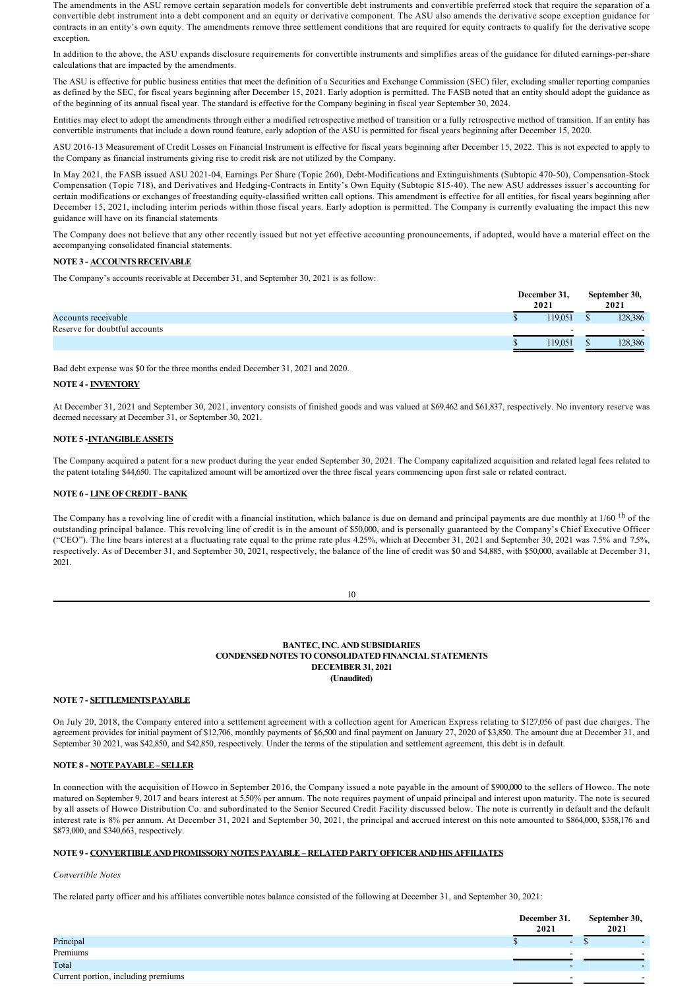The amendments in the ASU remove certain separation models for convertible debt instruments and convertible preferred stock that require the separation of a convertible debt instrument into a debt component and an equity or derivative component. The ASU also amends the derivative scope exception guidance for contracts in an entity's own equity. The amendments remove three settlement conditions that are required for equity contracts to qualify for the derivative scope exception

In addition to the above, the ASU expands disclosure requirements for convertible instruments and simplifies areas of the guidance for diluted earnings-per-share calculations that are impacted by the amendments.

The ASU is effective for public business entities that meet the definition of a Securities and Exchange Commission (SEC) filer, excluding smaller reporting companies as defined by the SEC, for fiscal years beginning after December 15, 2021. Early adoption is permitted. The FASB noted that an entity should adopt the guidance as of the beginning of its annual fiscal year. The standard is effective for the Company begining in fiscal year September 30, 2024.

Entities may elect to adopt the amendments through either a modified retrospective method of transition or a fully retrospective method of transition. If an entity has convertible instruments that include a down round feature, early adoption of the ASU is permitted for fiscal years beginning after December 15, 2020.

ASU 2016-13 Measurement of Credit Losses on Financial Instrument is effective for fiscal years beginning after December 15, 2022. This is not expected to apply to the Company as financial instruments giving rise to credit risk are not utilized by the Company.

In May 2021, the FASB issued ASU 2021-04, Earnings Per Share (Topic 260), Debt-Modifications and Extinguishments (Subtopic 470-50), Compensation-Stock Compensation (Topic 718), and Derivatives and Hedging-Contracts in Entity's Own Equity (Subtopic 815-40). The new ASU addresses issuer's accounting for certain modifications or exchanges of freestanding equity-classified written call options. This amendment is effective for all entities, for fiscal years beginning after December 15, 2021, including interim periods within those fiscal years. Early adoption is permitted. The Company is currently evaluating the impact this new guidance will have on its financial statements

The Company does not believe that any other recently issued but not yet effective accounting pronouncements, if adopted, would have a material effect on the accompanying consolidated financial statements.

# **NOTE 3 ACCOUNTS RECEIVABLE**

The Company's accounts receivable at December 31, and September 30, 2021 is as follow:

|                               | December 31, | September 30, |
|-------------------------------|--------------|---------------|
|                               | 2021         | 2021          |
| Accounts receivable           | 119.051      | 128,386       |
| Reserve for doubtful accounts | -            | -             |
|                               | 19.051       | 128,386<br>æ  |
|                               |              |               |

Bad debt expense was \$0 for the three months ended December 31, 2021 and 2020.

# **NOTE 4 INVENTORY**

At December 31, 2021 and September 30, 2021, inventory consists of finished goods and was valued at \$69,462 and \$61,837, respectively. No inventory reserve was deemed necessary at December 31, or September 30, 2021.

# **NOTE 5 INTANGIBLE ASSETS**

The Company acquired a patent for a new product during the year ended September 30, 2021. The Company capitalized acquisition and related legal fees related to the patent totaling \$44,650. The capitalized amount will be amortized over the three fiscal years commencing upon first sale or related contract.

# **NOTE 6 - LINE OF CREDIT - BANK**

The Company has a revolving line of credit with a financial institution, which balance is due on demand and principal payments are due monthly at 1/60 <sup>th</sup> of the outstanding principal balance. This revolving line of credit is in the amount of \$50,000, and is personally guaranteed by the Company's Chief Executive Officer ("CEO"). The line bears interest at a fluctuating rate equal to the prime rate plus 4.25%, which at December 31, 2021 and September 30, 2021 was 7.5% and 7.5%, respectively. As of December 31, and September 30, 2021, respectively, the balance of the line of credit was \$0 and \$4,885, with \$50,000, available at December 31, 2021.

10

## **BANTEC, INC. AND SUBSIDIARIES CONDENSED NOTES TO CONSOLIDATED FINANCIAL STATEMENTS DECEMBER 31, 2021 (Unaudited)**

# **NOTE 7 SETTLEMENTS PAYABLE**

On July 20, 2018, the Company entered into a settlement agreement with a collection agent for American Express relating to \$127,056 of past due charges. The agreement provides for initial payment of \$12,706, monthly payments of \$6,500 and final payment on January 27, 2020 of \$3,850. The amount due at December 31, and September 30 2021, was \$42,850, and \$42,850, respectively. Under the terms of the stipulation and settlement agreement, this debt is in default.

# **NOTE 8 - NOTE PAYABLE – SELLER**

In connection with the acquisition of Howco in September 2016, the Company issued a note payable in the amount of \$900,000 to the sellers of Howco. The note matured on September 9, 2017 and bears interest at 5.50% per annum. The note requires payment of unpaid principal and interest upon maturity. The note is secured by all assets of Howco Distribution Co. and subordinated to the Senior Secured Credit Facility discussed below. The note is currently in default and the default interest rate is 8% per annum. At December 31, 2021 and September 30, 2021, the principal and accrued interest on this note amounted to \$864,000, \$358,176 and \$873,000, and \$340,663, respectively.

# **NOTE 9 CONVERTIBLE AND PROMISSORY NOTES PAYABLE – RELATED PARTY OFFICER AND HIS AFFILIATES**

#### *Convertible Notes*

The related party officer and his affiliates convertible notes balance consisted of the following at December 31, and September 30, 2021:

|                                     | December 31.<br>2021     | September 30,<br>2021 |  |
|-------------------------------------|--------------------------|-----------------------|--|
| Principal                           | -                        |                       |  |
| Premiums                            |                          |                       |  |
| Total                               | $\overline{\phantom{0}}$ |                       |  |
| Current portion, including premiums |                          |                       |  |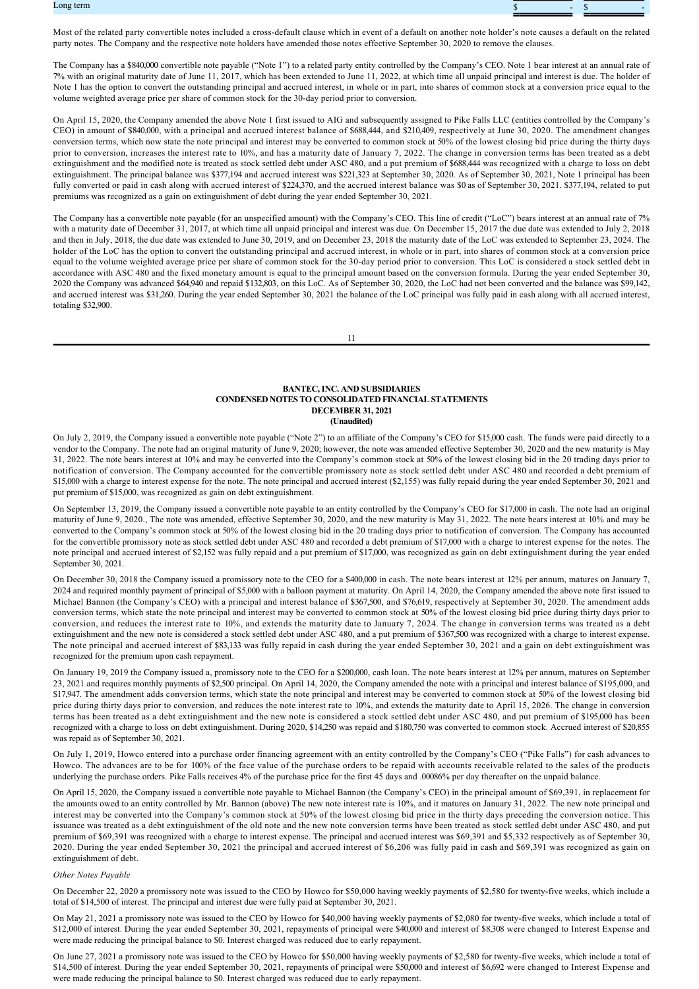

Most of the related party convertible notes included a cross-default clause which in event of a default on another note holder's note causes a default on the related party notes. The Company and the respective note holders have amended those notes effective September 30, 2020 to remove the clauses.

The Company has a \$840,000 convertible note payable ("Note 1") to a related party entity controlled by the Company's CEO. Note 1 bear interest at an annual rate of 7% with an original maturity date of June 11, 2017, which has been extended to June 11, 2022, at which time all unpaid principal and interest is due. The holder of Note 1 has the option to convert the outstanding principal and accrued interest, in whole or in part, into shares of common stock at a conversion price equal to the volume weighted average price per share of common stock for the 30-day period prior to conversion.

On April 15, 2020, the Company amended the above Note 1 first issued to AIG and subsequently assigned to Pike Falls LLC (entities controlled by the Company's CEO) in amount of \$840,000, with a principal and accrued interest balance of \$688,444, and \$210,409, respectively at June 30, 2020. The amendment changes conversion terms, which now state the note principal and interest may be converted to common stock at 50% of the lowest closing bid price during the thirty days prior to conversion, increases the interest rate to 10%, and has a maturity date of January 7, 2022. The change in conversion terms has been treated as a debt extinguishment and the modified note is treated as stock settled debt under ASC 480, and a put premium of \$688,444 was recognized with a charge to loss on debt extinguishment. The principal balance was \$377,194 and accrued interest was \$221,323 at September 30, 2020. As of September 30, 2021, Note 1 principal has been fully converted or paid in cash along with accrued interest of \$224,370, and the accrued interest balance was \$0 as of September 30, 2021. \$377,194, related to put premiums was recognized as a gain on extinguishment of debt during the year ended September 30, 2021.

The Company has a convertible note payable (for an unspecified amount) with the Company's CEO. This line of credit ("LoC") bears interest at an annual rate of 7% with a maturity date of December 31, 2017, at which time all unpaid principal and interest was due. On December 15, 2017 the due date was extended to July 2, 2018 and then in July, 2018, the due date was extended to June 30, 2019, and on December 23, 2018 the maturity date of the LoC was extended to September 23, 2024. The holder of the LoC has the option to convert the outstanding principal and accrued interest, in whole or in part, into shares of common stock at a conversion price equal to the volume weighted average price per share of common stock for the 30-day period prior to conversion. This LoC is considered a stock settled debt in accordance with ASC 480 and the fixed monetary amount is equal to the principal amount based on the conversion formula. During the year ended September 30, 2020 the Company was advanced \$64,940 and repaid \$132,803, on this LoC. As of September 30, 2020, the LoC had not been converted and the balance was \$99,142, and accrued interest was \$31,260. During the year ended September 30, 2021 the balance of the LoC principal was fully paid in cash along with all accrued interest, totaling \$32,900.

11

#### **BANTEC, INC. AND SUBSIDIARIES CONDENSED NOTES TO CONSOLIDATED FINANCIAL STATEMENTS DECEMBER 31, 2021 (Unaudited)**

On July 2, 2019, the Company issued a convertible note payable ("Note 2") to an affiliate of the Company's CEO for \$15,000 cash. The funds were paid directly to a vendor to the Company. The note had an original maturity of June 9, 2020; however, the note was amended effective September 30, 2020 and the new maturity is May 31, 2022. The note bears interest at 10% and may be converted into the Company's common stock at 50% of the lowest closing bid in the 20 trading days prior to notification of conversion. The Company accounted for the convertible promissory note as stock settled debt under ASC 480 and recorded a debt premium of \$15,000 with a charge to interest expense for the note. The note principal and accrued interest (\$2,155) was fully repaid during the year ended September 30, 2021 and put premium of \$15,000, was recognized as gain on debt extinguishment.

On September 13, 2019, the Company issued a convertible note payable to an entity controlled by the Company's CEO for \$17,000 in cash. The note had an original maturity of June 9, 2020., The note was amended, effective September 30, 2020, and the new maturity is May 31, 2022. The note bears interest at 10% and may be converted to the Company's common stock at 50% of the lowest closing bid in the 20 trading days prior to notification of conversion. The Company has accounted for the convertible promissory note as stock settled debt under ASC 480 and recorded a debt premium of \$17,000 with a charge to interest expense for the notes. The note principal and accrued interest of \$2,152 was fully repaid and a put premium of \$17,000, was recognized as gain on debt extinguishment during the year ended September 30, 2021.

On December 30, 2018 the Company issued a promissory note to the CEO for a \$400,000 in cash. The note bears interest at 12% per annum, matures on January 7, 2024 and required monthly payment of principal of \$5,000 with a balloon payment at maturity. On April 14, 2020, the Company amended the above note first issued to Michael Bannon (the Company's CEO) with a principal and interest balance of \$367,500, and \$76,619, respectively at September 30, 2020. The amendment adds conversion terms, which state the note principal and interest may be converted to common stock at 50% of the lowest closing bid price during thirty days prior to conversion, and reduces the interest rate to 10%, and extends the maturity date to January 7, 2024. The change in conversion terms was treated as a debt extinguishment and the new note is considered a stock settled debt under ASC 480, and a put premium of \$367,500 was recognized with a charge to interest expense. The note principal and accrued interest of \$83,133 was fully repaid in cash during the year ended September 30, 2021 and a gain on debt extinguishment was recognized for the premium upon cash repayment.

On January 19, 2019 the Company issued a, promissory note to the CEO for a \$200,000, cash loan. The note bears interest at 12% per annum, matures on September 23, 2021 and requires monthly payments of \$2,500 principal. On April 14, 2020, the Company amended the note with a principal and interest balance of \$195,000, and \$17,947. The amendment adds conversion terms, which state the note principal and interest may be converted to common stock at 50% of the lowest closing bid price during thirty days prior to conversion, and reduces the note interest rate to 10%, and extends the maturity date to April 15, 2026. The change in conversion terms has been treated as a debt extinguishment and the new note is considered a stock settled debt under ASC 480, and put premium of \$195,000 has been recognized with a charge to loss on debt extinguishment. During 2020, \$14,250 was repaid and \$180,750 was converted to common stock. Accrued interest of \$20,855 was repaid as of September 30, 2021.

On July 1, 2019, Howco entered into a purchase order financing agreement with an entity controlled by the Company's CEO ("Pike Falls") for cash advances to Howco. The advances are to be for 100% of the face value of the purchase orders to be repaid with accounts receivable related to the sales of the products underlying the purchase orders. Pike Falls receives 4% of the purchase price for the first 45 days and .00086% per day thereafter on the unpaid balance.

On April 15, 2020, the Company issued a convertible note payable to Michael Bannon (the Company's CEO) in the principal amount of \$69,391, in replacement for the amounts owed to an entity controlled by Mr. Bannon (above) The new note interest rate is 10%, and it matures on January 31, 2022. The new note principal and interest may be converted into the Company's common stock at 50% of the lowest closing bid price in the thirty days preceding the conversion notice. This issuance was treated as a debt extinguishment of the old note and the new note conversion terms have been treated as stock settled debt under ASC 480, and put premium of \$69,391 was recognized with a charge to interest expense. The principal and accrued interest was \$69,391 and \$5,332 respectively as of September 30, 2020. During the year ended September 30, 2021 the principal and accrued interest of \$6,206 was fully paid in cash and \$69,391 was recognized as gain on extinguishment of debt.

#### *Other Notes Payable*

On December 22, 2020 a promissory note was issued to the CEO by Howco for \$50,000 having weekly payments of \$2,580 for twenty-five weeks, which include a total of \$14,500 of interest. The principal and interest due were fully paid at September 30, 2021.

On May 21, 2021 a promissory note was issued to the CEO by Howco for \$40,000 having weekly payments of \$2,080 for twenty-five weeks, which include a total of \$12,000 of interest. During the year ended September 30, 2021, repayments of principal were \$40,000 and interest of \$8,308 were changed to Interest Expense and were made reducing the principal balance to \$0. Interest charged was reduced due to early repayment.

On June 27, 2021 a promissory note was issued to the CEO by Howco for \$50,000 having weekly payments of \$2,580 for twenty-five weeks, which include a total of \$14,500 of interest. During the year ended September 30, 2021, repayments of principal were \$50,000 and interest of \$6,692 were changed to Interest Expense and were made reducing the principal balance to \$0. Interest charged was reduced due to early repayment.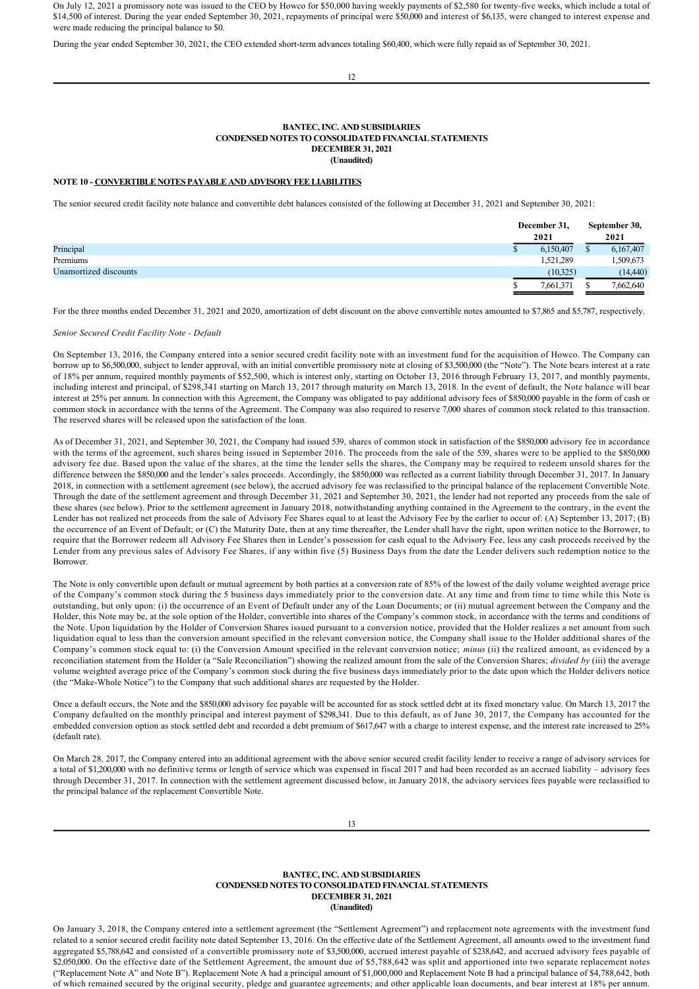On July 12, 2021 a promissory note was issued to the CEO by Howco for \$50,000 having weekly payments of \$2,580 for twenty-five weeks, which include a total of \$14,500 of interest. During the year ended September 30, 2021, repayments of principal were \$50,000 and interest of \$6,135, were changed to interest expense and were made reducing the principal balance to \$0.

During the year ended September 30, 2021, the CEO extended short-term advances totaling \$60,400, which were fully repaid as of September 30, 2021.

12

#### **BANTEC, INC. AND SUBSIDIARIES CONDENSED NOTES TO CONSOLIDATED FINANCIAL STATEMENTS DECEMBER 31, 2021 (Unaudited)**

#### **NOTE 10 CONVERTIBLE NOTES PAYABLE AND ADVISORY FEE LIABILITIES**

The senior secured credit facility note balance and convertible debt balances consisted of the following at December 31, 2021 and September 30, 2021:

|                       | December 31,<br>2021 |          | September 30,<br>2021 |  |
|-----------------------|----------------------|----------|-----------------------|--|
| Principal             | 6,150,407            |          | 6,167,407             |  |
| Premiums              | 1,521,289            |          | .509,673              |  |
| Unamortized discounts |                      | (10,325) | (14, 440)             |  |
|                       | 7,661,371            |          | 7,662,640             |  |

For the three months ended December 31, 2021 and 2020, amortization of debt discount on the above convertible notes amounted to \$7,865 and \$5,787, respectively.

#### *Senior Secured Credit Facility Note Default*

On September 13, 2016, the Company entered into a senior secured credit facility note with an investment fund for the acquisition of Howco. The Company can borrow up to \$6,500,000, subject to lender approval, with an initial convertible promissory note at closing of \$3,500,000 (the "Note"). The Note bears interest at a rate of 18% per annum, required monthly payments of \$52,500, which is interest only, starting on October 13, 2016 through February 13, 2017, and monthly payments, including interest and principal, of \$298,341 starting on March 13, 2017 through maturity on March 13, 2018. In the event of default, the Note balance will bear interest at 25% per annum. In connection with this Agreement, the Company was obligated to pay additional advisory fees of \$850,000 payable in the form of cash or common stock in accordance with the terms of the Agreement. The Company was also required to reserve 7,000 shares of common stock related to this transaction. The reserved shares will be released upon the satisfaction of the loan.

As of December 31, 2021, and September 30, 2021, the Company had issued 539, shares of common stock in satisfaction of the \$850,000 advisory fee in accordance with the terms of the agreement, such shares being issued in September 2016. The proceeds from the sale of the 539, shares were to be applied to the \$850,000 advisory fee due. Based upon the value of the shares, at the time the lender sells the shares, the Company may be required to redeem unsold shares for the difference between the \$850,000 and the lender's sales proceeds. Accordingly, the \$850,000 was reflected as a current liability through December 31, 2017. In January 2018, in connection with a settlement agreement (see below), the accrued advisory fee was reclassified to the principal balance of the replacement Convertible Note. Through the date of the settlement agreement and through December 31, 2021 and September 30, 2021, the lender had not reported any proceeds from the sale of these shares (see below). Prior to the settlement agreement in January 2018, notwithstanding anything contained in the Agreement to the contrary, in the event the Lender has not realized net proceeds from the sale of Advisory Fee Shares equal to at least the Advisory Fee by the earlier to occur of: (A) September 13, 2017; (B) the occurrence of an Event of Default; or (C) the Maturity Date, then at any time thereafter, the Lender shall have the right, upon written notice to the Borrower, to require that the Borrower redeem all Advisory Fee Shares then in Lender's possession for cash equal to the Advisory Fee, less any cash proceeds received by the Lender from any previous sales of Advisory Fee Shares, if any within five (5) Business Days from the date the Lender delivers such redemption notice to the Borrower.

The Note is only convertible upon default or mutual agreement by both parties at a conversion rate of 85% of the lowest of the daily volume weighted average price of the Company's common stock during the 5 business days immediately prior to the conversion date. At any time and from time to time while this Note is outstanding, but only upon: (i) the occurrence of an Event of Default under any of the Loan Documents; or (ii) mutual agreement between the Company and the Holder, this Note may be, at the sole option of the Holder, convertible into shares of the Company's common stock, in accordance with the terms and conditions of the Note. Upon liquidation by the Holder of Conversion Shares issued pursuant to a conversion notice, provided that the Holder realizes a net amount from such liquidation equal to less than the conversion amount specified in the relevant conversion notice, the Company shall issue to the Holder additional shares of the Company's common stock equal to: (i) the Conversion Amount specified in the relevant conversion notice; *minus* (ii) the realized amount, as evidenced by a reconciliation statement from the Holder (a "Sale Reconciliation") showing the realized amount from the sale of the Conversion Shares; *divided by* (iii) the average volume weighted average price of the Company's common stock during the five business days immediately prior to the date upon which the Holder delivers notice (the "Make-Whole Notice") to the Company that such additional shares are requested by the Holder.

Once a default occurs, the Note and the \$850,000 advisory fee payable will be accounted for as stock settled debt at its fixed monetary value. On March 13, 2017 the Company defaulted on the monthly principal and interest payment of \$298,341. Due to this default, as of June 30, 2017, the Company has accounted for the embedded conversion option as stock settled debt and recorded a debt premium of \$617,647 with a charge to interest expense, and the interest rate increased to 25% (default rate).

On March 28, 2017, the Company entered into an additional agreement with the above senior secured credit facility lender to receive a range of advisory services for a total of \$1,200,000 with no definitive terms or length of service which was expensed in fiscal 2017 and had been recorded as an accrued liability – advisory fees through December 31, 2017. In connection with the settlement agreement discussed below, in January 2018, the advisory services fees payable were reclassified to the principal balance of the replacement Convertible Note.

# **BANTEC, INC. AND SUBSIDIARIES CONDENSED NOTES TO CONSOLIDATED FINANCIAL STATEMENTS DECEMBER 31, 2021 (Unaudited)**

On January 3, 2018, the Company entered into a settlement agreement (the "Settlement Agreement") and replacement note agreements with the investment fund related to a senior secured credit facility note dated September 13, 2016. On the effective date of the Settlement Agreement, all amounts owed to the investment fund aggregated \$5,788,642 and consisted of a convertible promissory note of \$3,500,000, accrued interest payable of \$238,642, and accrued advisory fees payable of \$2,050,000. On the effective date of the Settlement Agreement, the amount due of \$5,788,642 was split and apportioned into two separate replacement notes ("Replacement Note A" and Note B"). Replacement Note A had a principal amount of \$1,000,000 and Replacement Note B had a principal balance of \$4,788,642, both of which remained secured by the original security, pledge and guarantee agreements; and other applicable loan documents, and bear interest at 18% per annum.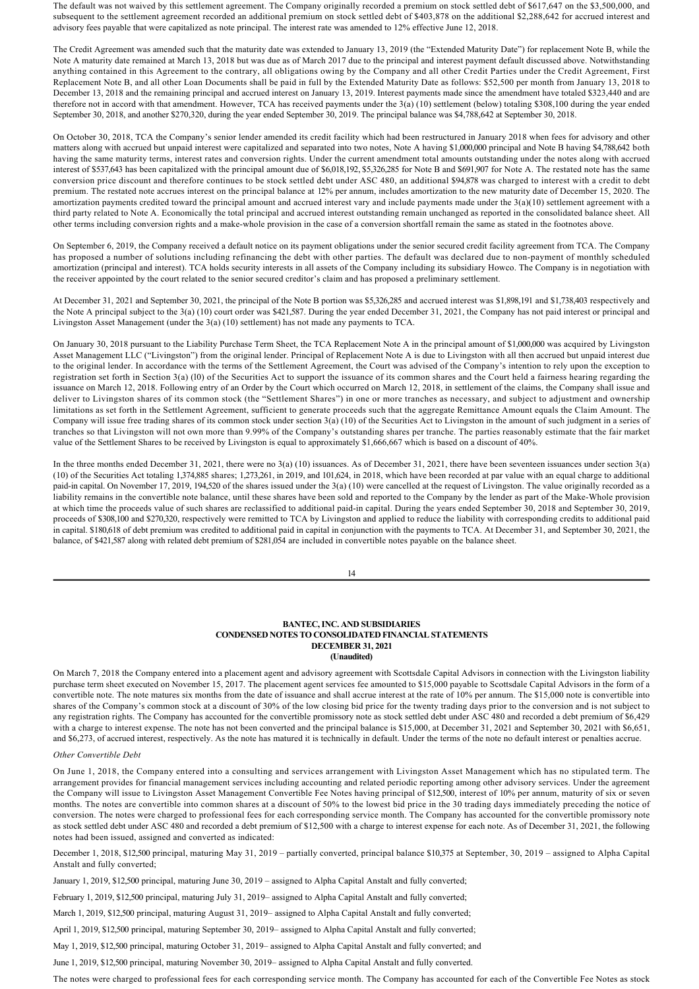The default was not waived by this settlement agreement. The Company originally recorded a premium on stock settled debt of \$617,647 on the \$3,500,000, and subsequent to the settlement agreement recorded an additional premium on stock settled debt of \$403,878 on the additional \$2,288,642 for accrued interest and advisory fees payable that were capitalized as note principal. The interest rate was amended to 12% effective June 12, 2018.

The Credit Agreement was amended such that the maturity date was extended to January 13, 2019 (the "Extended Maturity Date") for replacement Note B, while the Note A maturity date remained at March 13, 2018 but was due as of March 2017 due to the principal and interest payment default discussed above. Notwithstanding anything contained in this Agreement to the contrary, all obligations owing by the Company and all other Credit Parties under the Credit Agreement, First Replacement Note B, and all other Loan Documents shall be paid in full by the Extended Maturity Date as follows: \$52,500 per month from January 13, 2018 to December 13, 2018 and the remaining principal and accrued interest on January 13, 2019. Interest payments made since the amendment have totaled \$323,440 and are therefore not in accord with that amendment. However, TCA has received payments under the 3(a) (10) settlement (below) totaling \$308,100 during the year ended September 30, 2018, and another \$270,320, during the year ended September 30, 2019. The principal balance was \$4,788,642 at September 30, 2018.

On October 30, 2018, TCA the Company's senior lender amended its credit facility which had been restructured in January 2018 when fees for advisory and other matters along with accrued but unpaid interest were capitalized and separated into two notes, Note A having \$1,000,000 principal and Note B having \$4,788,642 both having the same maturity terms, interest rates and conversion rights. Under the current amendment total amounts outstanding under the notes along with accrued interest of \$537,643 has been capitalized with the principal amount due of \$6,018,192, \$5,326,285 for Note B and \$691,907 for Note A. The restated note has the same conversion price discount and therefore continues to be stock settled debt under ASC 480, an additional \$94,878 was charged to interest with a credit to debt premium. The restated note accrues interest on the principal balance at 12% per annum, includes amortization to the new maturity date of December 15, 2020. The amortization payments credited toward the principal amount and accrued interest vary and include payments made under the  $3(a)(10)$  settlement agreement with a third party related to Note A. Economically the total principal and accrued interest outstanding remain unchanged as reported in the consolidated balance sheet. All other terms including conversion rights and a makewhole provision in the case of a conversion shortfall remain the same as stated in the footnotes above.

On September 6, 2019, the Company received a default notice on its payment obligations under the senior secured credit facility agreement from TCA. The Company has proposed a number of solutions including refinancing the debt with other parties. The default was declared due to non-payment of monthly scheduled amortization (principal and interest). TCA holds security interests in all assets of the Company including its subsidiary Howco. The Company is in negotiation with the receiver appointed by the court related to the senior secured creditor's claim and has proposed a preliminary settlement.

At December 31, 2021 and September 30, 2021, the principal of the Note B portion was \$5,326,285 and accrued interest was \$1,898,191 and \$1,738,403 respectively and the Note A principal subject to the 3(a) (10) court order was \$421,587. During the year ended December 31, 2021, the Company has not paid interest or principal and Livingston Asset Management (under the 3(a) (10) settlement) has not made any payments to TCA.

On January 30, 2018 pursuant to the Liability Purchase Term Sheet, the TCA Replacement Note A in the principal amount of \$1,000,000 was acquired by Livingston Asset Management LLC ("Livingston") from the original lender. Principal of Replacement Note A is due to Livingston with all then accrued but unpaid interest due to the original lender. In accordance with the terms of the Settlement Agreement, the Court was advised of the Company's intention to rely upon the exception to registration set forth in Section 3(a) (l0) of the Securities Act to support the issuance of its common shares and the Court held a fairness hearing regarding the issuance on March 12, 2018. Following entry of an Order by the Court which occurred on March 12, 2018, in settlement of the claims, the Company shall issue and deliver to Livingston shares of its common stock (the "Settlement Shares") in one or more tranches as necessary, and subject to adjustment and ownership limitations as set forth in the Settlement Agreement, sufficient to generate proceeds such that the aggregate Remittance Amount equals the Claim Amount. The Company will issue free trading shares of its common stock under section 3(a) (10) of the Securities Act to Livingston in the amount of such judgment in a series of tranches so that Livingston will not own more than 9.99% of the Company's outstanding shares per tranche. The parties reasonably estimate that the fair market value of the Settlement Shares to be received by Livingston is equal to approximately \$1,666,667 which is based on a discount of 40%.

In the three months ended December 31, 2021, there were no 3(a) (10) issuances. As of December 31, 2021, there have been seventeen issuances under section 3(a) (10) of the Securities Act totaling 1,374,885 shares; 1,273,261, in 2019, and 101,624, in 2018, which have been recorded at par value with an equal charge to additional paid-in capital. On November 17, 2019, 194,520 of the shares issued under the 3(a) (10) were cancelled at the request of Livingston. The value originally recorded as a liability remains in the convertible note balance, until these shares have been sold and reported to the Company by the lender as part of the Make-Whole provision at which time the proceeds value of such shares are reclassified to additional paid-in capital. During the years ended September 30, 2018 and September 30, 2019, proceeds of \$308,100 and \$270,320, respectively were remitted to TCA by Livingston and applied to reduce the liability with corresponding credits to additional paid in capital. \$180,618 of debt premium was credited to additional paid in capital in conjunction with the payments to TCA. At December 31, and September 30, 2021, the balance, of \$421,587 along with related debt premium of \$281,054 are included in convertible notes payable on the balance sheet.

14

#### **BANTEC, INC. AND SUBSIDIARIES CONDENSED NOTES TO CONSOLIDATED FINANCIAL STATEMENTS DECEMBER 31, 2021 (Unaudited)**

On March 7, 2018 the Company entered into a placement agent and advisory agreement with Scottsdale Capital Advisors in connection with the Livingston liability purchase term sheet executed on November 15, 2017. The placement agent services fee amounted to \$15,000 payable to Scottsdale Capital Advisors in the form of a convertible note. The note matures six months from the date of issuance and shall accrue interest at the rate of 10% per annum. The \$15,000 note is convertible into shares of the Company's common stock at a discount of 30% of the low closing bid price for the twenty trading days prior to the conversion and is not subject to any registration rights. The Company has accounted for the convertible promissory note as stock settled debt under ASC 480 and recorded a debt premium of \$6,429 with a charge to interest expense. The note has not been converted and the principal balance is \$15,000, at December 31, 2021 and September 30, 2021 with \$6,651, and \$6,273, of accrued interest, respectively. As the note has matured it is technically in default. Under the terms of the note no default interest or penalties accrue.

#### *Other Convertible Debt*

On June 1, 2018, the Company entered into a consulting and services arrangement with Livingston Asset Management which has no stipulated term. The arrangement provides for financial management services including accounting and related periodic reporting among other advisory services. Under the agreement the Company will issue to Livingston Asset Management Convertible Fee Notes having principal of \$12,500, interest of 10% per annum, maturity of six or seven months. The notes are convertible into common shares at a discount of 50% to the lowest bid price in the 30 trading days immediately preceding the notice of conversion. The notes were charged to professional fees for each corresponding service month. The Company has accounted for the convertible promissory note as stock settled debt under ASC 480 and recorded a debt premium of \$12,500 with a charge to interest expense for each note. As of December 31, 2021, the following notes had been issued, assigned and converted as indicated:

December 1, 2018, \$12,500 principal, maturing May 31, 2019 – partially converted, principal balance \$10,375 at September, 30, 2019 – assigned to Alpha Capital Anstalt and fully converted;

January 1, 2019, \$12,500 principal, maturing June 30, 2019 – assigned to Alpha Capital Anstalt and fully converted;

February 1, 2019, \$12,500 principal, maturing July 31, 2019– assigned to Alpha Capital Anstalt and fully converted;

March 1, 2019, \$12,500 principal, maturing August 31, 2019– assigned to Alpha Capital Anstalt and fully converted;

April 1, 2019, \$12,500 principal, maturing September 30, 2019– assigned to Alpha Capital Anstalt and fully converted;

May 1, 2019, \$12,500 principal, maturing October 31, 2019– assigned to Alpha Capital Anstalt and fully converted; and

June 1, 2019, \$12,500 principal, maturing November 30, 2019– assigned to Alpha Capital Anstalt and fully converted.

The notes were charged to professional fees for each corresponding service month. The Company has accounted for each of the Convertible Fee Notes as stock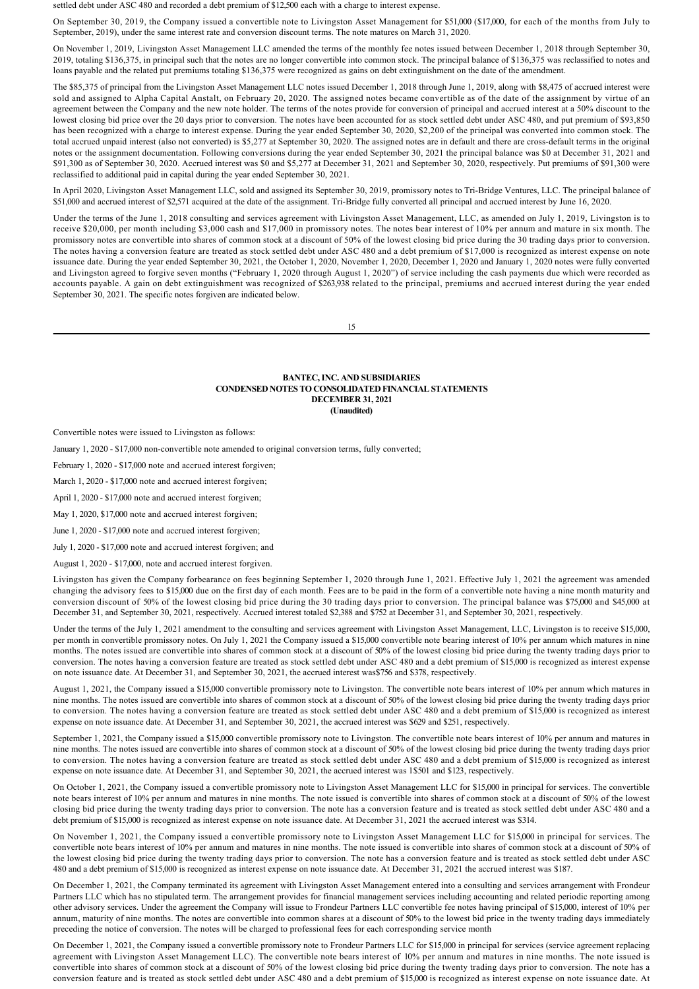settled debt under ASC 480 and recorded a debt premium of \$12,500 each with a charge to interest expense.

On September 30, 2019, the Company issued a convertible note to Livingston Asset Management for \$51,000 (\$17,000, for each of the months from July to September, 2019), under the same interest rate and conversion discount terms. The note matures on March 31, 2020.

On November 1, 2019, Livingston Asset Management LLC amended the terms of the monthly fee notes issued between December 1, 2018 through September 30, 2019, totaling \$136,375, in principal such that the notes are no longer convertible into common stock. The principal balance of \$136,375 was reclassified to notes and loans payable and the related put premiums totaling \$136,375 were recognized as gains on debt extinguishment on the date of the amendment.

The \$85,375 of principal from the Livingston Asset Management LLC notes issued December 1, 2018 through June 1, 2019, along with \$8,475 of accrued interest were sold and assigned to Alpha Capital Anstalt, on February 20, 2020. The assigned notes became convertible as of the date of the assignment by virtue of an agreement between the Company and the new note holder. The terms of the notes provide for conversion of principal and accrued interest at a 50% discount to the lowest closing bid price over the 20 days prior to conversion. The notes have been accounted for as stock settled debt under ASC 480, and put premium of \$93,850 has been recognized with a charge to interest expense. During the year ended September 30, 2020, \$2,200 of the principal was converted into common stock. The total accrued unpaid interest (also not converted) is \$5,277 at September 30, 2020. The assigned notes are in default and there are cross-default terms in the original notes or the assignment documentation. Following conversions during the year ended September 30, 2021 the principal balance was \$0 at December 31, 2021 and \$91,300 as of September 30, 2020. Accrued interest was \$0 and \$5,277 at December 31, 2021 and September 30, 2020, respectively. Put premiums of \$91,300 were reclassified to additional paid in capital during the year ended September 30, 2021.

In April 2020, Livingston Asset Management LLC, sold and assigned its September 30, 2019, promissory notes to Tri-Bridge Ventures, LLC. The principal balance of \$51,000 and accrued interest of \$2,571 acquired at the date of the assignment. Tri-Bridge fully converted all principal and accrued interest by June 16, 2020.

Under the terms of the June 1, 2018 consulting and services agreement with Livingston Asset Management, LLC, as amended on July 1, 2019, Livingston is to receive \$20,000, per month including \$3,000 cash and \$17,000 in promissory notes. The notes bear interest of 10% per annum and mature in six month. The promissory notes are convertible into shares of common stock at a discount of 50% of the lowest closing bid price during the 30 trading days prior to conversion. The notes having a conversion feature are treated as stock settled debt under ASC 480 and a debt premium of \$17,000 is recognized as interest expense on note issuance date. During the year ended September 30, 2021, the October 1, 2020, November 1, 2020, December 1, 2020 and January 1, 2020 notes were fully converted and Livingston agreed to forgive seven months ("February 1, 2020 through August 1, 2020") of service including the cash payments due which were recorded as accounts payable. A gain on debt extinguishment was recognized of \$263,938 related to the principal, premiums and accrued interest during the year ended September 30, 2021. The specific notes forgiven are indicated below.

15

# **BANTEC, INC. AND SUBSIDIARIES CONDENSED NOTES TO CONSOLIDATED FINANCIAL STATEMENTS DECEMBER 31, 2021 (Unaudited)**

Convertible notes were issued to Livingston as follows:

January 1, 2020 - \$17,000 non-convertible note amended to original conversion terms, fully converted;

February 1, 2020 - \$17,000 note and accrued interest forgiven;

March 1, 2020 - \$17,000 note and accrued interest forgiven;

April 1, 2020 - \$17,000 note and accrued interest forgiven;

May 1, 2020, \$17,000 note and accrued interest forgiven;

June 1, 2020 - \$17,000 note and accrued interest forgiven;

July 1, 2020 - \$17,000 note and accrued interest forgiven; and

August 1, 2020 - \$17,000, note and accrued interest forgiven.

Livingston has given the Company forbearance on fees beginning September 1, 2020 through June 1, 2021. Effective July 1, 2021 the agreement was amended changing the advisory fees to \$15,000 due on the first day of each month. Fees are to be paid in the form of a convertible note having a nine month maturity and conversion discount of 50% of the lowest closing bid price during the 30 trading days prior to conversion. The principal balance was \$75,000 and \$45,000 at December 31, and September 30, 2021, respectively. Accrued interest totaled \$2,388 and \$752 at December 31, and September 30, 2021, respectively.

Under the terms of the July 1, 2021 amendment to the consulting and services agreement with Livingston Asset Management, LLC, Livingston is to receive \$15,000, per month in convertible promissory notes. On July 1, 2021 the Company issued a \$15,000 convertible note bearing interest of 10% per annum which matures in nine months. The notes issued are convertible into shares of common stock at a discount of 50% of the lowest closing bid price during the twenty trading days prior to conversion. The notes having a conversion feature are treated as stock settled debt under ASC 480 and a debt premium of \$15,000 is recognized as interest expense on note issuance date. At December 31, and September 30, 2021, the accrued interest was\$756 and \$378, respectively.

August 1, 2021, the Company issued a \$15,000 convertible promissory note to Livingston. The convertible note bears interest of 10% per annum which matures in nine months. The notes issued are convertible into shares of common stock at a discount of 50% of the lowest closing bid price during the twenty trading days prior to conversion. The notes having a conversion feature are treated as stock settled debt under ASC 480 and a debt premium of \$15,000 is recognized as interest expense on note issuance date. At December 31, and September 30, 2021, the accrued interest was \$629 and \$251, respectively.

September 1, 2021, the Company issued a \$15,000 convertible promissory note to Livingston. The convertible note bears interest of 10% per annum and matures in nine months. The notes issued are convertible into shares of common stock at a discount of 50% of the lowest closing bid price during the twenty trading days prior to conversion. The notes having a conversion feature are treated as stock settled debt under ASC 480 and a debt premium of \$15,000 is recognized as interest expense on note issuance date. At December 31, and September 30, 2021, the accrued interest was 1\$501 and \$123, respectively.

On October 1, 2021, the Company issued a convertible promissory note to Livingston Asset Management LLC for \$15,000 in principal for services. The convertible note bears interest of 10% per annum and matures in nine months. The note issued is convertible into shares of common stock at a discount of 50% of the lowest closing bid price during the twenty trading days prior to conversion. The note has a conversion feature and is treated as stock settled debt under ASC 480 and a debt premium of \$15,000 is recognized as interest expense on note issuance date. At December 31, 2021 the accrued interest was \$314.

On November 1, 2021, the Company issued a convertible promissory note to Livingston Asset Management LLC for \$15,000 in principal for services. The convertible note bears interest of 10% per annum and matures in nine months. The note issued is convertible into shares of common stock at a discount of 50% of the lowest closing bid price during the twenty trading days prior to conversion. The note has a conversion feature and is treated as stock settled debt under ASC 480 and a debt premium of \$15,000 is recognized as interest expense on note issuance date. At December 31, 2021 the accrued interest was \$187.

On December 1, 2021, the Company terminated its agreement with Livingston Asset Management entered into a consulting and services arrangement with Frondeur Partners LLC which has no stipulated term. The arrangement provides for financial management services including accounting and related periodic reporting among other advisory services. Under the agreement the Company will issue to Frondeur Partners LLC convertible fee notes having principal of \$15,000, interest of 10% per annum, maturity of nine months. The notes are convertible into common shares at a discount of 50% to the lowest bid price in the twenty trading days immediately preceding the notice of conversion. The notes will be charged to professional fees for each corresponding service month

On December 1, 2021, the Company issued a convertible promissory note to Frondeur Partners LLC for \$15,000 in principal for services (service agreement replacing agreement with Livingston Asset Management LLC). The convertible note bears interest of 10% per annum and matures in nine months. The note issued is convertible into shares of common stock at a discount of 50% of the lowest closing bid price during the twenty trading days prior to conversion. The note has a conversion feature and is treated as stock settled debt under ASC 480 and a debt premium of \$15,000 is recognized as interest expense on note issuance date. At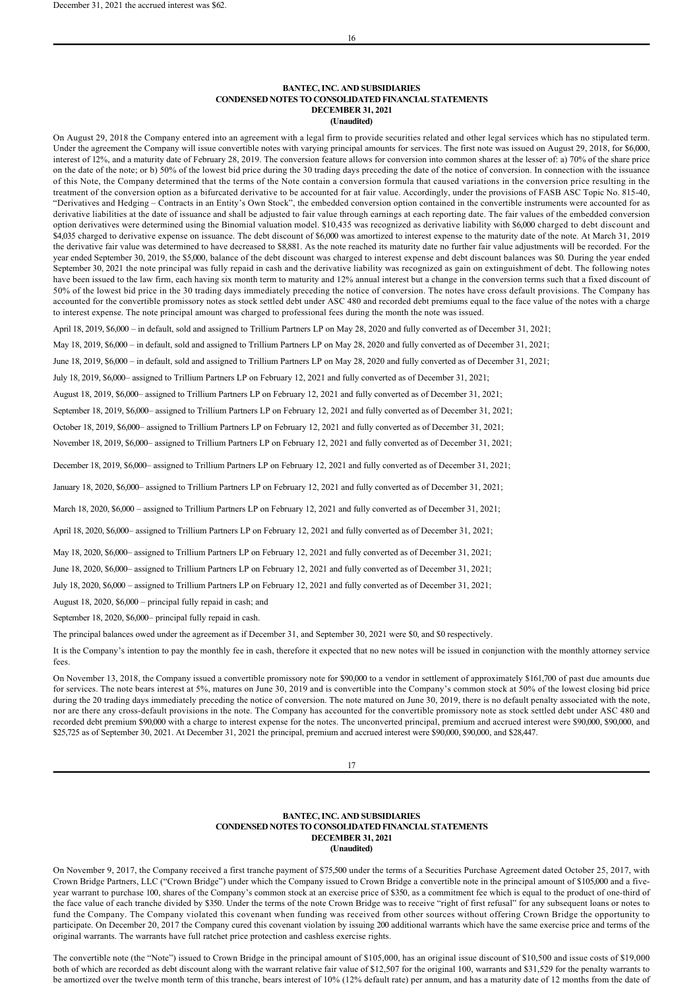## **BANTEC, INC. AND SUBSIDIARIES CONDENSED NOTES TO CONSOLIDATED FINANCIAL STATEMENTS DECEMBER 31, 2021 (Unaudited)**

On August 29, 2018 the Company entered into an agreement with a legal firm to provide securities related and other legal services which has no stipulated term. Under the agreement the Company will issue convertible notes with varying principal amounts for services. The first note was issued on August 29, 2018, for \$6,000, interest of 12%, and a maturity date of February 28, 2019. The conversion feature allows for conversion into common shares at the lesser of: a) 70% of the share price on the date of the note; or b) 50% of the lowest bid price during the 30 trading days preceding the date of the notice of conversion. In connection with the issuance of this Note, the Company determined that the terms of the Note contain a conversion formula that caused variations in the conversion price resulting in the treatment of the conversion option as a bifurcated derivative to be accounted for at fair value. Accordingly, under the provisions of FASB ASC Topic No. 81540, "Derivatives and Hedging – Contracts in an Entity's Own Stock", the embedded conversion option contained in the convertible instruments were accounted for as derivative liabilities at the date of issuance and shall be adjusted to fair value through earnings at each reporting date. The fair values of the embedded conversion option derivatives were determined using the Binomial valuation model. \$10,435 was recognized as derivative liability with \$6,000 charged to debt discount and \$4,035 charged to derivative expense on issuance. The debt discount of \$6,000 was amortized to interest expense to the maturity date of the note. At March 31, 2019 the derivative fair value was determined to have decreased to \$8,881. As the note reached its maturity date no further fair value adjustments will be recorded. For the year ended September 30, 2019, the \$5,000, balance of the debt discount was charged to interest expense and debt discount balances was \$0. During the year ended September 30, 2021 the note principal was fully repaid in cash and the derivative liability was recognized as gain on extinguishment of debt. The following notes have been issued to the law firm, each having six month term to maturity and 12% annual interest but a change in the conversion terms such that a fixed discount of 50% of the lowest bid price in the 30 trading days immediately preceding the notice of conversion. The notes have cross default provisions. The Company has accounted for the convertible promissory notes as stock settled debt under ASC 480 and recorded debt premiums equal to the face value of the notes with a charge to interest expense. The note principal amount was charged to professional fees during the month the note was issued.

April 18, 2019, \$6,000 – in default, sold and assigned to Trillium Partners LP on May 28, 2020 and fully converted as of December 31, 2021;

May 18, 2019, \$6,000 – in default, sold and assigned to Trillium Partners LP on May 28, 2020 and fully converted as of December 31, 2021;

June 18, 2019, \$6,000 – in default, sold and assigned to Trillium Partners LP on May 28, 2020 and fully converted as of December 31, 2021;

July 18, 2019, \$6,000– assigned to Trillium Partners LP on February 12, 2021 and fully converted as of December 31, 2021;

August 18, 2019, \$6,000– assigned to Trillium Partners LP on February 12, 2021 and fully converted as of December 31, 2021;

September 18, 2019, \$6,000– assigned to Trillium Partners LP on February 12, 2021 and fully converted as of December 31, 2021;

October 18, 2019, \$6,000– assigned to Trillium Partners LP on February 12, 2021 and fully converted as of December 31, 2021;

November 18, 2019, \$6,000– assigned to Trillium Partners LP on February 12, 2021 and fully converted as of December 31, 2021;

December 18, 2019, \$6,000– assigned to Trillium Partners LP on February 12, 2021 and fully converted as of December 31, 2021;

January 18, 2020, \$6,000– assigned to Trillium Partners LP on February 12, 2021 and fully converted as of December 31, 2021;

March 18, 2020, \$6,000 – assigned to Trillium Partners LP on February 12, 2021 and fully converted as of December 31, 2021;

April 18, 2020, \$6,000– assigned to Trillium Partners LP on February 12, 2021 and fully converted as of December 31, 2021;

May 18, 2020, \$6,000– assigned to Trillium Partners LP on February 12, 2021 and fully converted as of December 31, 2021;

June 18, 2020, \$6,000– assigned to Trillium Partners LP on February 12, 2021 and fully converted as of December 31, 2021;

July 18, 2020, \$6,000 – assigned to Trillium Partners LP on February 12, 2021 and fully converted as of December 31, 2021;

August 18, 2020, \$6,000 – principal fully repaid in cash; and

September 18, 2020, \$6,000– principal fully repaid in cash.

The principal balances owed under the agreement as if December 31, and September 30, 2021 were \$0, and \$0 respectively.

It is the Company's intention to pay the monthly fee in cash, therefore it expected that no new notes will be issued in conjunction with the monthly attorney service fees.

On November 13, 2018, the Company issued a convertible promissory note for \$90,000 to a vendor in settlement of approximately \$161,700 of past due amounts due for services. The note bears interest at 5%, matures on June 30, 2019 and is convertible into the Company's common stock at 50% of the lowest closing bid price during the 20 trading days immediately preceding the notice of conversion. The note matured on June 30, 2019, there is no default penalty associated with the note, nor are there any cross-default provisions in the note. The Company has accounted for the convertible promissory note as stock settled debt under ASC 480 and recorded debt premium \$90,000 with a charge to interest expense for the notes. The unconverted principal, premium and accrued interest were \$90,000, \$90,000, and \$25,725 as of September 30, 2021. At December 31, 2021 the principal, premium and accrued interest were \$90,000, \$90,000, and \$28,447.

# 17

## **BANTEC, INC. AND SUBSIDIARIES CONDENSED NOTES TO CONSOLIDATED FINANCIAL STATEMENTS DECEMBER 31, 2021 (Unaudited)**

On November 9, 2017, the Company received a first tranche payment of \$75,500 under the terms of a Securities Purchase Agreement dated October 25, 2017, with Crown Bridge Partners, LLC ("Crown Bridge") under which the Company issued to Crown Bridge a convertible note in the principal amount of \$105,000 and a fiveyear warrant to purchase 100, shares of the Company's common stock at an exercise price of \$350, as a commitment fee which is equal to the product of one-third of the face value of each tranche divided by \$350. Under the terms of the note Crown Bridge was to receive "right of first refusal" for any subsequent loans or notes to fund the Company. The Company violated this covenant when funding was received from other sources without offering Crown Bridge the opportunity to participate. On December 20, 2017 the Company cured this covenant violation by issuing 200 additional warrants which have the same exercise price and terms of the original warrants. The warrants have full ratchet price protection and cashless exercise rights.

The convertible note (the "Note") issued to Crown Bridge in the principal amount of \$105,000, has an original issue discount of \$10,500 and issue costs of \$19,000 both of which are recorded as debt discount along with the warrant relative fair value of \$12,507 for the original 100, warrants and \$31,529 for the penalty warrants to be amortized over the twelve month term of this tranche, bears interest of 10% (12% default rate) per annum, and has a maturity date of 12 months from the date of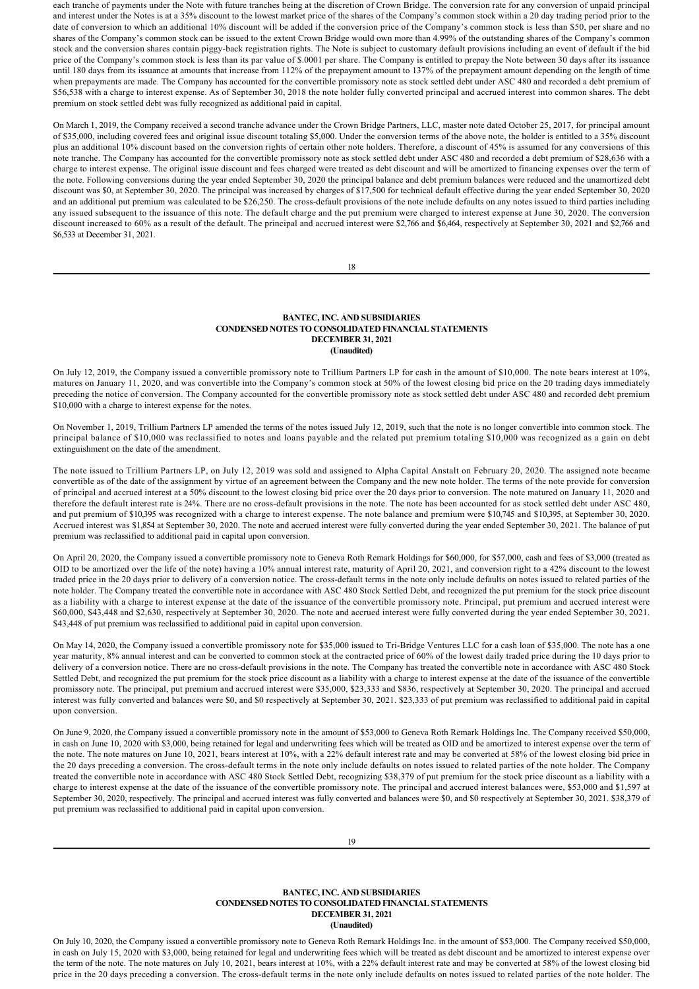each tranche of payments under the Note with future tranches being at the discretion of Crown Bridge. The conversion rate for any conversion of unpaid principal and interest under the Notes is at a 35% discount to the lowest market price of the shares of the Company's common stock within a 20 day trading period prior to the date of conversion to which an additional 10% discount will be added if the conversion price of the Company's common stock is less than \$50, per share and no shares of the Company's common stock can be issued to the extent Crown Bridge would own more than 4.99% of the outstanding shares of the Company's common stock and the conversion shares contain piggy-back registration rights. The Note is subject to customary default provisions including an event of default if the bid price of the Company's common stock is less than its par value of \$.0001 per share. The Company is entitled to prepay the Note between 30 days after its issuance until 180 days from its issuance at amounts that increase from 112% of the prepayment amount to 137% of the prepayment amount depending on the length of time when prepayments are made. The Company has accounted for the convertible promissory note as stock settled debt under ASC 480 and recorded a debt premium of \$56,538 with a charge to interest expense. As of September 30, 2018 the note holder fully converted principal and accrued interest into common shares. The debt premium on stock settled debt was fully recognized as additional paid in capital.

On March 1, 2019, the Company received a second tranche advance under the Crown Bridge Partners, LLC, master note dated October 25, 2017, for principal amount of \$35,000, including covered fees and original issue discount totaling \$5,000. Under the conversion terms of the above note, the holder is entitled to a 35% discount plus an additional 10% discount based on the conversion rights of certain other note holders. Therefore, a discount of 45% is assumed for any conversions of this note tranche. The Company has accounted for the convertible promissory note as stock settled debt under ASC 480 and recorded a debt premium of \$28,636 with a charge to interest expense. The original issue discount and fees charged were treated as debt discount and will be amortized to financing expenses over the term of the note. Following conversions during the year ended September 30, 2020 the principal balance and debt premium balances were reduced and the unamortized debt discount was \$0, at September 30, 2020. The principal was increased by charges of \$17,500 for technical default effective during the year ended September 30, 2020 and an additional put premium was calculated to be \$26,250. The cross-default provisions of the note include defaults on any notes issued to third parties including any issued subsequent to the issuance of this note. The default charge and the put premium were charged to interest expense at June 30, 2020. The conversion discount increased to 60% as a result of the default. The principal and accrued interest were \$2,766 and \$6,464, respectively at September 30, 2021 and \$2,766 and \$6,533 at December 31, 2021.

18

# **BANTEC, INC. AND SUBSIDIARIES CONDENSED NOTES TO CONSOLIDATED FINANCIAL STATEMENTS DECEMBER 31, 2021 (Unaudited)**

On July 12, 2019, the Company issued a convertible promissory note to Trillium Partners LP for cash in the amount of \$10,000. The note bears interest at 10%, matures on January 11, 2020, and was convertible into the Company's common stock at 50% of the lowest closing bid price on the 20 trading days immediately preceding the notice of conversion. The Company accounted for the convertible promissory note as stock settled debt under ASC 480 and recorded debt premium \$10,000 with a charge to interest expense for the notes.

On November 1, 2019, Trillium Partners LP amended the terms of the notes issued July 12, 2019, such that the note is no longer convertible into common stock. The principal balance of \$10,000 was reclassified to notes and loans payable and the related put premium totaling \$10,000 was recognized as a gain on debt extinguishment on the date of the amendment.

The note issued to Trillium Partners LP, on July 12, 2019 was sold and assigned to Alpha Capital Anstalt on February 20, 2020. The assigned note became convertible as of the date of the assignment by virtue of an agreement between the Company and the new note holder. The terms of the note provide for conversion of principal and accrued interest at a 50% discount to the lowest closing bid price over the 20 days prior to conversion. The note matured on January 11, 2020 and therefore the default interest rate is 24%. There are no cross-default provisions in the note. The note has been accounted for as stock settled debt under ASC 480, and put premium of \$10,395 was recognized with a charge to interest expense. The note balance and premium were \$10,745 and \$10,395, at September 30, 2020. Accrued interest was \$1,854 at September 30, 2020. The note and accrued interest were fully converted during the year ended September 30, 2021. The balance of put premium was reclassified to additional paid in capital upon conversion.

On April 20, 2020, the Company issued a convertible promissory note to Geneva Roth Remark Holdings for \$60,000, for \$57,000, cash and fees of \$3,000 (treated as OID to be amortized over the life of the note) having a 10% annual interest rate, maturity of April 20, 2021, and conversion right to a 42% discount to the lowest traded price in the 20 days prior to delivery of a conversion notice. The cross-default terms in the note only include defaults on notes issued to related parties of the note holder. The Company treated the convertible note in accordance with ASC 480 Stock Settled Debt, and recognized the put premium for the stock price discount as a liability with a charge to interest expense at the date of the issuance of the convertible promissory note. Principal, put premium and accrued interest were \$60,000, \$43,448 and \$2,630, respectively at September 30, 2020. The note and accrued interest were fully converted during the year ended September 30, 2021. \$43,448 of put premium was reclassified to additional paid in capital upon conversion.

On May 14, 2020, the Company issued a convertible promissory note for \$35,000 issued to Tri-Bridge Ventures LLC for a cash loan of \$35,000. The note has a one year maturity, 8% annual interest and can be converted to common stock at the contracted price of 60% of the lowest daily traded price during the 10 days prior to delivery of a conversion notice. There are no cross-default provisions in the note. The Company has treated the convertible note in accordance with ASC 480 Stock Settled Debt, and recognized the put premium for the stock price discount as a liability with a charge to interest expense at the date of the issuance of the convertible promissory note. The principal, put premium and accrued interest were \$35,000, \$23,333 and \$836, respectively at September 30, 2020. The principal and accrued interest was fully converted and balances were \$0, and \$0 respectively at September 30, 2021. \$23,333 of put premium was reclassified to additional paid in capital upon conversion.

On June 9, 2020, the Company issued a convertible promissory note in the amount of \$53,000 to Geneva Roth Remark Holdings Inc. The Company received \$50,000, in cash on June 10, 2020 with \$3,000, being retained for legal and underwriting fees which will be treated as OID and be amortized to interest expense over the term of the note. The note matures on June 10, 2021, bears interest at 10%, with a 22% default interest rate and may be converted at 58% of the lowest closing bid price in the 20 days preceding a conversion. The cross-default terms in the note only include defaults on notes issued to related parties of the note holder. The Company treated the convertible note in accordance with ASC 480 Stock Settled Debt, recognizing \$38,379 of put premium for the stock price discount as a liability with a charge to interest expense at the date of the issuance of the convertible promissory note. The principal and accrued interest balances were, \$53,000 and \$1,597 at September 30, 2020, respectively. The principal and accrued interest was fully converted and balances were \$0, and \$0 respectively at September 30, 2021. \$38,379 of put premium was reclassified to additional paid in capital upon conversion.

## **BANTEC, INC. AND SUBSIDIARIES CONDENSED NOTES TO CONSOLIDATED FINANCIAL STATEMENTS DECEMBER 31, 2021 (Unaudited)**

On July 10, 2020, the Company issued a convertible promissory note to Geneva Roth Remark Holdings Inc. in the amount of \$53,000. The Company received \$50,000, in cash on July 15, 2020 with \$3,000, being retained for legal and underwriting fees which will be treated as debt discount and be amortized to interest expense over the term of the note. The note matures on July 10, 2021, bears interest at 10%, with a 22% default interest rate and may be converted at 58% of the lowest closing bid price in the 20 days preceding a conversion. The cross-default terms in the note only include defaults on notes issued to related parties of the note holder. The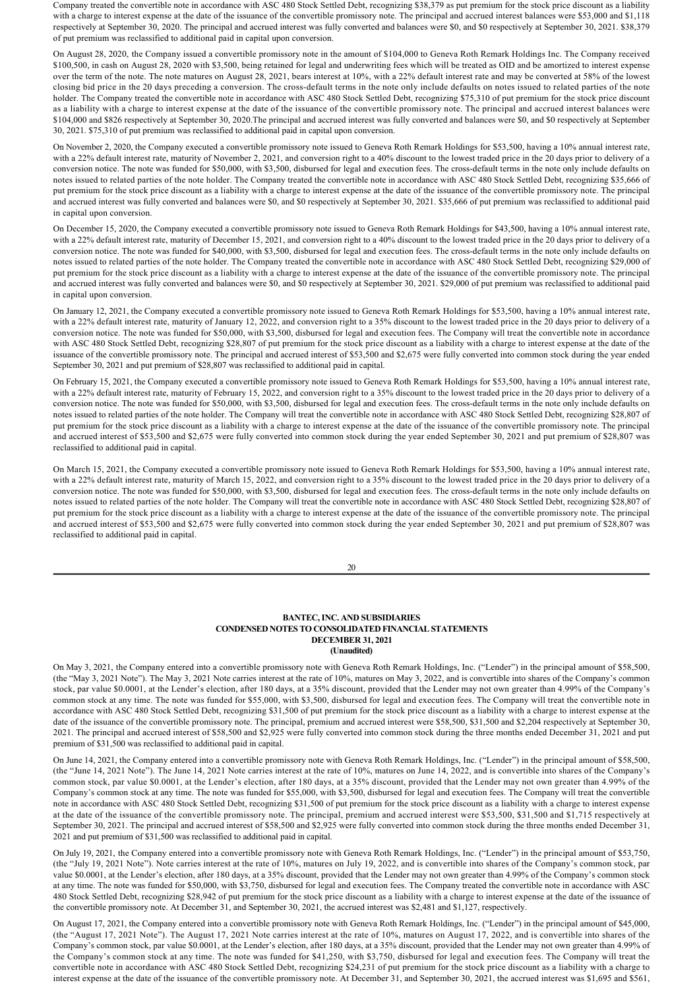Company treated the convertible note in accordance with ASC 480 Stock Settled Debt, recognizing \$38,379 as put premium for the stock price discount as a liability with a charge to interest expense at the date of the issuance of the convertible promissory note. The principal and accrued interest balances were \$53,000 and \$1,118 respectively at September 30, 2020. The principal and accrued interest was fully converted and balances were \$0, and \$0 respectively at September 30, 2021. \$38,379 of put premium was reclassified to additional paid in capital upon conversion.

On August 28, 2020, the Company issued a convertible promissory note in the amount of \$104,000 to Geneva Roth Remark Holdings Inc. The Company received \$100,500, in cash on August 28, 2020 with \$3,500, being retained for legal and underwriting fees which will be treated as OID and be amortized to interest expense over the term of the note. The note matures on August 28, 2021, bears interest at 10%, with a 22% default interest rate and may be converted at 58% of the lowest closing bid price in the 20 days preceding a conversion. The cross-default terms in the note only include defaults on notes issued to related parties of the note holder. The Company treated the convertible note in accordance with ASC 480 Stock Settled Debt, recognizing \$75,310 of put premium for the stock price discount as a liability with a charge to interest expense at the date of the issuance of the convertible promissory note. The principal and accrued interest balances were \$104,000 and \$826 respectively at September 30, 2020.The principal and accrued interest was fully converted and balances were \$0, and \$0 respectively at September 30, 2021. \$75,310 of put premium was reclassified to additional paid in capital upon conversion.

On November 2, 2020, the Company executed a convertible promissory note issued to Geneva Roth Remark Holdings for \$53,500, having a 10% annual interest rate, with a 22% default interest rate, maturity of November 2, 2021, and conversion right to a 40% discount to the lowest traded price in the 20 days prior to delivery of a conversion notice. The note was funded for \$50,000, with \$3,500, disbursed for legal and execution fees. The cross-default terms in the note only include defaults on notes issued to related parties of the note holder. The Company treated the convertible note in accordance with ASC 480 Stock Settled Debt, recognizing \$35,666 of put premium for the stock price discount as a liability with a charge to interest expense at the date of the issuance of the convertible promissory note. The principal and accrued interest was fully converted and balances were \$0, and \$0 respectively at September 30, 2021. \$35,666 of put premium was reclassified to additional paid in capital upon conversion.

On December 15, 2020, the Company executed a convertible promissory note issued to Geneva Roth Remark Holdings for \$43,500, having a 10% annual interest rate, with a 22% default interest rate, maturity of December 15, 2021, and conversion right to a 40% discount to the lowest traded price in the 20 days prior to delivery of a conversion notice. The note was funded for \$40,000, with \$3,500, disbursed for legal and execution fees. The cross-default terms in the note only include defaults on notes issued to related parties of the note holder. The Company treated the convertible note in accordance with ASC 480 Stock Settled Debt, recognizing \$29,000 of put premium for the stock price discount as a liability with a charge to interest expense at the date of the issuance of the convertible promissory note. The principal and accrued interest was fully converted and balances were \$0, and \$0 respectively at September 30, 2021. \$29,000 of put premium was reclassified to additional paid in capital upon conversion.

On January 12, 2021, the Company executed a convertible promissory note issued to Geneva Roth Remark Holdings for \$53,500, having a 10% annual interest rate, with a 22% default interest rate, maturity of January 12, 2022, and conversion right to a 35% discount to the lowest traded price in the 20 days prior to delivery of a conversion notice. The note was funded for \$50,000, with \$3,500, disbursed for legal and execution fees. The Company will treat the convertible note in accordance with ASC 480 Stock Settled Debt, recognizing \$28,807 of put premium for the stock price discount as a liability with a charge to interest expense at the date of the issuance of the convertible promissory note. The principal and accrued interest of \$53,500 and \$2,675 were fully converted into common stock during the year ended September 30, 2021 and put premium of \$28,807 was reclassified to additional paid in capital.

On February 15, 2021, the Company executed a convertible promissory note issued to Geneva Roth Remark Holdings for \$53,500, having a 10% annual interest rate, with a 22% default interest rate, maturity of February 15, 2022, and conversion right to a 35% discount to the lowest traded price in the 20 days prior to delivery of a conversion notice. The note was funded for \$50,000, with \$3,500, disbursed for legal and execution fees. The cross-default terms in the note only include defaults on notes issued to related parties of the note holder. The Company will treat the convertible note in accordance with ASC 480 Stock Settled Debt, recognizing \$28,807 of put premium for the stock price discount as a liability with a charge to interest expense at the date of the issuance of the convertible promissory note. The principal and accrued interest of \$53,500 and \$2,675 were fully converted into common stock during the year ended September 30, 2021 and put premium of \$28,807 was reclassified to additional paid in capital.

On March 15, 2021, the Company executed a convertible promissory note issued to Geneva Roth Remark Holdings for \$53,500, having a 10% annual interest rate, with a 22% default interest rate, maturity of March 15, 2022, and conversion right to a 35% discount to the lowest traded price in the 20 days prior to delivery of a conversion notice. The note was funded for \$50,000, with \$3,500, disbursed for legal and execution fees. The cross-default terms in the note only include defaults on notes issued to related parties of the note holder. The Company will treat the convertible note in accordance with ASC 480 Stock Settled Debt, recognizing \$28,807 of put premium for the stock price discount as a liability with a charge to interest expense at the date of the issuance of the convertible promissory note. The principal and accrued interest of \$53,500 and \$2,675 were fully converted into common stock during the year ended September 30, 2021 and put premium of \$28,807 was reclassified to additional paid in capital.

| ٦           |
|-------------|
| i<br>×<br>٧ |

#### **BANTEC, INC. AND SUBSIDIARIES CONDENSED NOTES TO CONSOLIDATED FINANCIAL STATEMENTS DECEMBER 31, 2021 (Unaudited)**

On May 3, 2021, the Company entered into a convertible promissory note with Geneva Roth Remark Holdings, Inc. ("Lender") in the principal amount of \$58,500, (the "May 3, 2021 Note"). The May 3, 2021 Note carries interest at the rate of 10%, matures on May 3, 2022, and is convertible into shares of the Company's common stock, par value \$0.0001, at the Lender's election, after 180 days, at a 35% discount, provided that the Lender may not own greater than 4.99% of the Company's common stock at any time. The note was funded for \$55,000, with \$3,500, disbursed for legal and execution fees. The Company will treat the convertible note in accordance with ASC 480 Stock Settled Debt, recognizing \$31,500 of put premium for the stock price discount as a liability with a charge to interest expense at the date of the issuance of the convertible promissory note. The principal, premium and accrued interest were \$58,500, \$31,500 and \$2,204 respectively at September 30, 2021. The principal and accrued interest of \$58,500 and \$2,925 were fully converted into common stock during the three months ended December 31, 2021 and put premium of \$31,500 was reclassified to additional paid in capital.

On June 14, 2021, the Company entered into a convertible promissory note with Geneva Roth Remark Holdings, Inc. ("Lender") in the principal amount of \$58,500, (the "June 14, 2021 Note"). The June 14, 2021 Note carries interest at the rate of 10%, matures on June 14, 2022, and is convertible into shares of the Company's common stock, par value \$0.0001, at the Lender's election, after 180 days, at a 35% discount, provided that the Lender may not own greater than 4.99% of the Company's common stock at any time. The note was funded for \$55,000, with \$3,500, disbursed for legal and execution fees. The Company will treat the convertible note in accordance with ASC 480 Stock Settled Debt, recognizing \$31,500 of put premium for the stock price discount as a liability with a charge to interest expense at the date of the issuance of the convertible promissory note. The principal, premium and accrued interest were \$53,500, \$31,500 and \$1,715 respectively at September 30, 2021. The principal and accrued interest of \$58,500 and \$2,925 were fully converted into common stock during the three months ended December 31, 2021 and put premium of \$31,500 was reclassified to additional paid in capital.

On July 19, 2021, the Company entered into a convertible promissory note with Geneva Roth Remark Holdings, Inc. ("Lender") in the principal amount of \$53,750, (the "July 19, 2021 Note"). Note carries interest at the rate of 10%, matures on July 19, 2022, and is convertible into shares of the Company's common stock, par value \$0.0001, at the Lender's election, after 180 days, at a 35% discount, provided that the Lender may not own greater than 4.99% of the Company's common stock at any time. The note was funded for \$50,000, with \$3,750, disbursed for legal and execution fees. The Company treated the convertible note in accordance with ASC 480 Stock Settled Debt, recognizing \$28,942 of put premium for the stock price discount as a liability with a charge to interest expense at the date of the issuance of the convertible promissory note. At December 31, and September 30, 2021, the accrued interest was \$2,481 and \$1,127, respectively.

On August 17, 2021, the Company entered into a convertible promissory note with Geneva Roth Remark Holdings, Inc. ("Lender") in the principal amount of \$45,000, (the "August 17, 2021 Note"). The August 17, 2021 Note carries interest at the rate of 10%, matures on August 17, 2022, and is convertible into shares of the Company's common stock, par value \$0.0001, at the Lender's election, after 180 days, at a 35% discount, provided that the Lender may not own greater than 4.99% of the Company's common stock at any time. The note was funded for \$41,250, with \$3,750, disbursed for legal and execution fees. The Company will treat the convertible note in accordance with ASC 480 Stock Settled Debt, recognizing \$24,231 of put premium for the stock price discount as a liability with a charge to interest expense at the date of the issuance of the convertible promissory note. At December 31, and September 30, 2021, the accrued interest was \$1,695 and \$561,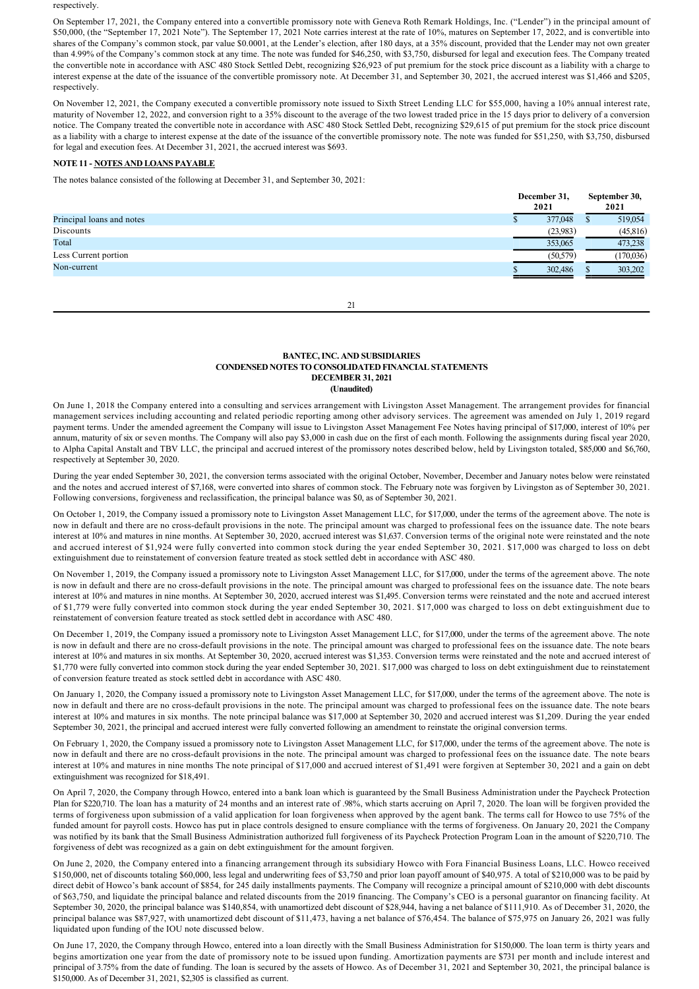respectively.

On September 17, 2021, the Company entered into a convertible promissory note with Geneva Roth Remark Holdings, Inc. ("Lender") in the principal amount of \$50,000, (the "September 17, 2021 Note"). The September 17, 2021 Note carries interest at the rate of 10%, matures on September 17, 2022, and is convertible into shares of the Company's common stock, par value \$0.0001, at the Lender's election, after 180 days, at a 35% discount, provided that the Lender may not own greater than 4.99% of the Company's common stock at any time. The note was funded for \$46,250, with \$3,750, disbursed for legal and execution fees. The Company treated the convertible note in accordance with ASC 480 Stock Settled Debt, recognizing \$26,923 of put premium for the stock price discount as a liability with a charge to interest expense at the date of the issuance of the convertible promissory note. At December 31, and September 30, 2021, the accrued interest was \$1,466 and \$205, respectively.

On November 12, 2021, the Company executed a convertible promissory note issued to Sixth Street Lending LLC for \$55,000, having a 10% annual interest rate, maturity of November 12, 2022, and conversion right to a 35% discount to the average of the two lowest traded price in the 15 days prior to delivery of a conversion notice. The Company treated the convertible note in accordance with ASC 480 Stock Settled Debt, recognizing \$29,615 of put premium for the stock price discount as a liability with a charge to interest expense at the date of the issuance of the convertible promissory note. The note was funded for \$51,250, with \$3,750, disbursed for legal and execution fees. At December 31, 2021, the accrued interest was \$693.

# **NOTE 11 NOTES AND LOANS PAYABLE**

The notes balance consisted of the following at December 31, and September 30, 2021:

|                           | December 31,<br>2021 | September 30,<br>2021 |  |
|---------------------------|----------------------|-----------------------|--|
| Principal loans and notes | 377,048              | 519,054               |  |
| Discounts                 | (23,983)             | (45, 816)             |  |
| Total                     | 353,065              | 473,238               |  |
| Less Current portion      | (50, 579)            | (170, 036)            |  |
| Non-current               | 302,486              | 303,202               |  |
|                           |                      |                       |  |

21

# **BANTEC, INC. AND SUBSIDIARIES CONDENSED NOTES TO CONSOLIDATED FINANCIAL STATEMENTS DECEMBER 31, 2021 (Unaudited)**

On June 1, 2018 the Company entered into a consulting and services arrangement with Livingston Asset Management. The arrangement provides for financial management services including accounting and related periodic reporting among other advisory services. The agreement was amended on July 1, 2019 regard payment terms. Under the amended agreement the Company will issue to Livingston Asset Management Fee Notes having principal of \$17,000, interest of 10% per annum, maturity of six or seven months. The Company will also pay \$3,000 in cash due on the first of each month. Following the assignments during fiscal year 2020, to Alpha Capital Anstalt and TBV LLC, the principal and accrued interest of the promissory notes described below, held by Livingston totaled, \$85,000 and \$6,760, respectively at September 30, 2020.

During the year ended September 30, 2021, the conversion terms associated with the original October, November, December and January notes below were reinstated and the notes and accrued interest of \$7,168, were converted into shares of common stock. The February note was forgiven by Livingston as of September 30, 2021. Following conversions, forgiveness and reclassification, the principal balance was \$0, as of September 30, 2021.

On October 1, 2019, the Company issued a promissory note to Livingston Asset Management LLC, for \$17,000, under the terms of the agreement above. The note is now in default and there are no cross-default provisions in the note. The principal amount was charged to professional fees on the issuance date. The note bears interest at 10% and matures in nine months. At September 30, 2020, accrued interest was \$1,637. Conversion terms of the original note were reinstated and the note and accrued interest of \$1,924 were fully converted into common stock during the year ended September 30, 2021. \$17,000 was charged to loss on debt extinguishment due to reinstatement of conversion feature treated as stock settled debt in accordance with ASC 480.

On November 1, 2019, the Company issued a promissory note to Livingston Asset Management LLC, for \$17,000, under the terms of the agreement above. The note is now in default and there are no cross-default provisions in the note. The principal amount was charged to professional fees on the issuance date. The note bears interest at 10% and matures in nine months. At September 30, 2020, accrued interest was \$1,495. Conversion terms were reinstated and the note and accrued interest of \$1,779 were fully converted into common stock during the year ended September 30, 2021. \$17,000 was charged to loss on debt extinguishment due to reinstatement of conversion feature treated as stock settled debt in accordance with ASC 480.

On December 1, 2019, the Company issued a promissory note to Livingston Asset Management LLC, for \$17,000, under the terms of the agreement above. The note is now in default and there are no cross-default provisions in the note. The principal amount was charged to professional fees on the issuance date. The note bears interest at 10% and matures in six months. At September 30, 2020, accrued interest was \$1,353. Conversion terms were reinstated and the note and accrued interest of \$1,770 were fully converted into common stock during the year ended September 30, 2021. \$17,000 was charged to loss on debt extinguishment due to reinstatement of conversion feature treated as stock settled debt in accordance with ASC 480.

On January 1, 2020, the Company issued a promissory note to Livingston Asset Management LLC, for \$17,000, under the terms of the agreement above. The note is now in default and there are no cross-default provisions in the note. The principal amount was charged to professional fees on the issuance date. The note bears interest at 10% and matures in six months. The note principal balance was \$17,000 at September 30, 2020 and accrued interest was \$1,209. During the year ended September 30, 2021, the principal and accrued interest were fully converted following an amendment to reinstate the original conversion terms.

On February 1, 2020, the Company issued a promissory note to Livingston Asset Management LLC, for \$17,000, under the terms of the agreement above. The note is now in default and there are no crossdefault provisions in the note. The principal amount was charged to professional fees on the issuance date. The note bears interest at 10% and matures in nine months The note principal of \$17,000 and accrued interest of \$1,491 were forgiven at September 30, 2021 and a gain on debt extinguishment was recognized for \$18,491.

On April 7, 2020, the Company through Howco, entered into a bank loan which is guaranteed by the Small Business Administration under the Paycheck Protection Plan for \$220,710. The loan has a maturity of 24 months and an interest rate of .98%, which starts accruing on April 7, 2020. The loan will be forgiven provided the terms of forgiveness upon submission of a valid application for loan forgiveness when approved by the agent bank. The terms call for Howco to use 75% of the funded amount for payroll costs. Howco has put in place controls designed to ensure compliance with the terms of forgiveness. On January 20, 2021 the Company was notified by its bank that the Small Business Administration authorized full forgiveness of its Paycheck Protection Program Loan in the amount of \$220,710. The forgiveness of debt was recognized as a gain on debt extinguishment for the amount forgiven.

On June 2, 2020, the Company entered into a financing arrangement through its subsidiary Howco with Fora Financial Business Loans, LLC. Howco received \$150,000, net of discounts totaling \$60,000, less legal and underwriting fees of \$3,750 and prior loan payoff amount of \$40,975. A total of \$210,000 was to be paid by direct debit of Howco's bank account of \$854, for 245 daily installments payments. The Company will recognize a principal amount of \$210,000 with debt discounts of \$63,750, and liquidate the principal balance and related discounts from the 2019 financing. The Company's CEO is a personal guarantor on financing facility. At September 30, 2020, the principal balance was \$140,854, with unamortized debt discount of \$28,944, having a net balance of \$111,910. As of December 31, 2020, the principal balance was \$87,927, with unamortized debt discount of \$11,473, having a net balance of \$76,454. The balance of \$75,975 on January 26, 2021 was fully liquidated upon funding of the IOU note discussed below.

On June 17, 2020, the Company through Howco, entered into a loan directly with the Small Business Administration for \$150,000. The loan term is thirty years and begins amortization one year from the date of promissory note to be issued upon funding. Amortization payments are \$731 per month and include interest and principal of 3.75% from the date of funding. The loan is secured by the assets of Howco. As of December 31, 2021 and September 30, 2021, the principal balance is \$150,000. As of December 31, 2021, \$2,305 is classified as current.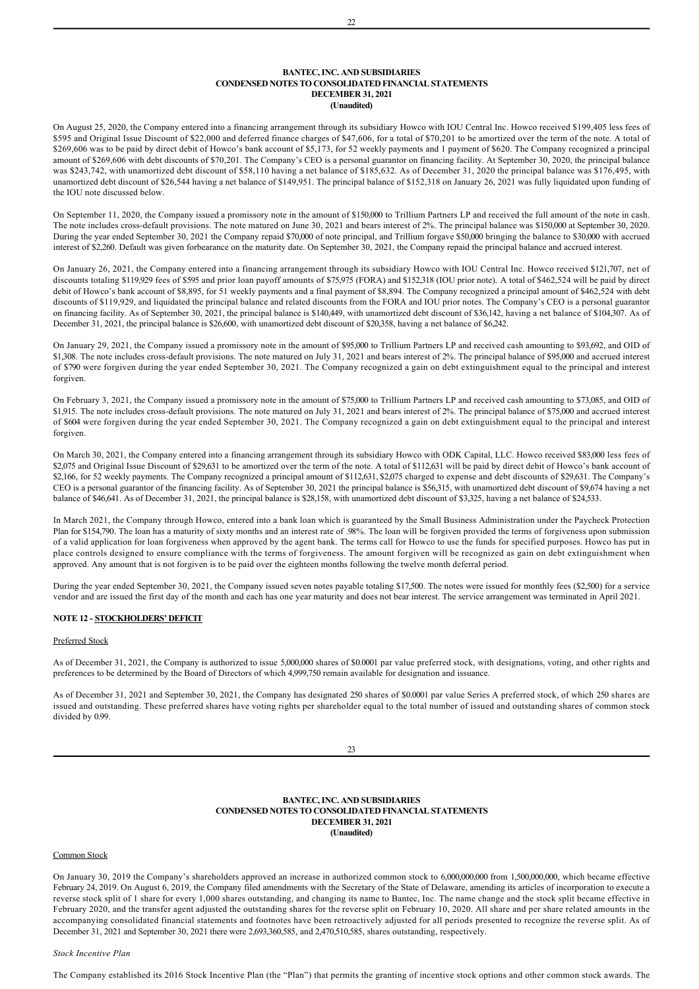## **BANTEC, INC. AND SUBSIDIARIES CONDENSED NOTES TO CONSOLIDATED FINANCIAL STATEMENTS DECEMBER 31, 2021 (Unaudited)**

On August 25, 2020, the Company entered into a financing arrangement through its subsidiary Howco with IOU Central Inc. Howco received \$199,405 less fees of \$595 and Original Issue Discount of \$22,000 and deferred finance charges of \$47,606, for a total of \$70,201 to be amortized over the term of the note. A total of \$269,606 was to be paid by direct debit of Howco's bank account of \$5,173, for 52 weekly payments and 1 payment of \$620. The Company recognized a principal amount of \$269,606 with debt discounts of \$70,201. The Company's CEO is a personal guarantor on financing facility. At September 30, 2020, the principal balance was \$243,742, with unamortized debt discount of \$58,110 having a net balance of \$185,632. As of December 31, 2020 the principal balance was \$176,495, with unamortized debt discount of \$26,544 having a net balance of \$149,951. The principal balance of \$152,318 on January 26, 2021 was fully liquidated upon funding of the IOU note discussed below.

On September 11, 2020, the Company issued a promissory note in the amount of \$150,000 to Trillium Partners LP and received the full amount of the note in cash. The note includes cross-default provisions. The note matured on June 30, 2021 and bears interest of 2%. The principal balance was \$150,000 at September 30, 2020. During the year ended September 30, 2021 the Company repaid \$70,000 of note principal, and Trillium forgave \$50,000 bringing the balance to \$30,000 with accrued interest of \$2,260. Default was given forbearance on the maturity date. On September 30, 2021, the Company repaid the principal balance and accrued interest.

On January 26, 2021, the Company entered into a financing arrangement through its subsidiary Howco with IOU Central Inc. Howco received \$121,707, net of discounts totaling \$119,929 fees of \$595 and prior loan payoff amounts of \$75,975 (FORA) and \$152,318 (IOU prior note). A total of \$462,524 will be paid by direct debit of Howco's bank account of \$8,895, for 51 weekly payments and a final payment of \$8,894. The Company recognized a principal amount of \$462,524 with debt discounts of \$119,929, and liquidated the principal balance and related discounts from the FORA and IOU prior notes. The Company's CEO is a personal guarantor on financing facility. As of September 30, 2021, the principal balance is \$140,449, with unamortized debt discount of \$36,142, having a net balance of \$104,307. As of December 31, 2021, the principal balance is \$26,600, with unamortized debt discount of \$20,358, having a net balance of \$6,242.

On January 29, 2021, the Company issued a promissory note in the amount of \$95,000 to Trillium Partners LP and received cash amounting to \$93,692, and OID of \$1,308. The note includes cross-default provisions. The note matured on July 31, 2021 and bears interest of 2%. The principal balance of \$95,000 and accrued interest of \$790 were forgiven during the year ended September 30, 2021. The Company recognized a gain on debt extinguishment equal to the principal and interest forgiven.

On February 3, 2021, the Company issued a promissory note in the amount of \$75,000 to Trillium Partners LP and received cash amounting to \$73,085, and OID of \$1,915. The note includes cross-default provisions. The note matured on July 31, 2021 and bears interest of 2%. The principal balance of \$75,000 and accrued interest of \$604 were forgiven during the year ended September 30, 2021. The Company recognized a gain on debt extinguishment equal to the principal and interest forgiven.

On March 30, 2021, the Company entered into a financing arrangement through its subsidiary Howco with ODK Capital, LLC. Howco received \$83,000 less fees of \$2,075 and Original Issue Discount of \$29,631 to be amortized over the term of the note. A total of \$112,631 will be paid by direct debit of Howco's bank account of \$2,166, for 52 weekly payments. The Company recognized a principal amount of \$112,631, \$2,075 charged to expense and debt discounts of \$29,631. The Company's CEO is a personal guarantor of the financing facility. As of September 30, 2021 the principal balance is \$56,315, with unamortized debt discount of \$9,674 having a net balance of \$46,641. As of December 31, 2021, the principal balance is \$28,158, with unamortized debt discount of \$3,325, having a net balance of \$24,533.

In March 2021, the Company through Howco, entered into a bank loan which is guaranteed by the Small Business Administration under the Paycheck Protection Plan for \$154,790. The loan has a maturity of sixty months and an interest rate of .98%. The loan will be forgiven provided the terms of forgiveness upon submission of a valid application for loan forgiveness when approved by the agent bank. The terms call for Howco to use the funds for specified purposes. Howco has put in place controls designed to ensure compliance with the terms of forgiveness. The amount forgiven will be recognized as gain on debt extinguishment when approved. Any amount that is not forgiven is to be paid over the eighteen months following the twelve month deferral period.

During the year ended September 30, 2021, the Company issued seven notes payable totaling \$17,500. The notes were issued for monthly fees (\$2,500) for a service vendor and are issued the first day of the month and each has one year maturity and does not bear interest. The service arrangement was terminated in April 2021.

# **NOTE 12 - STOCKHOLDERS' DEFICIT**

# Preferred Stock

As of December 31, 2021, the Company is authorized to issue 5,000,000 shares of \$0.0001 par value preferred stock, with designations, voting, and other rights and preferences to be determined by the Board of Directors of which 4,999,750 remain available for designation and issuance.

As of December 31, 2021 and September 30, 2021, the Company has designated 250 shares of \$0.0001 par value Series A preferred stock, of which 250 shares are issued and outstanding. These preferred shares have voting rights per shareholder equal to the total number of issued and outstanding shares of common stock divided by 0.99.

#### **BANTEC, INC. AND SUBSIDIARIES CONDENSED NOTES TO CONSOLIDATED FINANCIAL STATEMENTS DECEMBER 31, 2021 (Unaudited)**

# Common Stock

On January 30, 2019 the Company's shareholders approved an increase in authorized common stock to 6,000,000,000 from 1,500,000,000, which became effective February 24, 2019. On August 6, 2019, the Company filed amendments with the Secretary of the State of Delaware, amending its articles of incorporation to execute a reverse stock split of 1 share for every 1,000 shares outstanding, and changing its name to Bantec, Inc. The name change and the stock split became effective in February 2020, and the transfer agent adjusted the outstanding shares for the reverse split on February 10, 2020. All share and per share related amounts in the accompanying consolidated financial statements and footnotes have been retroactively adjusted for all periods presented to recognize the reverse split. As of December 31, 2021 and September 30, 2021 there were 2,693,360,585, and 2,470,510,585, shares outstanding, respectively.

# *Stock Incentive Plan*

The Company established its 2016 Stock Incentive Plan (the "Plan") that permits the granting of incentive stock options and other common stock awards. The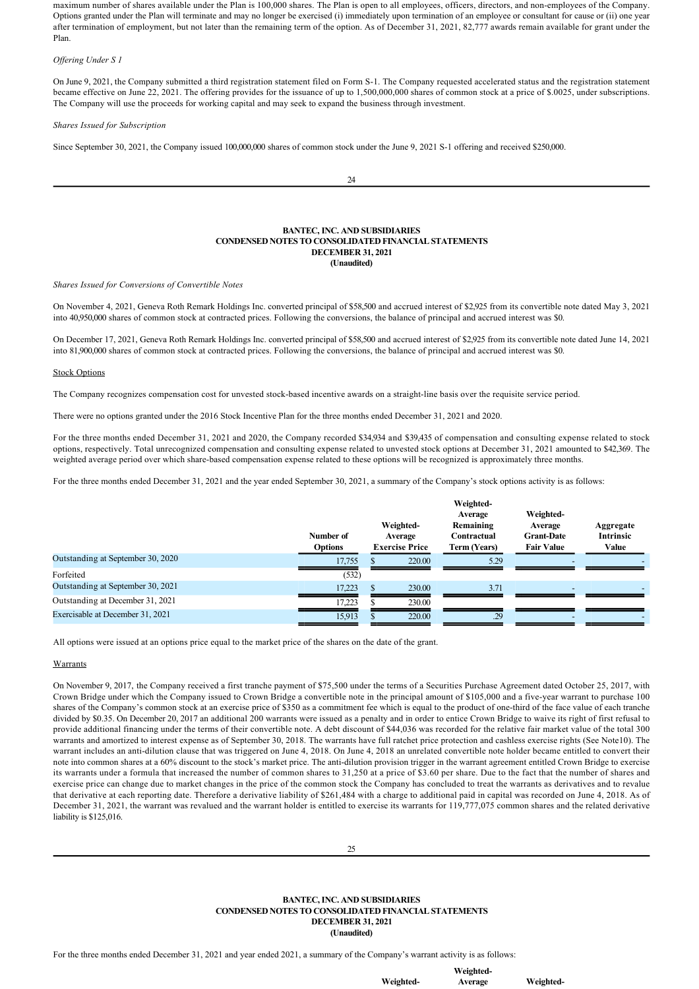maximum number of shares available under the Plan is 100,000 shares. The Plan is open to all employees, officers, directors, and nonemployees of the Company. Options granted under the Plan will terminate and may no longer be exercised (i) immediately upon termination of an employee or consultant for cause or (ii) one year after termination of employment, but not later than the remaining term of the option. As of December 31, 2021, 82,777 awards remain available for grant under the Plan.

*Offering Under S 1*

On June 9, 2021, the Company submitted a third registration statement filed on Form S1. The Company requested accelerated status and the registration statement became effective on June 22, 2021. The offering provides for the issuance of up to 1,500,000,000 shares of common stock at a price of \$.0025, under subscriptions. The Company will use the proceeds for working capital and may seek to expand the business through investment.

#### *Shares Issued for Subscription*

Since September 30, 2021, the Company issued 100,000,000 shares of common stock under the June 9, 2021 S-1 offering and received \$250,000.

24

## **BANTEC, INC. AND SUBSIDIARIES CONDENSED NOTES TO CONSOLIDATED FINANCIAL STATEMENTS DECEMBER 31, 2021 (Unaudited)**

*Shares Issued for Conversions of Convertible Notes*

On November 4, 2021, Geneva Roth Remark Holdings Inc. converted principal of \$58,500 and accrued interest of \$2,925 from its convertible note dated May 3, 2021 into 40,950,000 shares of common stock at contracted prices. Following the conversions, the balance of principal and accrued interest was \$0.

On December 17, 2021, Geneva Roth Remark Holdings Inc. converted principal of \$58,500 and accrued interest of \$2,925 from its convertible note dated June 14, 2021 into 81,900,000 shares of common stock at contracted prices. Following the conversions, the balance of principal and accrued interest was \$0.

#### Stock Options

The Company recognizes compensation cost for unvested stock-based incentive awards on a straight-line basis over the requisite service period.

There were no options granted under the 2016 Stock Incentive Plan for the three months ended December 31, 2021 and 2020.

For the three months ended December 31, 2021 and 2020, the Company recorded \$34,934 and \$39,435 of compensation and consulting expense related to stock options, respectively. Total unrecognized compensation and consulting expense related to unvested stock options at December 31, 2021 amounted to \$42,369. The weighted average period over which share-based compensation expense related to these options will be recognized is approximately three months.

For the three months ended December 31, 2021 and the year ended September 30, 2021, a summary of the Company's stock options activity is as follows:

|                                   | Number of<br><b>Options</b> | Weighted-<br>Average<br><b>Exercise Price</b> | Weighted-<br>Average<br>Remaining<br>Contractual<br>Term (Years) | Weighted-<br>Average<br><b>Grant-Date</b><br><b>Fair Value</b> | Aggregate<br><b>Intrinsic</b><br>Value |
|-----------------------------------|-----------------------------|-----------------------------------------------|------------------------------------------------------------------|----------------------------------------------------------------|----------------------------------------|
| Outstanding at September 30, 2020 | 17,755                      | 220.00                                        | 5.29                                                             |                                                                |                                        |
| Forfeited                         | (532)                       |                                               |                                                                  |                                                                |                                        |
| Outstanding at September 30, 2021 | 17.223                      | 230.00                                        | 3.71                                                             | $\overline{\phantom{a}}$                                       |                                        |
| Outstanding at December 31, 2021  | 17.223                      | 230.00                                        |                                                                  |                                                                |                                        |
| Exercisable at December 31, 2021  | 15,913                      | 220.00                                        | .29                                                              |                                                                |                                        |

All options were issued at an options price equal to the market price of the shares on the date of the grant.

#### **Warrants**

On November 9, 2017, the Company received a first tranche payment of \$75,500 under the terms of a Securities Purchase Agreement dated October 25, 2017, with Crown Bridge under which the Company issued to Crown Bridge a convertible note in the principal amount of \$105,000 and a five-year warrant to purchase 100 shares of the Company's common stock at an exercise price of \$350 as a commitment fee which is equal to the product of one-third of the face value of each tranche divided by \$0.35. On December 20, 2017 an additional 200 warrants were issued as a penalty and in order to entice Crown Bridge to waive its right of first refusal to provide additional financing under the terms of their convertible note. A debt discount of \$44,036 was recorded for the relative fair market value of the total 300 warrants and amortized to interest expense as of September 30, 2018. The warrants have full ratchet price protection and cashless exercise rights (See Note10). The warrant includes an anti-dilution clause that was triggered on June 4, 2018. On June 4, 2018 an unrelated convertible note holder became entitled to convert their note into common shares at a 60% discount to the stock's market price. The anti-dilution provision trigger in the warrant agreement entitled Crown Bridge to exercise its warrants under a formula that increased the number of common shares to 31,250 at a price of \$3.60 per share. Due to the fact that the number of shares and exercise price can change due to market changes in the price of the common stock the Company has concluded to treat the warrants as derivatives and to revalue that derivative at each reporting date. Therefore a derivative liability of \$261,484 with a charge to additional paid in capital was recorded on June 4, 2018. As of December 31, 2021, the warrant was revalued and the warrant holder is entitled to exercise its warrants for 119,777,075 common shares and the related derivative liability is \$125,016.

## **BANTEC, INC. AND SUBSIDIARIES CONDENSED NOTES TO CONSOLIDATED FINANCIAL STATEMENTS DECEMBER 31, 2021 (Unaudited)**

For the three months ended December 31, 2021 and year ended 2021, a summary of the Company's warrant activity is as follows:

**Weighted-**

**Weighted-**

**Weighted-Average**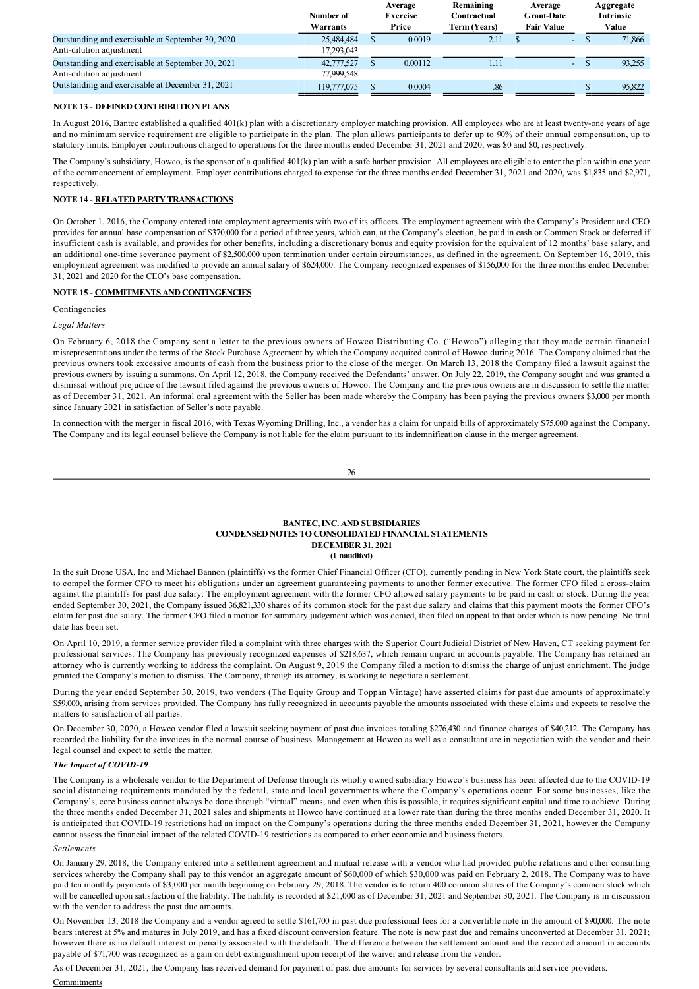|                                                   | Number of   | Average<br><b>Exercise</b> | Remaining<br>Contractual | Average<br><b>Grant-Date</b> |                          | Aggregate<br><b>Intrinsic</b> |
|---------------------------------------------------|-------------|----------------------------|--------------------------|------------------------------|--------------------------|-------------------------------|
|                                                   | Warrants    | Price                      | <b>Term (Years)</b>      | <b>Fair Value</b>            |                          | Value                         |
| Outstanding and exercisable at September 30, 2020 | 25,484,484  | 0.0019                     | 2.11                     |                              | $\overline{\phantom{a}}$ | 71,866                        |
| Anti-dilution adjustment                          | 17,293,043  |                            |                          |                              |                          |                               |
| Outstanding and exercisable at September 30, 2021 | 42,777,527  | 0.00112                    | 1.11                     |                              | -                        | 93.255                        |
| Anti-dilution adjustment                          | 77.999.548  |                            |                          |                              |                          |                               |
| Outstanding and exercisable at December 31, 2021  | 119,777,075 | 0.0004                     | .86                      |                              |                          | 95,822                        |

# **NOTE 13 - DEFINED CONTRIBUTION PLANS**

In August 2016, Bantec established a qualified 401(k) plan with a discretionary employer matching provision. All employees who are at least twenty-one years of age and no minimum service requirement are eligible to participate in the plan. The plan allows participants to defer up to 90% of their annual compensation, up to statutory limits. Employer contributions charged to operations for the three months ended December 31, 2021 and 2020, was \$0 and \$0, respectively.

The Company's subsidiary, Howco, is the sponsor of a qualified 401(k) plan with a safe harbor provision. All employees are eligible to enter the plan within one year of the commencement of employment. Employer contributions charged to expense for the three months ended December 31, 2021 and 2020, was \$1,835 and \$2,971, respectively.

# **NOTE 14 RELATED PARTY TRANSACTIONS**

On October 1, 2016, the Company entered into employment agreements with two of its officers. The employment agreement with the Company's President and CEO provides for annual base compensation of \$370,000 for a period of three years, which can, at the Company's election, be paid in cash or Common Stock or deferred if insufficient cash is available, and provides for other benefits, including a discretionary bonus and equity provision for the equivalent of 12 months' base salary, and an additional onetime severance payment of \$2,500,000 upon termination under certain circumstances, as defined in the agreement. On September 16, 2019, this employment agreement was modified to provide an annual salary of \$624,000. The Company recognized expenses of \$156,000 for the three months ended December 31, 2021 and 2020 for the CEO's base compensation.

# **NOTE 15 COMMITMENTS AND CONTINGENCIES**

# Contingencies

# *Legal Matters*

On February 6, 2018 the Company sent a letter to the previous owners of Howco Distributing Co. ("Howco") alleging that they made certain financial misrepresentations under the terms of the Stock Purchase Agreement by which the Company acquired control of Howco during 2016. The Company claimed that the previous owners took excessive amounts of cash from the business prior to the close of the merger. On March 13, 2018 the Company filed a lawsuit against the previous owners by issuing a summons. On April 12, 2018, the Company received the Defendants' answer. On July 22, 2019, the Company sought and was granted a dismissal without prejudice of the lawsuit filed against the previous owners of Howco. The Company and the previous owners are in discussion to settle the matter as of December 31, 2021. An informal oral agreement with the Seller has been made whereby the Company has been paying the previous owners \$3,000 per month since January 2021 in satisfaction of Seller's note payable.

In connection with the merger in fiscal 2016, with Texas Wyoming Drilling, Inc., a vendor has a claim for unpaid bills of approximately \$75,000 against the Company. The Company and its legal counsel believe the Company is not liable for the claim pursuant to its indemnification clause in the merger agreement.

# **BANTEC, INC. AND SUBSIDIARIES CONDENSED NOTES TO CONSOLIDATED FINANCIAL STATEMENTS DECEMBER 31, 2021 (Unaudited)**

In the suit Drone USA, Inc and Michael Bannon (plaintiffs) vs the former Chief Financial Officer (CFO), currently pending in New York State court, the plaintiffs seek to compel the former CFO to meet his obligations under an agreement guaranteeing payments to another former executive. The former CFO filed a cross-claim against the plaintiffs for past due salary. The employment agreement with the former CFO allowed salary payments to be paid in cash or stock. During the year ended September 30, 2021, the Company issued 36,821,330 shares of its common stock for the past due salary and claims that this payment moots the former CFO's claim for past due salary. The former CFO filed a motion for summary judgement which was denied, then filed an appeal to that order which is now pending. No trial date has been set.

On April 10, 2019, a former service provider filed a complaint with three charges with the Superior Court Judicial District of New Haven, CT seeking payment for professional services. The Company has previously recognized expenses of \$218,637, which remain unpaid in accounts payable. The Company has retained an attorney who is currently working to address the complaint. On August 9, 2019 the Company filed a motion to dismiss the charge of unjust enrichment. The judge granted the Company's motion to dismiss. The Company, through its attorney, is working to negotiate a settlement.

During the year ended September 30, 2019, two vendors (The Equity Group and Toppan Vintage) have asserted claims for past due amounts of approximately \$59,000, arising from services provided. The Company has fully recognized in accounts payable the amounts associated with these claims and expects to resolve the matters to satisfaction of all parties.

On December 30, 2020, a Howco vendor filed a lawsuit seeking payment of past due invoices totaling \$276,430 and finance charges of \$40,212. The Company has recorded the liability for the invoices in the normal course of business. Management at Howco as well as a consultant are in negotiation with the vendor and their legal counsel and expect to settle the matter.

# **The Impact of COVID-19**

The Company is a wholesale vendor to the Department of Defense through its wholly owned subsidiary Howco's business has been affected due to the COVID19 social distancing requirements mandated by the federal, state and local governments where the Company's operations occur. For some businesses, like the Company's, core business cannot always be done through "virtual" means, and even when this is possible, it requires significant capital and time to achieve. During the three months ended December 31, 2021 sales and shipments at Howco have continued at a lower rate than during the three months ended December 31, 2020. It is anticipated that COVID-19 restrictions had an impact on the Company's operations during the three months ended December 31, 2021, however the Company cannot assess the financial impact of the related COVID-19 restrictions as compared to other economic and business factors.

# *Settlements*

On January 29, 2018, the Company entered into a settlement agreement and mutual release with a vendor who had provided public relations and other consulting services whereby the Company shall pay to this vendor an aggregate amount of \$60,000 of which \$30,000 was paid on February 2, 2018. The Company was to have paid ten monthly payments of \$3,000 per month beginning on February 29, 2018. The vendor is to return 400 common shares of the Company's common stock which will be cancelled upon satisfaction of the liability. The liability is recorded at \$21,000 as of December 31, 2021 and September 30, 2021. The Company is in discussion with the vendor to address the past due amounts.

On November 13, 2018 the Company and a vendor agreed to settle \$161,700 in past due professional fees for a convertible note in the amount of \$90,000. The note bears interest at 5% and matures in July 2019, and has a fixed discount conversion feature. The note is now past due and remains unconverted at December 31, 2021; however there is no default interest or penalty associated with the default. The difference between the settlement amount and the recorded amount in accounts payable of \$71,700 was recognized as a gain on debt extinguishment upon receipt of the waiver and release from the vendor.

As of December 31, 2021, the Company has received demand for payment of past due amounts for services by several consultants and service providers.

# **Commitments**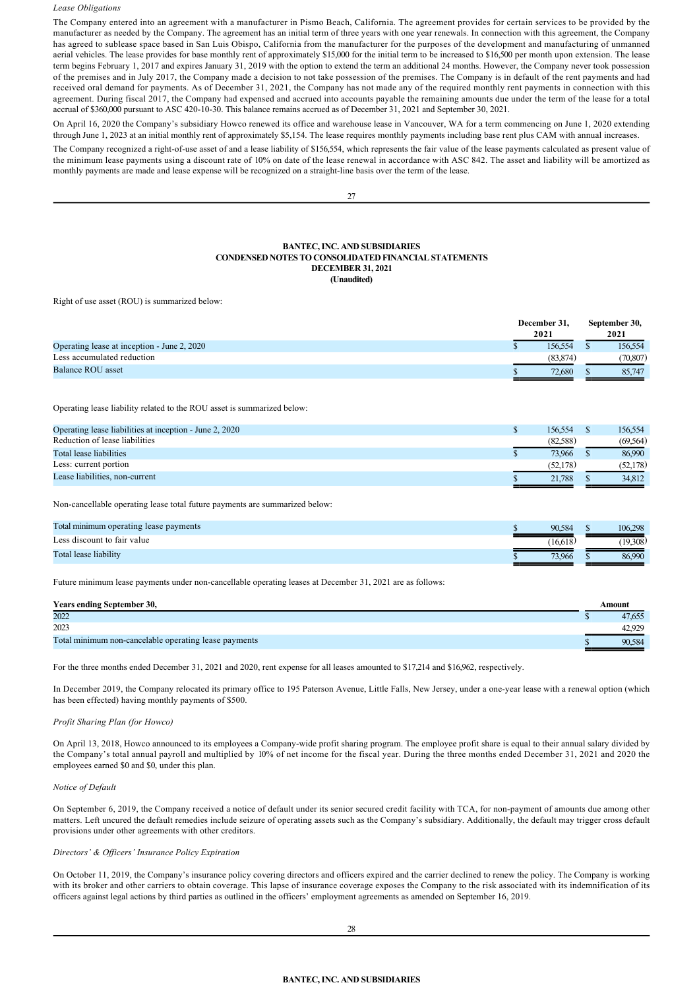#### *Lease Obligations*

The Company entered into an agreement with a manufacturer in Pismo Beach, California. The agreement provides for certain services to be provided by the manufacturer as needed by the Company. The agreement has an initial term of three years with one year renewals. In connection with this agreement, the Company has agreed to sublease space based in San Luis Obispo, California from the manufacturer for the purposes of the development and manufacturing of unmanned aerial vehicles. The lease provides for base monthly rent of approximately \$15,000 for the initial term to be increased to \$16,500 per month upon extension. The lease term begins February 1, 2017 and expires January 31, 2019 with the option to extend the term an additional 24 months. However, the Company never took possession of the premises and in July 2017, the Company made a decision to not take possession of the premises. The Company is in default of the rent payments and had received oral demand for payments. As of December 31, 2021, the Company has not made any of the required monthly rent payments in connection with this agreement. During fiscal 2017, the Company had expensed and accrued into accounts payable the remaining amounts due under the term of the lease for a total accrual of \$360,000 pursuant to ASC 420-10-30. This balance remains accrued as of December 31, 2021 and September 30, 2021.

On April 16, 2020 the Company's subsidiary Howco renewed its office and warehouse lease in Vancouver, WA for a term commencing on June 1, 2020 extending through June 1, 2023 at an initial monthly rent of approximately \$5,154. The lease requires monthly payments including base rent plus CAM with annual increases.

The Company recognized a right-of-use asset of and a lease liability of \$156,554, which represents the fair value of the lease payments calculated as present value of the minimum lease payments using a discount rate of 10% on date of the lease renewal in accordance with ASC 842. The asset and liability will be amortized as monthly payments are made and lease expense will be recognized on a straight-line basis over the term of the lease.

 $27$ 

#### **BANTEC, INC. AND SUBSIDIARIES CONDENSED NOTES TO CONSOLIDATED FINANCIAL STATEMENTS DECEMBER 31, 2021 (Unaudited)**

Right of use asset (ROU) is summarized below:

|                                             | December 31,<br>2021 | September 30,<br>2021 |           |
|---------------------------------------------|----------------------|-----------------------|-----------|
| Operating lease at inception - June 2, 2020 | 156.554              |                       | 156.554   |
| Less accumulated reduction                  | (83, 874)            |                       | (70, 807) |
| Balance ROU asset                           | 72.680               |                       | 85,747    |

Operating lease liability related to the ROU asset is summarized below:

| Operating lease liabilities at inception - June 2, 2020 | 156.554  | 156.554   |
|---------------------------------------------------------|----------|-----------|
| Reduction of lease liabilities                          | (82.588) | (69.564)  |
| Total lease liabilities                                 | 73.966   | 86.990    |
| Less: current portion                                   | (52.178) | (52, 178) |
| Lease liabilities, non-current                          | 21.788   | 34.812    |

Non-cancellable operating lease total future payments are summarized below:

| Total minimum operating lease payments | 90.584   | 106.298  |
|----------------------------------------|----------|----------|
| Less discount to fair value            | (16.618) | (19.308) |
| Total lease liability                  | 73.966   | 86.990   |

Future minimum lease payments under non-cancellable operating leases at December 31, 2021 are as follows:

| <b>Years ending September 30,</b>                     | Amount |
|-------------------------------------------------------|--------|
| 2022                                                  | 47,655 |
| 2023                                                  | 42.929 |
| Total minimum non-cancelable operating lease payments | 90.584 |

For the three months ended December 31, 2021 and 2020, rent expense for all leases amounted to \$17,214 and \$16,962, respectively.

In December 2019, the Company relocated its primary office to 195 Paterson Avenue, Little Falls, New Jersey, under a one-year lease with a renewal option (which has been effected) having monthly payments of \$500.

#### *Profit Sharing Plan (for Howco)*

On April 13, 2018, Howco announced to its employees a Companywide profit sharing program. The employee profit share is equal to their annual salary divided by the Company's total annual payroll and multiplied by 10% of net income for the fiscal year. During the three months ended December 31, 2021 and 2020 the employees earned \$0 and \$0, under this plan.

*Notice of Default*

On September 6, 2019, the Company received a notice of default under its senior secured credit facility with TCA, for non-payment of amounts due among other matters. Left uncured the default remedies include seizure of operating assets such as the Company's subsidiary. Additionally, the default may trigger cross default provisions under other agreements with other creditors.

# *Directors' & Officers' Insurance Policy Expiration*

On October 11, 2019, the Company's insurance policy covering directors and officers expired and the carrier declined to renew the policy. The Company is working with its broker and other carriers to obtain coverage. This lapse of insurance coverage exposes the Company to the risk associated with its indemnification of its officers against legal actions by third parties as outlined in the officers' employment agreements as amended on September 16, 2019.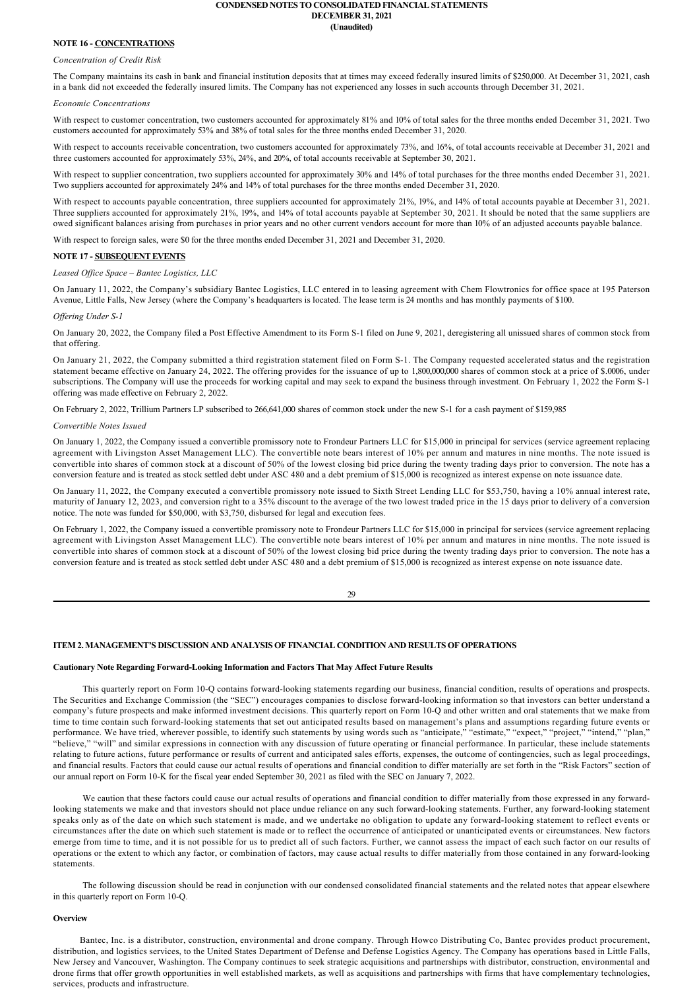#### **CONDENSED NOTES TO CONSOLIDATED FINANCIAL STATEMENTS DECEMBER 31, 2021 (Unaudited)**

# **NOTE 16 CONCENTRATIONS**

## *Concentration of Credit Risk*

The Company maintains its cash in bank and financial institution deposits that at times may exceed federally insured limits of \$250,000. At December 31, 2021, cash in a bank did not exceeded the federally insured limits. The Company has not experienced any losses in such accounts through December 31, 2021.

#### *Economic Concentrations*

With respect to customer concentration, two customers accounted for approximately 81% and 10% of total sales for the three months ended December 31, 2021. Two customers accounted for approximately 53% and 38% of total sales for the three months ended December 31, 2020.

With respect to accounts receivable concentration, two customers accounted for approximately 73%, and 16%, of total accounts receivable at December 31, 2021 and three customers accounted for approximately 53%, 24%, and 20%, of total accounts receivable at September 30, 2021.

With respect to supplier concentration, two suppliers accounted for approximately 30% and 14% of total purchases for the three months ended December 31, 2021. Two suppliers accounted for approximately 24% and 14% of total purchases for the three months ended December 31, 2020.

With respect to accounts payable concentration, three suppliers accounted for approximately 21%, 19%, and 14% of total accounts payable at December 31, 2021. Three suppliers accounted for approximately 21%, 19%, and 14% of total accounts payable at September 30, 2021. It should be noted that the same suppliers are owed significant balances arising from purchases in prior years and no other current vendors account for more than 10% of an adjusted accounts payable balance.

With respect to foreign sales, were \$0 for the three months ended December 31, 2021 and December 31, 2020.

#### **NOTE 17 SUBSEQUENT EVENTS**

#### *Leased Office Space – Bantec Logistics, LLC*

On January 11, 2022, the Company's subsidiary Bantec Logistics, LLC entered in to leasing agreement with Chem Flowtronics for office space at 195 Paterson Avenue, Little Falls, New Jersey (where the Company's headquarters is located. The lease term is 24 months and has monthly payments of \$100.

#### *Offering Under S1*

On January 20, 2022, the Company filed a Post Effective Amendment to its Form S-1 filed on June 9, 2021, deregistering all unissued shares of common stock from that offering.

On January 21, 2022, the Company submitted a third registration statement filed on Form S1. The Company requested accelerated status and the registration statement became effective on January 24, 2022. The offering provides for the issuance of up to 1,800,000,000 shares of common stock at a price of \$.0006, under subscriptions. The Company will use the proceeds for working capital and may seek to expand the business through investment. On February 1, 2022 the Form S-1 offering was made effective on February 2, 2022.

On February 2, 2022, Trillium Partners LP subscribed to 266,641,000 shares of common stock under the new S-1 for a cash payment of \$159,985

#### *Convertible Notes Issued*

On January 1, 2022, the Company issued a convertible promissory note to Frondeur Partners LLC for \$15,000 in principal for services (service agreement replacing agreement with Livingston Asset Management LLC). The convertible note bears interest of 10% per annum and matures in nine months. The note issued is convertible into shares of common stock at a discount of 50% of the lowest closing bid price during the twenty trading days prior to conversion. The note has a conversion feature and is treated as stock settled debt under ASC 480 and a debt premium of \$15,000 is recognized as interest expense on note issuance date.

On January 11, 2022, the Company executed a convertible promissory note issued to Sixth Street Lending LLC for \$53,750, having a 10% annual interest rate, maturity of January 12, 2023, and conversion right to a 35% discount to the average of the two lowest traded price in the 15 days prior to delivery of a conversion notice. The note was funded for \$50,000, with \$3,750, disbursed for legal and execution fees.

On February 1, 2022, the Company issued a convertible promissory note to Frondeur Partners LLC for \$15,000 in principal for services (service agreement replacing agreement with Livingston Asset Management LLC). The convertible note bears interest of 10% per annum and matures in nine months. The note issued is convertible into shares of common stock at a discount of 50% of the lowest closing bid price during the twenty trading days prior to conversion. The note has a conversion feature and is treated as stock settled debt under ASC 480 and a debt premium of \$15,000 is recognized as interest expense on note issuance date.

29

# **ITEM 2. MANAGEMENT'S DISCUSSION AND ANALYSIS OF FINANCIAL CONDITION AND RESULTS OF OPERATIONS**

# **Cautionary Note Regarding ForwardLooking Information and Factors That May Affect Future Results**

This quarterly report on Form 10-O contains forward-looking statements regarding our business, financial condition, results of operations and prospects. The Securities and Exchange Commission (the "SEC") encourages companies to disclose forward-looking information so that investors can better understand a company's future prospects and make informed investment decisions. This quarterly report on Form 10Q and other written and oral statements that we make from time to time contain such forward-looking statements that set out anticipated results based on management's plans and assumptions regarding future events or performance. We have tried, wherever possible, to identify such statements by using words such as "anticipate," "estimate," "expect," "project," "intend," "plan," "believe," "will" and similar expressions in connection with any discussion of future operating or financial performance. In particular, these include statements relating to future actions, future performance or results of current and anticipated sales efforts, expenses, the outcome of contingencies, such as legal proceedings, and financial results. Factors that could cause our actual results of operations and financial condition to differ materially are set forth in the "Risk Factors" section of our annual report on Form 10-K for the fiscal year ended September 30, 2021 as filed with the SEC on January 7, 2022.

We caution that these factors could cause our actual results of operations and financial condition to differ materially from those expressed in any forwardlooking statements we make and that investors should not place undue reliance on any such forward-looking statements. Further, any forward-looking statement speaks only as of the date on which such statement is made, and we undertake no obligation to update any forward-looking statement to reflect events or circumstances after the date on which such statement is made or to reflect the occurrence of anticipated or unanticipated events or circumstances. New factors emerge from time to time, and it is not possible for us to predict all of such factors. Further, we cannot assess the impact of each such factor on our results of operations or the extent to which any factor, or combination of factors, may cause actual results to differ materially from those contained in any forward-looking statements.

The following discussion should be read in conjunction with our condensed consolidated financial statements and the related notes that appear elsewhere in this quarterly report on Form 10-Q.

#### **Overview**

Bantec, Inc. is a distributor, construction, environmental and drone company. Through Howco Distributing Co, Bantec provides product procurement, distribution, and logistics services, to the United States Department of Defense and Defense Logistics Agency. The Company has operations based in Little Falls, New Jersey and Vancouver, Washington. The Company continues to seek strategic acquisitions and partnerships with distributor, construction, environmental and drone firms that offer growth opportunities in well established markets, as well as acquisitions and partnerships with firms that have complementary technologies, services, products and infrastructure.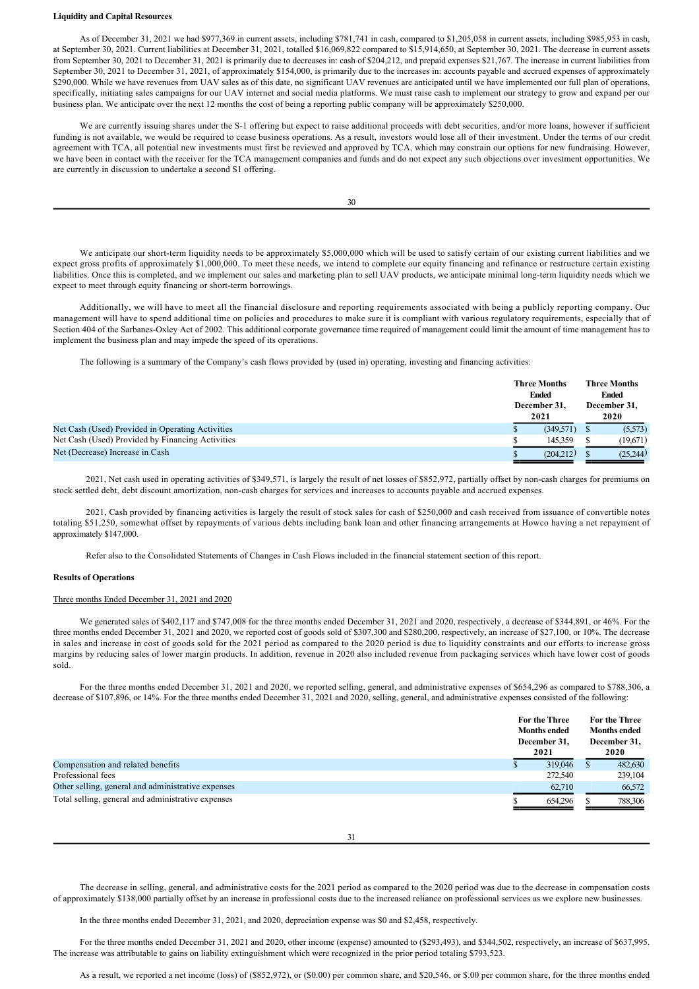#### **Liquidity and Capital Resources**

As of December 31, 2021 we had \$977,369 in current assets, including \$781,741 in cash, compared to \$1,205,058 in current assets, including \$985,953 in cash, at September 30, 2021. Current liabilities at December 31, 2021, totalled \$16,069,822 compared to \$15,914,650, at September 30, 2021. The decrease in current assets from September 30, 2021 to December 31, 2021 is primarily due to decreases in: cash of \$204,212, and prepaid expenses \$21,767. The increase in current liabilities from September 30, 2021 to December 31, 2021, of approximately \$154,000, is primarily due to the increases in: accounts payable and accrued expenses of approximately \$290,000. While we have revenues from UAV sales as of this date, no significant UAV revenues are anticipated until we have implemented our full plan of operations, specifically, initiating sales campaigns for our UAV internet and social media platforms. We must raise cash to implement our strategy to grow and expand per our business plan. We anticipate over the next 12 months the cost of being a reporting public company will be approximately \$250,000.

We are currently issuing shares under the S-1 offering but expect to raise additional proceeds with debt securities, and/or more loans, however if sufficient funding is not available, we would be required to cease business operations. As a result, investors would lose all of their investment. Under the terms of our credit agreement with TCA, all potential new investments must first be reviewed and approved by TCA, which may constrain our options for new fundraising. However, we have been in contact with the receiver for the TCA management companies and funds and do not expect any such objections over investment opportunities. We are currently in discussion to undertake a second S1 offering.

30

We anticipate our short-term liquidity needs to be approximately \$5,000,000 which will be used to satisfy certain of our existing current liabilities and we expect gross profits of approximately \$1,000,000. To meet these needs, we intend to complete our equity financing and refinance or restructure certain existing liabilities. Once this is completed, and we implement our sales and marketing plan to sell UAV products, we anticipate minimal long-term liquidity needs which we expect to meet through equity financing or short-term borrowings.

Additionally, we will have to meet all the financial disclosure and reporting requirements associated with being a publicly reporting company. Our management will have to spend additional time on policies and procedures to make sure it is compliant with various regulatory requirements, especially that of Section 404 of the Sarbanes-Oxley Act of 2002. This additional corporate governance time required of management could limit the amount of time management has to implement the business plan and may impede the speed of its operations.

The following is a summary of the Company's cash flows provided by (used in) operating, investing and financing activities:

|                                                  |  | <b>Three Months</b><br><b>Ended</b><br>December 31.<br>2021 |  | <b>Three Months</b><br><b>Ended</b><br>December 31,<br>2020 |  |
|--------------------------------------------------|--|-------------------------------------------------------------|--|-------------------------------------------------------------|--|
| Net Cash (Used) Provided in Operating Activities |  | (349.571)                                                   |  | (5,573)                                                     |  |
| Net Cash (Used) Provided by Financing Activities |  | 145.359                                                     |  | (19,671)                                                    |  |
| Net (Decrease) Increase in Cash                  |  | (204.212)                                                   |  | (25.244)                                                    |  |

2021, Net cash used in operating activities of \$349,571, is largely the result of net losses of \$852,972, partially offset by noncash charges for premiums on stock settled debt, debt discount amortization, non-cash charges for services and increases to accounts payable and accrued expenses.

2021, Cash provided by financing activities is largely the result of stock sales for cash of \$250,000 and cash received from issuance of convertible notes totaling \$51,250, somewhat offset by repayments of various debts including bank loan and other financing arrangements at Howco having a net repayment of approximately \$147,000.

Refer also to the Consolidated Statements of Changes in Cash Flows included in the financial statement section of this report.

#### **Results of Operations**

# Three months Ended December 31, 2021 and 2020

We generated sales of \$402,117 and \$747,008 for the three months ended December 31, 2021 and 2020, respectively, a decrease of \$344,891, or 46%. For the three months ended December 31, 2021 and 2020, we reported cost of goods sold of \$307,300 and \$280,200, respectively, an increase of \$27,100, or 10%. The decrease in sales and increase in cost of goods sold for the 2021 period as compared to the 2020 period is due to liquidity constraints and our efforts to increase gross margins by reducing sales of lower margin products. In addition, revenue in 2020 also included revenue from packaging services which have lower cost of goods sold.

For the three months ended December 31, 2021 and 2020, we reported selling, general, and administrative expenses of \$654,296 as compared to \$788,306, a decrease of \$107,896, or 14%. For the three months ended December 31, 2021 and 2020, selling, general, and administrative expenses consisted of the following:

|                                                    | For the Three<br><b>Months ended</b><br>December 31.<br>2021 |         | For the Three<br><b>Months ended</b><br>December 31,<br>2020 |         |  |
|----------------------------------------------------|--------------------------------------------------------------|---------|--------------------------------------------------------------|---------|--|
| Compensation and related benefits                  |                                                              | 319,046 |                                                              | 482,630 |  |
| Professional fees                                  |                                                              | 272,540 |                                                              | 239,104 |  |
| Other selling, general and administrative expenses |                                                              | 62,710  |                                                              | 66,572  |  |
| Total selling, general and administrative expenses |                                                              | 654.296 |                                                              | 788,306 |  |

31

The decrease in selling, general, and administrative costs for the 2021 period as compared to the 2020 period was due to the decrease in compensation costs of approximately \$138,000 partially offset by an increase in professional costs due to the increased reliance on professional services as we explore new businesses.

In the three months ended December 31, 2021, and 2020, depreciation expense was \$0 and \$2,458, respectively.

For the three months ended December 31, 2021 and 2020, other income (expense) amounted to (\$293,493), and \$344,502, respectively, an increase of \$637,995. The increase was attributable to gains on liability extinguishment which were recognized in the prior period totaling \$793,523.

As a result, we reported a net income (loss) of (\$852,972), or (\$0.00) per common share, and \$20,546, or \$.00 per common share, for the three months ended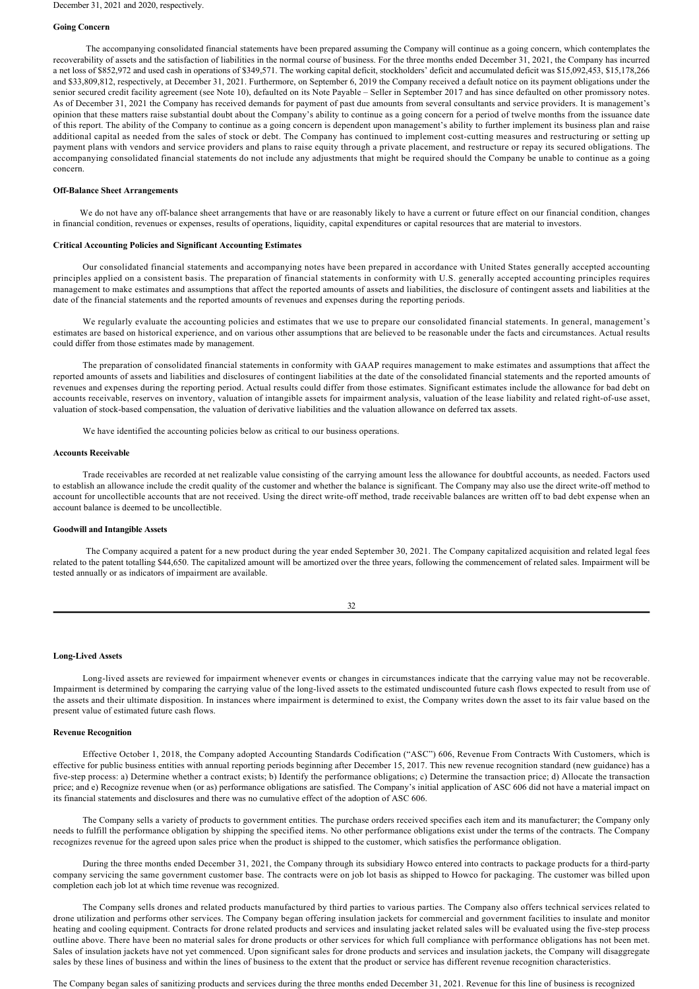#### **Going Concern**

The accompanying consolidated financial statements have been prepared assuming the Company will continue as a going concern, which contemplates the recoverability of assets and the satisfaction of liabilities in the normal course of business. For the three months ended December 31, 2021, the Company has incurred a net loss of \$852,972 and used cash in operations of \$349,571. The working capital deficit, stockholders' deficit and accumulated deficit was \$15,092,453, \$15,178,266 and \$33,809,812, respectively, at December 31, 2021. Furthermore, on September 6, 2019 the Company received a default notice on its payment obligations under the senior secured credit facility agreement (see Note 10), defaulted on its Note Payable – Seller in September 2017 and has since defaulted on other promissory notes. As of December 31, 2021 the Company has received demands for payment of past due amounts from several consultants and service providers. It is management's opinion that these matters raise substantial doubt about the Company's ability to continue as a going concern for a period of twelve months from the issuance date of this report. The ability of the Company to continue as a going concern is dependent upon management's ability to further implement its business plan and raise additional capital as needed from the sales of stock or debt. The Company has continued to implement cost-cutting measures and restructuring or setting up payment plans with vendors and service providers and plans to raise equity through a private placement, and restructure or repay its secured obligations. The accompanying consolidated financial statements do not include any adjustments that might be required should the Company be unable to continue as a going concern.

#### **Off-Balance Sheet Arrangements**

We do not have any off-balance sheet arrangements that have or are reasonably likely to have a current or future effect on our financial condition, changes in financial condition, revenues or expenses, results of operations, liquidity, capital expenditures or capital resources that are material to investors.

#### **Critical Accounting Policies and Significant Accounting Estimates**

Our consolidated financial statements and accompanying notes have been prepared in accordance with United States generally accepted accounting principles applied on a consistent basis. The preparation of financial statements in conformity with U.S. generally accepted accounting principles requires management to make estimates and assumptions that affect the reported amounts of assets and liabilities, the disclosure of contingent assets and liabilities at the date of the financial statements and the reported amounts of revenues and expenses during the reporting periods.

We regularly evaluate the accounting policies and estimates that we use to prepare our consolidated financial statements. In general, management's estimates are based on historical experience, and on various other assumptions that are believed to be reasonable under the facts and circumstances. Actual results could differ from those estimates made by management.

The preparation of consolidated financial statements in conformity with GAAP requires management to make estimates and assumptions that affect the reported amounts of assets and liabilities and disclosures of contingent liabilities at the date of the consolidated financial statements and the reported amounts of revenues and expenses during the reporting period. Actual results could differ from those estimates. Significant estimates include the allowance for bad debt on accounts receivable, reserves on inventory, valuation of intangible assets for impairment analysis, valuation of the lease liability and related right-of-use asset, valuation of stock-based compensation, the valuation of derivative liabilities and the valuation allowance on deferred tax assets.

We have identified the accounting policies below as critical to our business operations.

#### **Accounts Receivable**

Trade receivables are recorded at net realizable value consisting of the carrying amount less the allowance for doubtful accounts, as needed. Factors used to establish an allowance include the credit quality of the customer and whether the balance is significant. The Company may also use the direct write-off method to account for uncollectible accounts that are not received. Using the direct write-off method, trade receivable balances are written off to bad debt expense when an account balance is deemed to be uncollectible.

#### **Goodwill and Intangible Assets**

The Company acquired a patent for a new product during the year ended September 30, 2021. The Company capitalized acquisition and related legal fees related to the patent totalling \$44,650. The capitalized amount will be amortized over the three years, following the commencement of related sales. Impairment will be tested annually or as indicators of impairment are available.

$$
32 \, \rm
$$

#### Long-Lived Assets

Long-lived assets are reviewed for impairment whenever events or changes in circumstances indicate that the carrying value may not be recoverable. Impairment is determined by comparing the carrying value of the long-lived assets to the estimated undiscounted future cash flows expected to result from use of the assets and their ultimate disposition. In instances where impairment is determined to exist, the Company writes down the asset to its fair value based on the present value of estimated future cash flows.

#### **Revenue Recognition**

Effective October 1, 2018, the Company adopted Accounting Standards Codification ("ASC") 606, Revenue From Contracts With Customers, which is effective for public business entities with annual reporting periods beginning after December 15, 2017. This new revenue recognition standard (new guidance) has a five-step process: a) Determine whether a contract exists; b) Identify the performance obligations; c) Determine the transaction price; d) Allocate the transaction price; and e) Recognize revenue when (or as) performance obligations are satisfied. The Company's initial application of ASC 606 did not have a material impact on its financial statements and disclosures and there was no cumulative effect of the adoption of ASC 606.

The Company sells a variety of products to government entities. The purchase orders received specifies each item and its manufacturer; the Company only needs to fulfill the performance obligation by shipping the specified items. No other performance obligations exist under the terms of the contracts. The Company recognizes revenue for the agreed upon sales price when the product is shipped to the customer, which satisfies the performance obligation.

During the three months ended December 31, 2021, the Company through its subsidiary Howco entered into contracts to package products for a third-party company servicing the same government customer base. The contracts were on job lot basis as shipped to Howco for packaging. The customer was billed upon completion each job lot at which time revenue was recognized.

The Company sells drones and related products manufactured by third parties to various parties. The Company also offers technical services related to drone utilization and performs other services. The Company began offering insulation jackets for commercial and government facilities to insulate and monitor heating and cooling equipment. Contracts for drone related products and services and insulating jacket related sales will be evaluated using the fivestep process outline above. There have been no material sales for drone products or other services for which full compliance with performance obligations has not been met. Sales of insulation jackets have not yet commenced. Upon significant sales for drone products and services and insulation jackets, the Company will disaggregate sales by these lines of business and within the lines of business to the extent that the product or service has different revenue recognition characteristics.

The Company began sales of sanitizing products and services during the three months ended December 31, 2021. Revenue for this line of business is recognized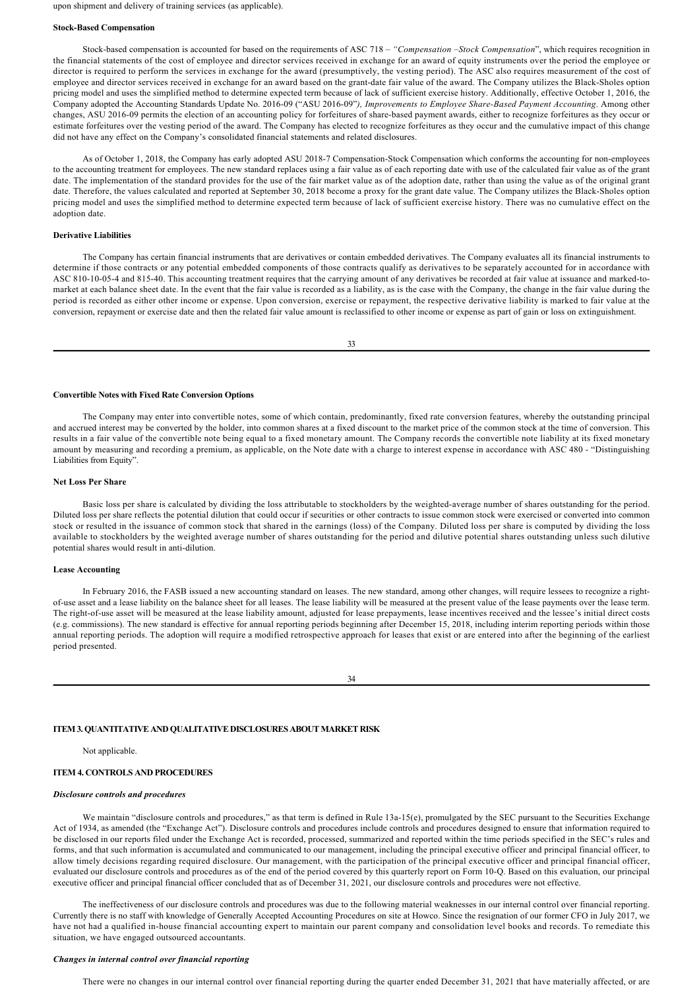upon shipment and delivery of training services (as applicable).

#### **Stock-Based Compensation**

Stock-based compensation is accounted for based on the requirements of ASC 718 – "Compensation –Stock Compensation", which requires recognition in the financial statements of the cost of employee and director services received in exchange for an award of equity instruments over the period the employee or director is required to perform the services in exchange for the award (presumptively, the vesting period). The ASC also requires measurement of the cost of employee and director services received in exchange for an award based on the grant-date fair value of the award. The Company utilizes the Black-Sholes option pricing model and uses the simplified method to determine expected term because of lack of sufficient exercise history. Additionally, effective October 1, 2016, the Company adopted the Accounting Standards Update No. 2016-09 ("ASU 2016-09"), Improvements to Employee Share-Based Payment Accounting. Among other changes, ASU 2016-09 permits the election of an accounting policy for forfeitures of share-based payment awards, either to recognize forfeitures as they occur or estimate forfeitures over the vesting period of the award. The Company has elected to recognize forfeitures as they occur and the cumulative impact of this change did not have any effect on the Company's consolidated financial statements and related disclosures.

As of October 1, 2018, the Company has early adopted ASU 2018-7 Compensation-Stock Compensation which conforms the accounting for non-employees to the accounting treatment for employees. The new standard replaces using a fair value as of each reporting date with use of the calculated fair value as of the grant date. The implementation of the standard provides for the use of the fair market value as of the adoption date, rather than using the value as of the original grant date. Therefore, the values calculated and reported at September 30, 2018 become a proxy for the grant date value. The Company utilizes the Black-Sholes option pricing model and uses the simplified method to determine expected term because of lack of sufficient exercise history. There was no cumulative effect on the adoption date.

#### **Derivative Liabilities**

The Company has certain financial instruments that are derivatives or contain embedded derivatives. The Company evaluates all its financial instruments to determine if those contracts or any potential embedded components of those contracts qualify as derivatives to be separately accounted for in accordance with ASC 810-10-05-4 and 815-40. This accounting treatment requires that the carrying amount of any derivatives be recorded at fair value at issuance and marked-tomarket at each balance sheet date. In the event that the fair value is recorded as a liability, as is the case with the Company, the change in the fair value during the period is recorded as either other income or expense. Upon conversion, exercise or repayment, the respective derivative liability is marked to fair value at the conversion, repayment or exercise date and then the related fair value amount is reclassified to other income or expense as part of gain or loss on extinguishment.

33

#### **Convertible Notes with Fixed Rate Conversion Options**

The Company may enter into convertible notes, some of which contain, predominantly, fixed rate conversion features, whereby the outstanding principal and accrued interest may be converted by the holder, into common shares at a fixed discount to the market price of the common stock at the time of conversion. This results in a fair value of the convertible note being equal to a fixed monetary amount. The Company records the convertible note liability at its fixed monetary amount by measuring and recording a premium, as applicable, on the Note date with a charge to interest expense in accordance with ASC 480 - "Distinguishing Liabilities from Equity".

## **Net Loss Per Share**

Basic loss per share is calculated by dividing the loss attributable to stockholders by the weighted-average number of shares outstanding for the period. Diluted loss per share reflects the potential dilution that could occur if securities or other contracts to issue common stock were exercised or converted into common stock or resulted in the issuance of common stock that shared in the earnings (loss) of the Company. Diluted loss per share is computed by dividing the loss available to stockholders by the weighted average number of shares outstanding for the period and dilutive potential shares outstanding unless such dilutive potential shares would result in anti-dilution.

#### **Lease Accounting**

In February 2016, the FASB issued a new accounting standard on leases. The new standard, among other changes, will require lessees to recognize a rightof-use asset and a lease liability on the balance sheet for all leases. The lease liability will be measured at the present value of the lease payments over the lease term. The right-of-use asset will be measured at the lease liability amount, adjusted for lease prepayments, lease incentives received and the lessee's initial direct costs (e.g. commissions). The new standard is effective for annual reporting periods beginning after December 15, 2018, including interim reporting periods within those annual reporting periods. The adoption will require a modified retrospective approach for leases that exist or are entered into after the beginning of the earliest period presented.

34

# **ITEM 3. QUANTITATIVE AND QUALITATIVE DISCLOSURES ABOUT MARKET RISK**

Not applicable.

#### **ITEM 4. CONTROLS AND PROCEDURES**

#### *Disclosure controls and procedures*

We maintain "disclosure controls and procedures," as that term is defined in Rule 13a-15(e), promulgated by the SEC pursuant to the Securities Exchange Act of 1934, as amended (the "Exchange Act"). Disclosure controls and procedures include controls and procedures designed to ensure that information required to be disclosed in our reports filed under the Exchange Act is recorded, processed, summarized and reported within the time periods specified in the SEC's rules and forms, and that such information is accumulated and communicated to our management, including the principal executive officer and principal financial officer, to allow timely decisions regarding required disclosure. Our management, with the participation of the principal executive officer and principal financial officer, evaluated our disclosure controls and procedures as of the end of the period covered by this quarterly report on Form 10-Q. Based on this evaluation, our principal executive officer and principal financial officer concluded that as of December 31, 2021, our disclosure controls and procedures were not effective.

The ineffectiveness of our disclosure controls and procedures was due to the following material weaknesses in our internal control over financial reporting. Currently there is no staff with knowledge of Generally Accepted Accounting Procedures on site at Howco. Since the resignation of our former CFO in July 2017, we have not had a qualified in-house financial accounting expert to maintain our parent company and consolidation level books and records. To remediate this situation, we have engaged outsourced accountants.

#### *Changes in internal control over financial reporting*

There were no changes in our internal control over financial reporting during the quarter ended December 31, 2021 that have materially affected, or are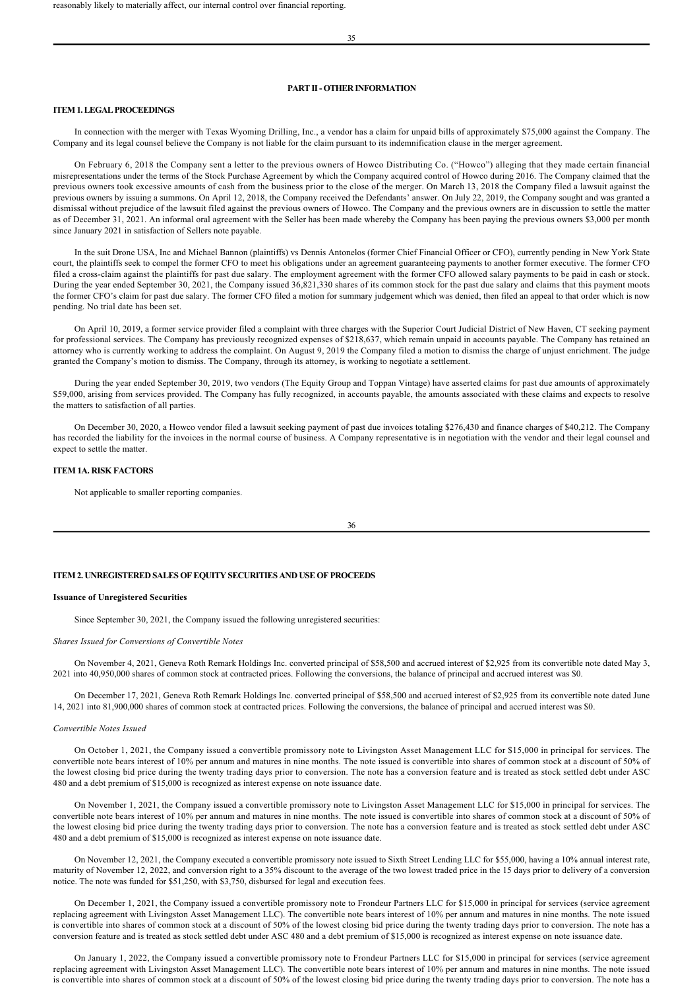# **PART II OTHER INFORMATION**

# **ITEM 1. LEGAL PROCEEDINGS**

In connection with the merger with Texas Wyoming Drilling, Inc., a vendor has a claim for unpaid bills of approximately \$75,000 against the Company. The Company and its legal counsel believe the Company is not liable for the claim pursuant to its indemnification clause in the merger agreement.

On February 6, 2018 the Company sent a letter to the previous owners of Howco Distributing Co. ("Howco") alleging that they made certain financial misrepresentations under the terms of the Stock Purchase Agreement by which the Company acquired control of Howco during 2016. The Company claimed that the previous owners took excessive amounts of cash from the business prior to the close of the merger. On March 13, 2018 the Company filed a lawsuit against the previous owners by issuing a summons. On April 12, 2018, the Company received the Defendants' answer. On July 22, 2019, the Company sought and was granted a dismissal without prejudice of the lawsuit filed against the previous owners of Howco. The Company and the previous owners are in discussion to settle the matter as of December 31, 2021. An informal oral agreement with the Seller has been made whereby the Company has been paying the previous owners \$3,000 per month since January 2021 in satisfaction of Sellers note payable.

In the suit Drone USA, Inc and Michael Bannon (plaintiffs) vs Dennis Antonelos (former Chief Financial Officer or CFO), currently pending in New York State court, the plaintiffs seek to compel the former CFO to meet his obligations under an agreement guaranteeing payments to another former executive. The former CFO filed a cross-claim against the plaintiffs for past due salary. The employment agreement with the former CFO allowed salary payments to be paid in cash or stock. During the year ended September 30, 2021, the Company issued 36,821,330 shares of its common stock for the past due salary and claims that this payment moots the former CFO's claim for past due salary. The former CFO filed a motion for summary judgement which was denied, then filed an appeal to that order which is now pending. No trial date has been set.

On April 10, 2019, a former service provider filed a complaint with three charges with the Superior Court Judicial District of New Haven, CT seeking payment for professional services. The Company has previously recognized expenses of \$218,637, which remain unpaid in accounts payable. The Company has retained an attorney who is currently working to address the complaint. On August 9, 2019 the Company filed a motion to dismiss the charge of unjust enrichment. The judge granted the Company's motion to dismiss. The Company, through its attorney, is working to negotiate a settlement.

During the year ended September 30, 2019, two vendors (The Equity Group and Toppan Vintage) have asserted claims for past due amounts of approximately \$59,000, arising from services provided. The Company has fully recognized, in accounts payable, the amounts associated with these claims and expects to resolve the matters to satisfaction of all parties.

On December 30, 2020, a Howco vendor filed a lawsuit seeking payment of past due invoices totaling \$276,430 and finance charges of \$40,212. The Company has recorded the liability for the invoices in the normal course of business. A Company representative is in negotiation with the vendor and their legal counsel and expect to settle the matter.

#### **ITEM 1A. RISK FACTORS**

Not applicable to smaller reporting companies.

36

#### **ITEM 2. UNREGISTERED SALES OF EQUITY SECURITIES AND USE OF PROCEEDS**

#### **Issuance of Unregistered Securities**

Since September 30, 2021, the Company issued the following unregistered securities:

#### *Shares Issued for Conversions of Convertible Notes*

On November 4, 2021, Geneva Roth Remark Holdings Inc. converted principal of \$58,500 and accrued interest of \$2,925 from its convertible note dated May 3, 2021 into 40,950,000 shares of common stock at contracted prices. Following the conversions, the balance of principal and accrued interest was \$0.

On December 17, 2021, Geneva Roth Remark Holdings Inc. converted principal of \$58,500 and accrued interest of \$2,925 from its convertible note dated June 14, 2021 into 81,900,000 shares of common stock at contracted prices. Following the conversions, the balance of principal and accrued interest was \$0.

#### *Convertible Notes Issued*

On October 1, 2021, the Company issued a convertible promissory note to Livingston Asset Management LLC for \$15,000 in principal for services. The convertible note bears interest of 10% per annum and matures in nine months. The note issued is convertible into shares of common stock at a discount of 50% of the lowest closing bid price during the twenty trading days prior to conversion. The note has a conversion feature and is treated as stock settled debt under ASC 480 and a debt premium of \$15,000 is recognized as interest expense on note issuance date.

On November 1, 2021, the Company issued a convertible promissory note to Livingston Asset Management LLC for \$15,000 in principal for services. The convertible note bears interest of 10% per annum and matures in nine months. The note issued is convertible into shares of common stock at a discount of 50% of the lowest closing bid price during the twenty trading days prior to conversion. The note has a conversion feature and is treated as stock settled debt under ASC 480 and a debt premium of \$15,000 is recognized as interest expense on note issuance date.

On November 12, 2021, the Company executed a convertible promissory note issued to Sixth Street Lending LLC for \$55,000, having a 10% annual interest rate, maturity of November 12, 2022, and conversion right to a 35% discount to the average of the two lowest traded price in the 15 days prior to delivery of a conversion notice. The note was funded for \$51,250, with \$3,750, disbursed for legal and execution fees.

On December 1, 2021, the Company issued a convertible promissory note to Frondeur Partners LLC for \$15,000 in principal for services (service agreement replacing agreement with Livingston Asset Management LLC). The convertible note bears interest of 10% per annum and matures in nine months. The note issued is convertible into shares of common stock at a discount of 50% of the lowest closing bid price during the twenty trading days prior to conversion. The note has a conversion feature and is treated as stock settled debt under ASC 480 and a debt premium of \$15,000 is recognized as interest expense on note issuance date.

On January 1, 2022, the Company issued a convertible promissory note to Frondeur Partners LLC for \$15,000 in principal for services (service agreement replacing agreement with Livingston Asset Management LLC). The convertible note bears interest of 10% per annum and matures in nine months. The note issued is convertible into shares of common stock at a discount of 50% of the lowest closing bid price during the twenty trading days prior to conversion. The note has a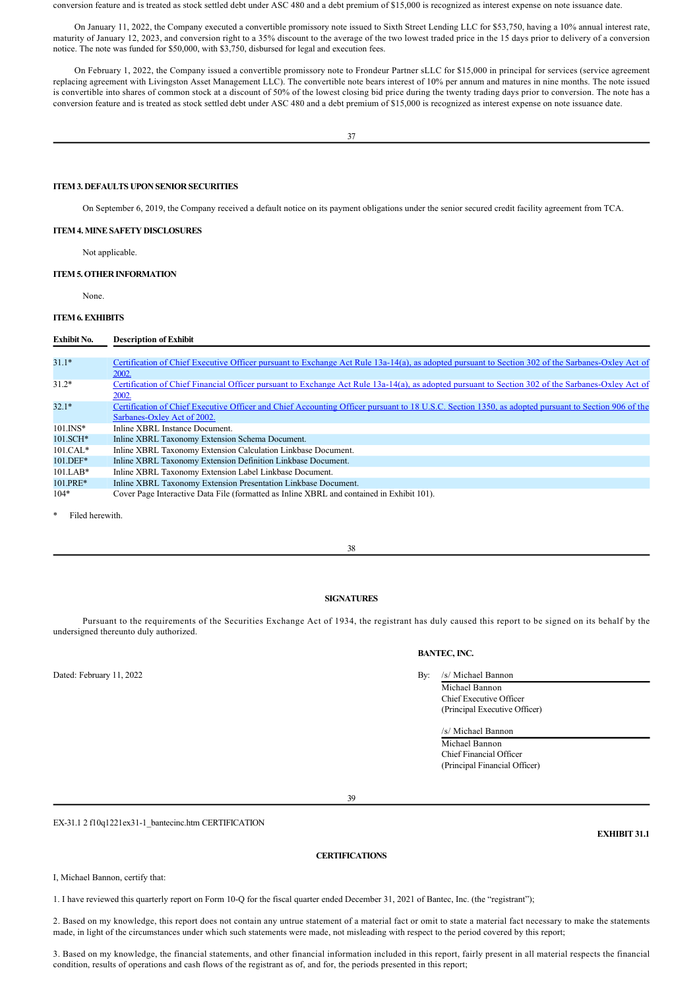conversion feature and is treated as stock settled debt under ASC 480 and a debt premium of \$15,000 is recognized as interest expense on note issuance date.

On January 11, 2022, the Company executed a convertible promissory note issued to Sixth Street Lending LLC for \$53,750, having a 10% annual interest rate, maturity of January 12, 2023, and conversion right to a 35% discount to the average of the two lowest traded price in the 15 days prior to delivery of a conversion notice. The note was funded for \$50,000, with \$3,750, disbursed for legal and execution fees.

On February 1, 2022, the Company issued a convertible promissory note to Frondeur Partner sLLC for \$15,000 in principal for services (service agreement replacing agreement with Livingston Asset Management LLC). The convertible note bears interest of 10% per annum and matures in nine months. The note issued is convertible into shares of common stock at a discount of 50% of the lowest closing bid price during the twenty trading days prior to conversion. The note has a conversion feature and is treated as stock settled debt under ASC 480 and a debt premium of \$15,000 is recognized as interest expense on note issuance date.

# **ITEM 3. DEFAULTS UPON SENIOR SECURITIES**

On September 6, 2019, the Company received a default notice on its payment obligations under the senior secured credit facility agreement from TCA.

## **ITEM 4. MINE SAFETY DISCLOSURES**

Not applicable.

# **ITEM 5. OTHER INFORMATION**

None.

# **ITEM 6. EXHIBITS**

# **Exhibit No. Description of Exhibit** 31.1\* Certification of Chief Executive Officer pursuant to Exchange Act Rule 13a-14(a), as adopted pursuant to Section 302 of the Sarbanes-Oxley Act of 2002. 31.2\* Certification of Chief Financial Officer pursuant to Exchange Act Rule 13a-14(a), as adopted pursuant to Section 302 of the Sarbanes-Oxley Act of 2002. 32.1\* Certification of Chief Executive Officer and Chief Accounting Officer pursuant to 18 U.S.C. Section 1350, as adopted pursuant to Section 906 of the Sarbanes-Oxley Act of 2002. 101.INS\* Inline XBRL Instance Document.<br>101.SCH\* Inline XBRL Taxonomy Extension Inline XBRL Taxonomy Extension Schema Document. 101.CAL\* Inline XBRL Taxonomy Extension Calculation Linkbase Document. 101.DEF\* Inline XBRL Taxonomy Extension Definition Linkbase Document.<br>101.LAB\* Inline XBRL Taxonomy Extension Label Linkbase Document. 101.LAB\* Inline XBRL Taxonomy Extension Label Linkbase Document.<br>101 PRE\* Inline XBRL Taxonomy Extension Presentation Linkbase Doc 101.PRE\* Inline XBRL Taxonomy Extension Presentation Linkbase Document.<br>104\* Cover Page Interactive Data File (formatted as Inline XBRL and cont Cover Page Interactive Data File (formatted as Inline XBRL and contained in Exhibit 101).

Filed herewith.

# **SIGNATURES**

Pursuant to the requirements of the Securities Exchange Act of 1934, the registrant has duly caused this report to be signed on its behalf by the undersigned thereunto duly authorized.

Dated: February 11, 2022 By: /s/ Michael Bannon

# **BANTEC, INC.**

Michael Bannon

Chief Executive Officer (Principal Executive Officer)

/s/ Michael Bannon Michael Bannon Chief Financial Officer (Principal Financial Officer)

39

EX-31.1 2 f10q1221ex31-1\_bantecinc.htm CERTIFICATION

# **CERTIFICATIONS**

I, Michael Bannon, certify that:

1. I have reviewed this quarterly report on Form 10Q for the fiscal quarter ended December 31, 2021 of Bantec, Inc. (the "registrant");

2. Based on my knowledge, this report does not contain any untrue statement of a material fact or omit to state a material fact necessary to make the statements made, in light of the circumstances under which such statements were made, not misleading with respect to the period covered by this report;

3. Based on my knowledge, the financial statements, and other financial information included in this report, fairly present in all material respects the financial condition, results of operations and cash flows of the registrant as of, and for, the periods presented in this report;

**EXHIBIT 31.1**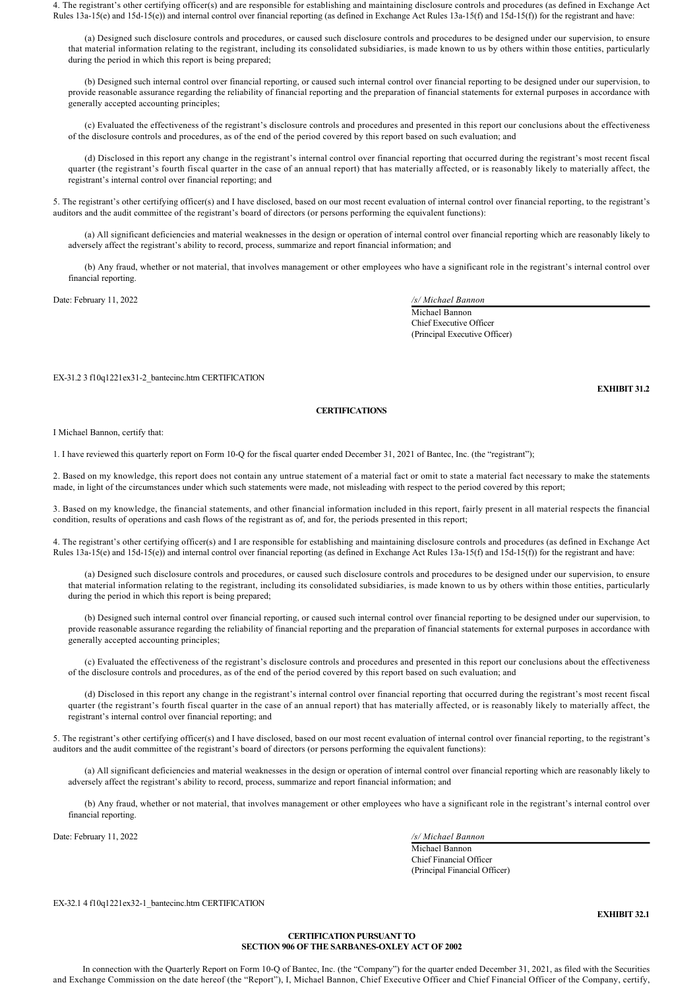4. The registrant's other certifying officer(s) and are responsible for establishing and maintaining disclosure controls and procedures (as defined in Exchange Act Rules  $13a-15(e)$  and  $15d-15(e)$ ) and internal control over financial reporting (as defined in Exchange Act Rules  $13a-15(f)$  and  $15d-15(f)$ ) for the registrant and have:

(a) Designed such disclosure controls and procedures, or caused such disclosure controls and procedures to be designed under our supervision, to ensure that material information relating to the registrant, including its consolidated subsidiaries, is made known to us by others within those entities, particularly during the period in which this report is being prepared;

(b) Designed such internal control over financial reporting, or caused such internal control over financial reporting to be designed under our supervision, to provide reasonable assurance regarding the reliability of financial reporting and the preparation of financial statements for external purposes in accordance with generally accepted accounting principles;

(c) Evaluated the effectiveness of the registrant's disclosure controls and procedures and presented in this report our conclusions about the effectiveness of the disclosure controls and procedures, as of the end of the period covered by this report based on such evaluation; and

(d) Disclosed in this report any change in the registrant's internal control over financial reporting that occurred during the registrant's most recent fiscal quarter (the registrant's fourth fiscal quarter in the case of an annual report) that has materially affected, or is reasonably likely to materially affect, the registrant's internal control over financial reporting; and

5. The registrant's other certifying officer(s) and I have disclosed, based on our most recent evaluation of internal control over financial reporting, to the registrant's auditors and the audit committee of the registrant's board of directors (or persons performing the equivalent functions):

(a) All significant deficiencies and material weaknesses in the design or operation of internal control over financial reporting which are reasonably likely to adversely affect the registrant's ability to record, process, summarize and report financial information; and

(b) Any fraud, whether or not material, that involves management or other employees who have a significant role in the registrant's internal control over financial reporting.

Date: February 11, 2022 */s/ Michael Bannon*

Michael Bannon Chief Executive Officer (Principal Executive Officer)

EX-31.2 3 f10q1221ex31-2\_bantecinc.htm CERTIFICATION

**CERTIFICATIONS**

I Michael Bannon, certify that:

1. I have reviewed this quarterly report on Form 10Q for the fiscal quarter ended December 31, 2021 of Bantec, Inc. (the "registrant");

2. Based on my knowledge, this report does not contain any untrue statement of a material fact or omit to state a material fact necessary to make the statements made, in light of the circumstances under which such statements were made, not misleading with respect to the period covered by this report;

3. Based on my knowledge, the financial statements, and other financial information included in this report, fairly present in all material respects the financial condition, results of operations and cash flows of the registrant as of, and for, the periods presented in this report;

4. The registrant's other certifying officer(s) and I are responsible for establishing and maintaining disclosure controls and procedures (as defined in Exchange Act Rules  $13a-15(e)$  and  $15d-15(e)$ ) and internal control over financial reporting (as defined in Exchange Act Rules  $13a-15(f)$  and  $15d-15(f)$ ) for the registrant and have:

(a) Designed such disclosure controls and procedures, or caused such disclosure controls and procedures to be designed under our supervision, to ensure that material information relating to the registrant, including its consolidated subsidiaries, is made known to us by others within those entities, particularly during the period in which this report is being prepared;

(b) Designed such internal control over financial reporting, or caused such internal control over financial reporting to be designed under our supervision, to provide reasonable assurance regarding the reliability of financial reporting and the preparation of financial statements for external purposes in accordance with generally accepted accounting principles;

(c) Evaluated the effectiveness of the registrant's disclosure controls and procedures and presented in this report our conclusions about the effectiveness of the disclosure controls and procedures, as of the end of the period covered by this report based on such evaluation; and

(d) Disclosed in this report any change in the registrant's internal control over financial reporting that occurred during the registrant's most recent fiscal quarter (the registrant's fourth fiscal quarter in the case of an annual report) that has materially affected, or is reasonably likely to materially affect, the registrant's internal control over financial reporting; and

5. The registrant's other certifying officer(s) and I have disclosed, based on our most recent evaluation of internal control over financial reporting, to the registrant's auditors and the audit committee of the registrant's board of directors (or persons performing the equivalent functions):

(a) All significant deficiencies and material weaknesses in the design or operation of internal control over financial reporting which are reasonably likely to adversely affect the registrant's ability to record, process, summarize and report financial information; and

(b) Any fraud, whether or not material, that involves management or other employees who have a significant role in the registrant's internal control over financial reporting.

Date: February 11, 2022 */s/ Michael Bannon*

Michael Bannon Chief Financial Officer (Principal Financial Officer)

EX-32.1 4 f10q1221ex32-1\_bantecinc.htm CERTIFICATION

**EXHIBIT 32.1**

# **CERTIFICATION PURSUANT TO SECTION 906 OF THE SARBANES-OXLEY ACT OF 2002**

In connection with the Quarterly Report on Form 10Q of Bantec, Inc. (the "Company") for the quarter ended December 31, 2021, as filed with the Securities and Exchange Commission on the date hereof (the "Report"), I, Michael Bannon, Chief Executive Officer and Chief Financial Officer of the Company, certify,

**EXHIBIT 31.2**